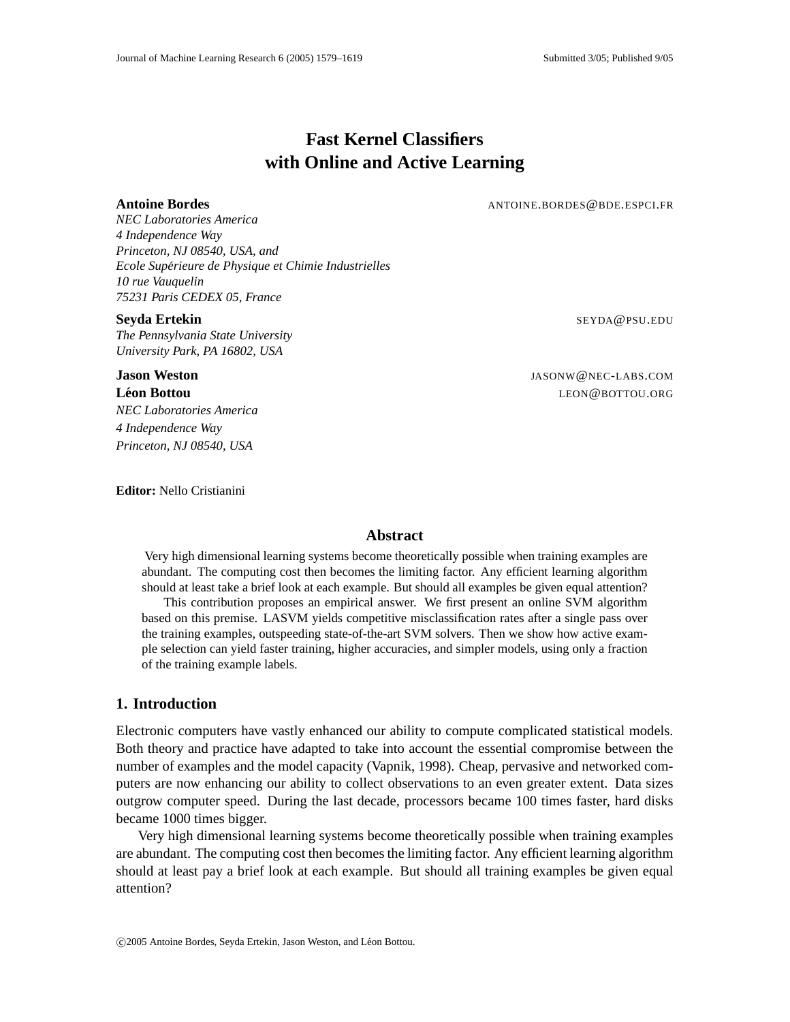**Antoine Bordes ANTOINE.BORDES@BDE.ESPCI.FR** 

*NEC Laboratories America 4 Independence Way Princeton, NJ 08540, USA, and Ecole Superieure de Physique et Chimie Industrielles ´ 10 rue Vauquelin 75231 Paris CEDEX 05, France*

*The Pennsylvania State University University Park, PA 16802, USA*

*NEC Laboratories America 4 Independence Way Princeton, NJ 08540, USA*

**Editor:** Nello Cristianini

# **Seyda Ertekin** Seymond Seymond Seymond Seymond Seymond Seymond Seymond Seymond Seymond Seymond Seymond Seymond Se

**Jason Weston** JASONW@NEC-LABS.COM **Leon Bottou ´** LEON@BOTTOU.ORG

#### **Abstract**

Very high dimensional learning systems become theoretically possible when training examples are abundant. The computing cost then becomes the limiting factor. Any efficient learning algorithm should at least take a brief look at each example. But should all examples be given equal attention?

This contribution proposes an empirical answer. We first present an online SVM algorithm based on this premise. LASVM yields competitive misclassification rates after a single pass over the training examples, outspeeding state-of-the-art SVM solvers. Then we show how active example selection can yield faster training, higher accuracies, and simpler models, using only a fraction of the training example labels.

# **1. Introduction**

Electronic computers have vastly enhanced our ability to compute complicated statistical models. Both theory and practice have adapted to take into account the essential compromise between the number of examples and the model capacity (Vapnik, 1998). Cheap, pervasive and networked computers are now enhancing our ability to collect observations to an even greater extent. Data sizes outgrow computer speed. During the last decade, processors became 100 times faster, hard disks became 1000 times bigger.

Very high dimensional learning systems become theoretically possible when training examples are abundant. The computing cost then becomes the limiting factor. Any efficient learning algorithm should at least pay a brief look at each example. But should all training examples be given equal attention?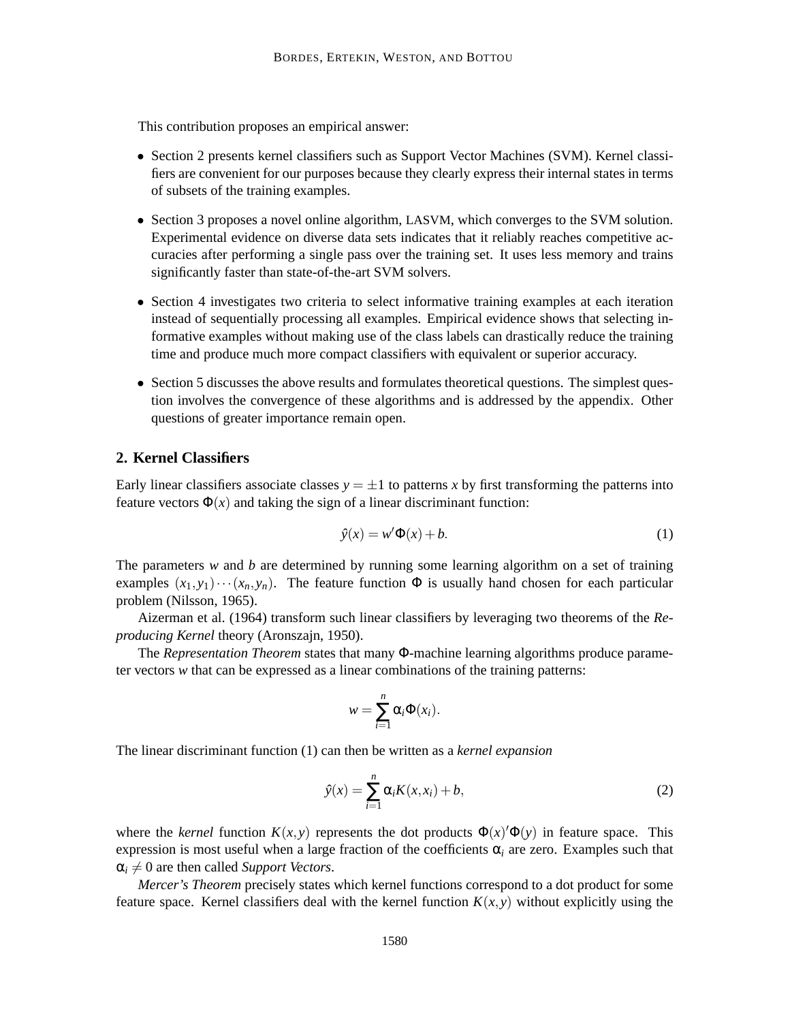This contribution proposes an empirical answer:

- Section 2 presents kernel classifiers such as Support Vector Machines (SVM). Kernel classifiers are convenient for our purposes because they clearly express their internal states in terms of subsets of the training examples.
- Section 3 proposes a novel online algorithm, LASVM, which converges to the SVM solution. Experimental evidence on diverse data sets indicates that it reliably reaches competitive accuracies after performing a single pass over the training set. It uses less memory and trains significantly faster than state-of-the-art SVM solvers.
- Section 4 investigates two criteria to select informative training examples at each iteration instead of sequentially processing all examples. Empirical evidence shows that selecting informative examples without making use of the class labels can drastically reduce the training time and produce much more compact classifiers with equivalent or superior accuracy.
- Section 5 discusses the above results and formulates theoretical questions. The simplest question involves the convergence of these algorithms and is addressed by the appendix. Other questions of greater importance remain open.

# **2. Kernel Classifiers**

Early linear classifiers associate classes  $y = \pm 1$  to patterns x by first transforming the patterns into feature vectors  $\Phi(x)$  and taking the sign of a linear discriminant function:

$$
\hat{y}(x) = w'\Phi(x) + b.\tag{1}
$$

The parameters  $w$  and  $b$  are determined by running some learning algorithm on a set of training examples  $(x_1, y_1) \cdots (x_n, y_n)$ . The feature function  $\Phi$  is usually hand chosen for each particular problem (Nilsson, 1965).

Aizerman et al. (1964) transform such linear classifiers by leveraging two theorems of the *Reproducing Kernel* theory (Aronszajn, 1950).

The *Representation Theorem* states that many Φ-machine learning algorithms produce parameter vectors  $w$  that can be expressed as a linear combinations of the training patterns:

$$
w=\sum_{i=1}^n\alpha_i\Phi(x_i).
$$

The linear discriminant function (1) can then be written as a *kernel expansion*

$$
\hat{y}(x) = \sum_{i=1}^{n} \alpha_i K(x, x_i) + b,\tag{2}
$$

where the *kernel* function  $K(x, y)$  represents the dot products  $\Phi(x)'\Phi(y)$  in feature space. This expression is most useful when a large fraction of the coefficients  $\alpha_i$  are zero. Examples such that  $\alpha_i \neq 0$  are then called *Support Vectors*.

*Mercer's Theorem* precisely states which kernel functions correspond to a dot product for some feature space. Kernel classifiers deal with the kernel function  $K(x, y)$  without explicitly using the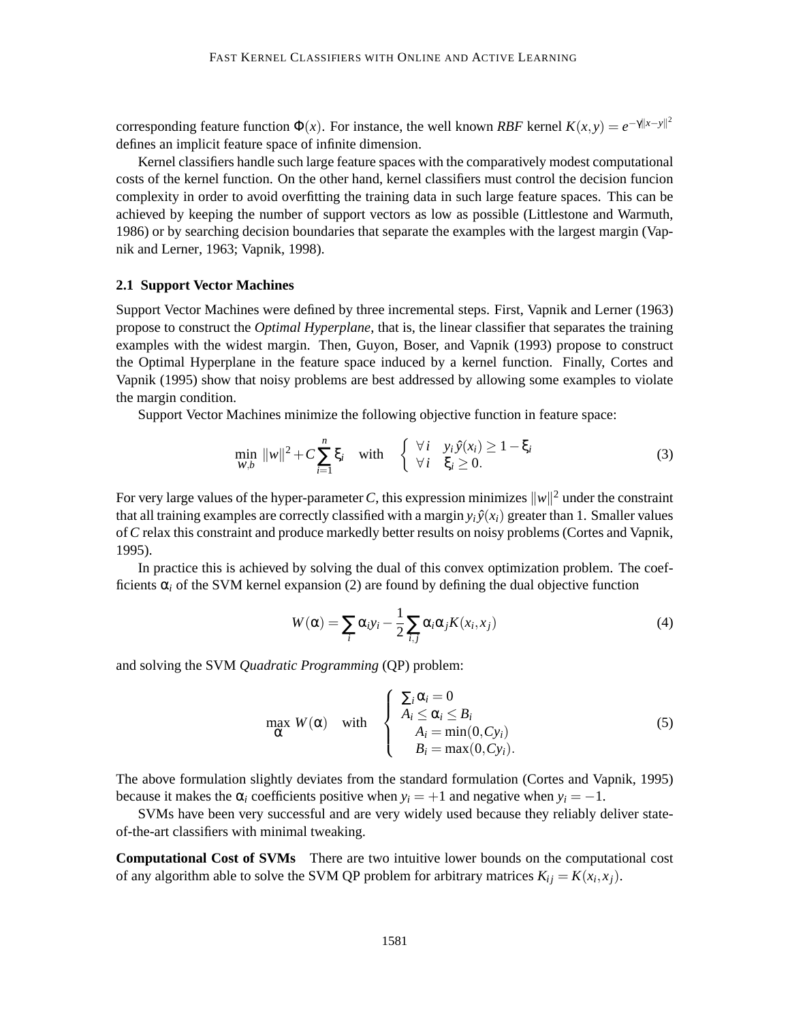corresponding feature function  $\Phi(x)$ . For instance, the well known *RBF* kernel  $K(x, y) = e^{-\gamma ||x - y||^2}$ defines an implicit feature space of infinite dimension.

Kernel classifiers handle such large feature spaces with the comparatively modest computational costs of the kernel function. On the other hand, kernel classifiers must control the decision funcion complexity in order to avoid overfitting the training data in such large feature spaces. This can be achieved by keeping the number of support vectors as low as possible (Littlestone and Warmuth, 1986) or by searching decision boundaries that separate the examples with the largest margin (Vapnik and Lerner, 1963; Vapnik, 1998).

## **2.1 Support Vector Machines**

Support Vector Machines were defined by three incremental steps. First, Vapnik and Lerner (1963) propose to construct the *Optimal Hyperplane*, that is, the linear classifier that separates the training examples with the widest margin. Then, Guyon, Boser, and Vapnik (1993) propose to construct the Optimal Hyperplane in the feature space induced by a kernel function. Finally, Cortes and Vapnik (1995) show that noisy problems are best addressed by allowing some examples to violate the margin condition.

Support Vector Machines minimize the following objective function in feature space:

$$
\min_{W,b} \|w\|^2 + C \sum_{i=1}^n \xi_i \quad \text{with} \quad \begin{cases} \forall i & y_i \hat{y}(x_i) \ge 1 - \xi_i \\ \forall i & \xi_i \ge 0. \end{cases}
$$
 (3)

For very large values of the hyper-parameter C, this expression minimizes  $||w||^2$  under the constraint that all training examples are correctly classified with a margin  $y_i \hat{y}(x_i)$  greater than 1. Smaller values of*C* relax this constraint and produce markedly better results on noisy problems (Cortes and Vapnik, 1995).

In practice this is achieved by solving the dual of this convex optimization problem. The coefficients  $\alpha_i$  of the SVM kernel expansion (2) are found by defining the dual objective function

$$
W(\alpha) = \sum_{i} \alpha_{i} y_{i} - \frac{1}{2} \sum_{i,j} \alpha_{i} \alpha_{j} K(x_{i}, x_{j})
$$
\n(4)

and solving the SVM *Quadratic Programming* (QP) problem:

$$
\max_{\mathbf{\alpha}} W(\mathbf{\alpha}) \quad \text{with} \quad \begin{cases} \sum_{i} \alpha_{i} = 0 \\ A_{i} \leq \alpha_{i} \leq B_{i} \\ A_{i} = \min(0, C_{Yi}) \\ B_{i} = \max(0, C_{Yi}). \end{cases} \tag{5}
$$

The above formulation slightly deviates from the standard formulation (Cortes and Vapnik, 1995) because it makes the  $\alpha_i$  coefficients positive when  $y_i = +1$  and negative when  $y_i = -1$ .

SVMs have been very successful and are very widely used because they reliably deliver stateof-the-art classifiers with minimal tweaking.

**Computational Cost of SVMs** There are two intuitive lower bounds on the computational cost of any algorithm able to solve the SVM QP problem for arbitrary matrices  $K_{ij} = K(x_i, x_j)$ .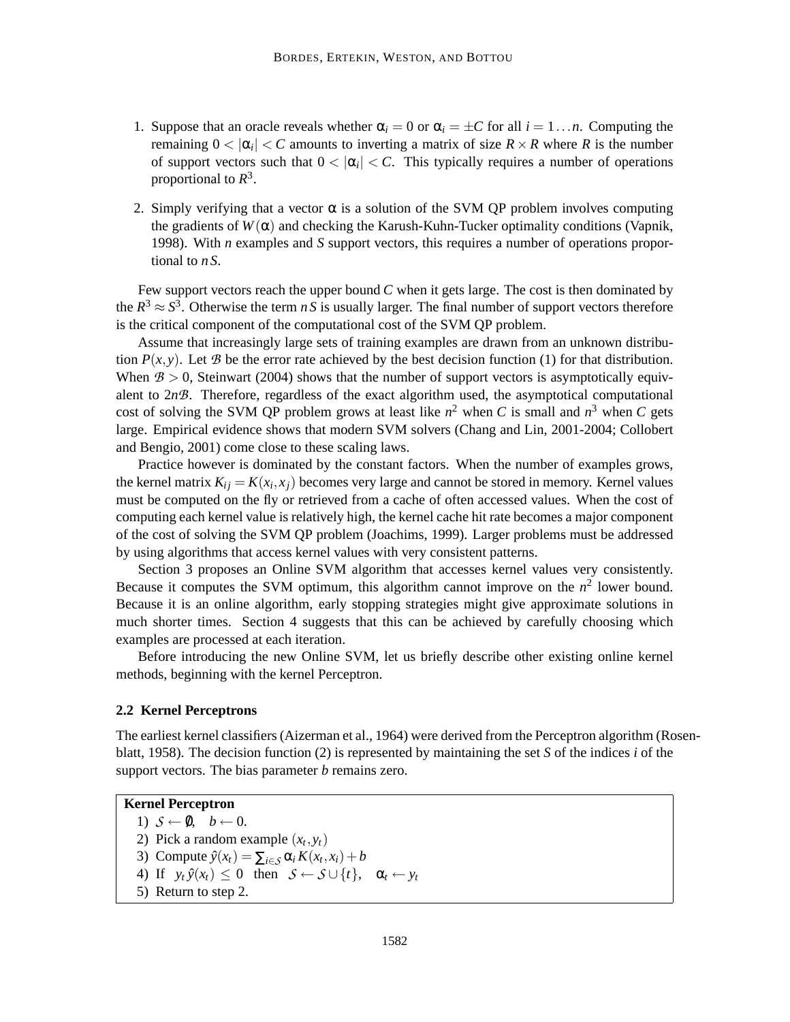- 1. Suppose that an oracle reveals whether  $\alpha_i = 0$  or  $\alpha_i = \pm C$  for all  $i = 1...n$ . Computing the remaining  $0 < |\alpha_i| < C$  amounts to inverting a matrix of size  $R \times R$  where R is the number of support vectors such that  $0 < |\alpha_i| < C$ . This typically requires a number of operations proportional to  $R^3$ .
- 2. Simply verifying that a vector  $\alpha$  is a solution of the SVM QP problem involves computing the gradients of  $W(\alpha)$  and checking the Karush-Kuhn-Tucker optimality conditions (Vapnik, 1998). With *n* examples and *S* support vectors, this requires a number of operations proportional to *n S*.

Few support vectors reach the upper bound *C* when it gets large. The cost is then dominated by the  $R^3 \approx S^3$ . Otherwise the term *n S* is usually larger. The final number of support vectors therefore is the critical component of the computational cost of the SVM QP problem.

Assume that increasingly large sets of training examples are drawn from an unknown distribution  $P(x, y)$ . Let B be the error rate achieved by the best decision function (1) for that distribution. When  $B > 0$ , Steinwart (2004) shows that the number of support vectors is asymptotically equivalent to  $2n\mathcal{B}$ . Therefore, regardless of the exact algorithm used, the asymptotical computational cost of solving the SVM QP problem grows at least like  $n^2$  when *C* is small and  $n^3$  when *C* gets large. Empirical evidence shows that modern SVM solvers (Chang and Lin, 2001-2004; Collobert and Bengio, 2001) come close to these scaling laws.

Practice however is dominated by the constant factors. When the number of examples grows, the kernel matrix  $K_{ij} = K(x_i, x_j)$  becomes very large and cannot be stored in memory. Kernel values must be computed on the fly or retrieved from a cache of often accessed values. When the cost of computing each kernel value is relatively high, the kernel cache hit rate becomes a major component of the cost of solving the SVM QP problem (Joachims, 1999). Larger problems must be addressed by using algorithms that access kernel values with very consistent patterns.

Section 3 proposes an Online SVM algorithm that accesses kernel values very consistently. Because it computes the SVM optimum, this algorithm cannot improve on the  $n^2$  lower bound. Because it is an online algorithm, early stopping strategies might give approximate solutions in much shorter times. Section 4 suggests that this can be achieved by carefully choosing which examples are processed at each iteration.

Before introducing the new Online SVM, let us briefly describe other existing online kernel methods, beginning with the kernel Perceptron.

#### **2.2 Kernel Perceptrons**

The earliest kernel classifiers (Aizerman et al., 1964) were derived from the Perceptron algorithm (Rosenblatt, 1958). The decision function (2) is represented by maintaining the set *S* of the indices *i* of the support vectors. The bias parameter *b* remains zero.

## **Kernel Perceptron**

1)  $S \leftarrow \emptyset$ ,  $b \leftarrow 0$ . 2) Pick a random example  $(x_t, y_t)$ 3) Compute  $\hat{y}(x_t) = \sum_{i \in S} \alpha_i K(x_t, x_i) + b$ 4) If  $y_t \hat{y}(x_t) \leq 0$  then  $S \leftarrow S \cup \{t\}, \alpha_t \leftarrow y_t$ 5) Return to step 2.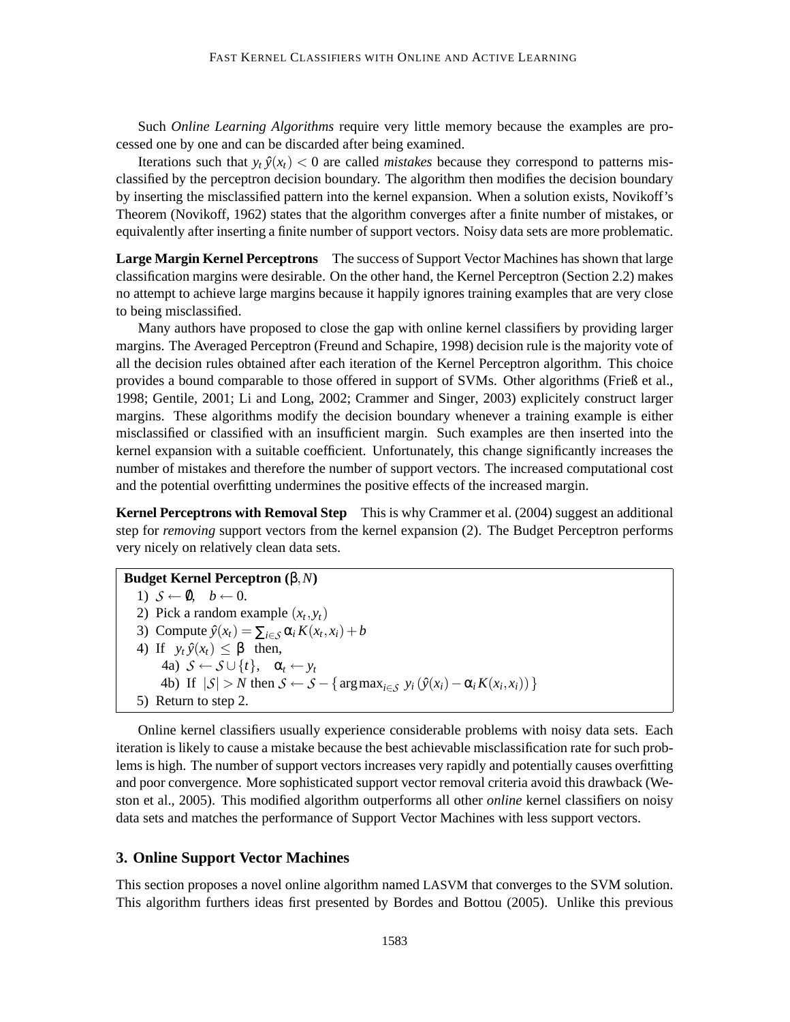Such *Online Learning Algorithms* require very little memory because the examples are processed one by one and can be discarded after being examined.

Iterations such that  $y_t$   $\hat{y}(x_t)$  < 0 are called *mistakes* because they correspond to patterns misclassified by the perceptron decision boundary. The algorithm then modifies the decision boundary by inserting the misclassified pattern into the kernel expansion. When a solution exists, Novikoff's Theorem (Novikoff, 1962) states that the algorithm converges after a finite number of mistakes, or equivalently after inserting a finite number of support vectors. Noisy data sets are more problematic.

**Large Margin Kernel Perceptrons** The success of Support Vector Machines has shown that large classification margins were desirable. On the other hand, the Kernel Perceptron (Section 2.2) makes no attempt to achieve large margins because it happily ignores training examples that are very close to being misclassified.

Many authors have proposed to close the gap with online kernel classifiers by providing larger margins. The Averaged Perceptron (Freund and Schapire, 1998) decision rule is the majority vote of all the decision rules obtained after each iteration of the Kernel Perceptron algorithm. This choice provides a bound comparable to those offered in support of SVMs. Other algorithms (Frieß et al., 1998; Gentile, 2001; Li and Long, 2002; Crammer and Singer, 2003) explicitely construct larger margins. These algorithms modify the decision boundary whenever a training example is either misclassified or classified with an insufficient margin. Such examples are then inserted into the kernel expansion with a suitable coefficient. Unfortunately, this change significantly increases the number of mistakes and therefore the number of support vectors. The increased computational cost and the potential overfitting undermines the positive effects of the increased margin.

**Kernel Perceptrons with Removal Step** This is why Crammer et al. (2004) suggest an additional step for *removing* support vectors from the kernel expansion (2). The Budget Perceptron performs very nicely on relatively clean data sets.

**Budget Kernel Perceptron (**β,*N***)** 1)  $S \leftarrow \emptyset$ ,  $b \leftarrow 0$ . 2) Pick a random example  $(x_t, y_t)$ 3) Compute  $\hat{y}(x_t) = \sum_{i \in S} \alpha_i K(x_t, x_i) + b$ 4) If  $y_t \hat{y}(x_t) \leq \beta$  then, 4a)  $S \leftarrow S \cup \{t\}, \quad \alpha_t \leftarrow y_t$ 4b) If  $|S| > N$  then  $S \leftarrow S - \{\argmax_{i \in S} y_i (\hat{y}(x_i) - \alpha_i K(x_i, x_i))\}$ 5) Return to step 2.

Online kernel classifiers usually experience considerable problems with noisy data sets. Each iteration is likely to cause a mistake because the best achievable misclassification rate for such problems is high. The number of support vectors increases very rapidly and potentially causes overfitting and poor convergence. More sophisticated support vector removal criteria avoid this drawback (Weston et al., 2005). This modified algorithm outperforms all other *online* kernel classifiers on noisy data sets and matches the performance of Support Vector Machines with less support vectors.

# **3. Online Support Vector Machines**

This section proposes a novel online algorithm named LASVM that converges to the SVM solution. This algorithm furthers ideas first presented by Bordes and Bottou (2005). Unlike this previous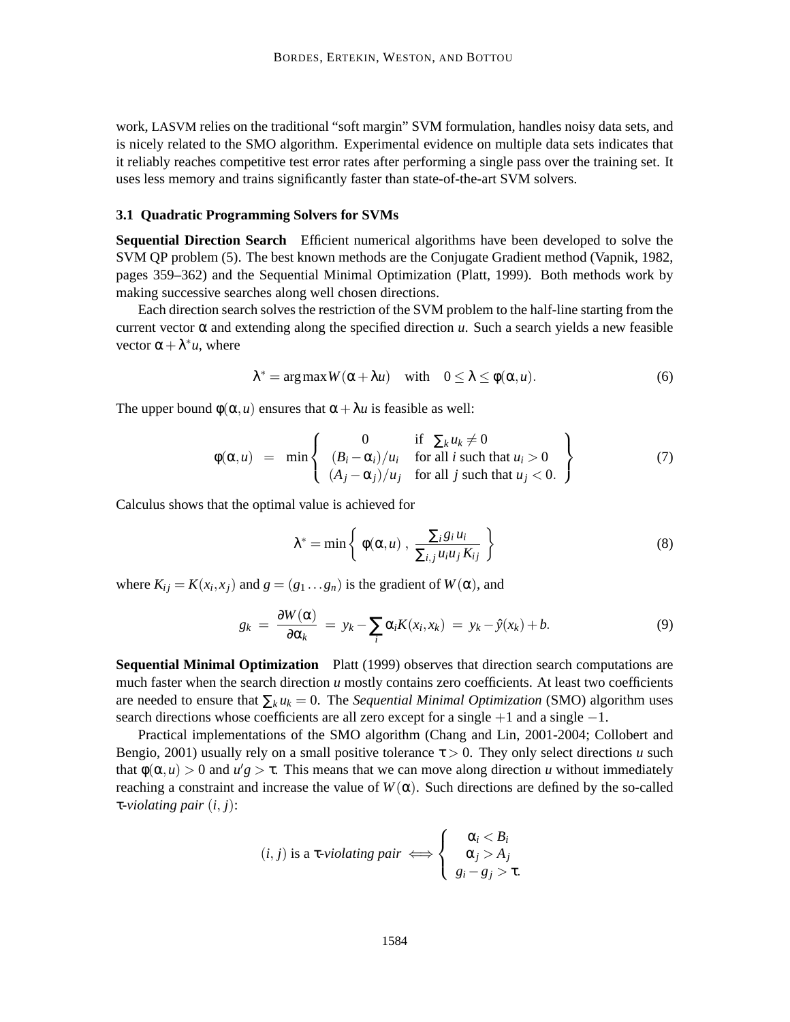work, LASVM relies on the traditional "soft margin" SVM formulation, handles noisy data sets, and is nicely related to the SMO algorithm. Experimental evidence on multiple data sets indicates that it reliably reaches competitive test error rates after performing a single pass over the training set. It uses less memory and trains significantly faster than state-of-the-art SVM solvers.

## **3.1 Quadratic Programming Solvers for SVMs**

**Sequential Direction Search** Efficient numerical algorithms have been developed to solve the SVM QP problem (5). The best known methods are the Conjugate Gradient method (Vapnik, 1982, pages 359–362) and the Sequential Minimal Optimization (Platt, 1999). Both methods work by making successive searches along well chosen directions.

Each direction search solves the restriction of the SVM problem to the half-line starting from the current vector  $\alpha$  and extending along the specified direction  $\mu$ . Such a search yields a new feasible vector  $\alpha + \lambda^* u$ , where

$$
\lambda^* = \arg \max W(\alpha + \lambda u) \quad \text{with} \quad 0 \le \lambda \le \phi(\alpha, u). \tag{6}
$$

The upper bound  $\phi(\alpha, u)$  ensures that  $\alpha + \lambda u$  is feasible as well:

$$
\phi(\alpha, u) = \min \left\{ \begin{array}{ll} 0 & \text{if } \sum_{k} u_k \neq 0 \\ (B_i - \alpha_i)/u_i & \text{for all } i \text{ such that } u_i > 0 \\ (A_j - \alpha_j)/u_j & \text{for all } j \text{ such that } u_j < 0. \end{array} \right\}
$$
(7)

Calculus shows that the optimal value is achieved for

$$
\lambda^* = \min \left\{ \phi(\alpha, u) , \frac{\sum_i g_i u_i}{\sum_{i,j} u_i u_j K_{ij}} \right\}
$$
 (8)

where  $K_{ij} = K(x_i, x_j)$  and  $g = (g_1 \dots g_n)$  is the gradient of  $W(\alpha)$ , and

$$
g_k = \frac{\partial W(\alpha)}{\partial \alpha_k} = y_k - \sum_i \alpha_i K(x_i, x_k) = y_k - \hat{y}(x_k) + b. \tag{9}
$$

**Sequential Minimal Optimization** Platt (1999) observes that direction search computations are much faster when the search direction *u* mostly contains zero coefficients. At least two coefficients are needed to ensure that  $\sum_{k} u_k = 0$ . The *Sequential Minimal Optimization* (SMO) algorithm uses search directions whose coefficients are all zero except for a single  $+1$  and a single  $-1$ .

Practical implementations of the SMO algorithm (Chang and Lin, 2001-2004; Collobert and Bengio, 2001) usually rely on a small positive tolerance  $\tau > 0$ . They only select directions *u* such that  $\phi(\alpha, u) > 0$  and  $u'g > \tau$ . This means that we can move along direction *u* without immediately reaching a constraint and increase the value of  $W(\alpha)$ . Such directions are defined by the so-called τ*-violating pair* (*i*, *j*):

$$
(i, j) \text{ is a } \tau\text{-violating pair } \Longleftrightarrow \left\{ \begin{array}{l} \alpha_i < B_i \\ \alpha_j > A_j \\ g_i - g_j > \tau. \end{array} \right.
$$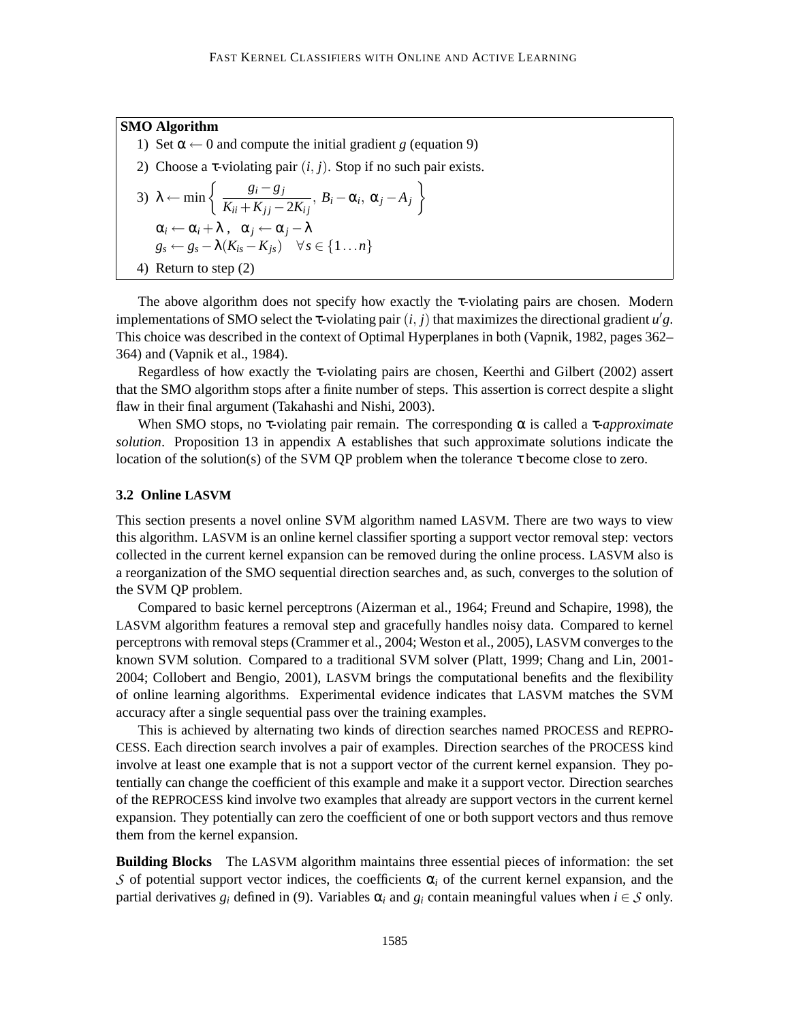| <b>SMO Algorithm</b>                                                                                                      |
|---------------------------------------------------------------------------------------------------------------------------|
| 1) Set $\alpha \leftarrow 0$ and compute the initial gradient g (equation 9)                                              |
| 2) Choose a $\tau$ -violating pair $(i, j)$ . Stop if no such pair exists.                                                |
| 3) $\lambda \leftarrow \min \left\{ \frac{g_i - g_j}{K_{ii} + K_{ij} - 2K_{ii}}, B_i - \alpha_i, \alpha_j - A_j \right\}$ |
| $\alpha_i \leftarrow \alpha_i + \lambda$ , $\alpha_j \leftarrow \alpha_j - \lambda$                                       |
| $g_s \leftarrow g_s - \lambda (K_{is} - K_{is}) \quad \forall s \in \{1 \dots n\}$                                        |
| 4) Return to step (2)                                                                                                     |

The above algorithm does not specify how exactly the  $\tau$ -violating pairs are chosen. Modern implementations of SMO select the  $\tau$ -violating pair  $(i, j)$  that maximizes the directional gradient  $u'g$ . This choice was described in the context of Optimal Hyperplanes in both (Vapnik, 1982, pages 362– 364) and (Vapnik et al., 1984).

Regardless of how exactly the τ-violating pairs are chosen, Keerthi and Gilbert (2002) assert that the SMO algorithm stops after a finite number of steps. This assertion is correct despite a slight flaw in their final argument (Takahashi and Nishi, 2003).

When SMO stops, no τ-violating pair remain. The corresponding α is called a τ*-approximate solution*. Proposition 13 in appendix A establishes that such approximate solutions indicate the location of the solution(s) of the SVM QP problem when the tolerance τ become close to zero.

#### **3.2 Online LASVM**

This section presents a novel online SVM algorithm named LASVM. There are two ways to view this algorithm. LASVM is an online kernel classifier sporting a support vector removal step: vectors collected in the current kernel expansion can be removed during the online process. LASVM also is a reorganization of the SMO sequential direction searches and, as such, converges to the solution of the SVM QP problem.

Compared to basic kernel perceptrons (Aizerman et al., 1964; Freund and Schapire, 1998), the LASVM algorithm features a removal step and gracefully handles noisy data. Compared to kernel perceptrons with removal steps (Crammer et al., 2004; Weston et al., 2005), LASVM converges to the known SVM solution. Compared to a traditional SVM solver (Platt, 1999; Chang and Lin, 2001- 2004; Collobert and Bengio, 2001), LASVM brings the computational benefits and the flexibility of online learning algorithms. Experimental evidence indicates that LASVM matches the SVM accuracy after a single sequential pass over the training examples.

This is achieved by alternating two kinds of direction searches named PROCESS and REPRO-CESS. Each direction search involves a pair of examples. Direction searches of the PROCESS kind involve at least one example that is not a support vector of the current kernel expansion. They potentially can change the coefficient of this example and make it a support vector. Direction searches of the REPROCESS kind involve two examples that already are support vectors in the current kernel expansion. They potentially can zero the coefficient of one or both support vectors and thus remove them from the kernel expansion.

**Building Blocks** The LASVM algorithm maintains three essential pieces of information: the set S of potential support vector indices, the coefficients  $\alpha_i$  of the current kernel expansion, and the partial derivatives  $g_i$  defined in (9). Variables  $\alpha_i$  and  $g_i$  contain meaningful values when  $i \in S$  only.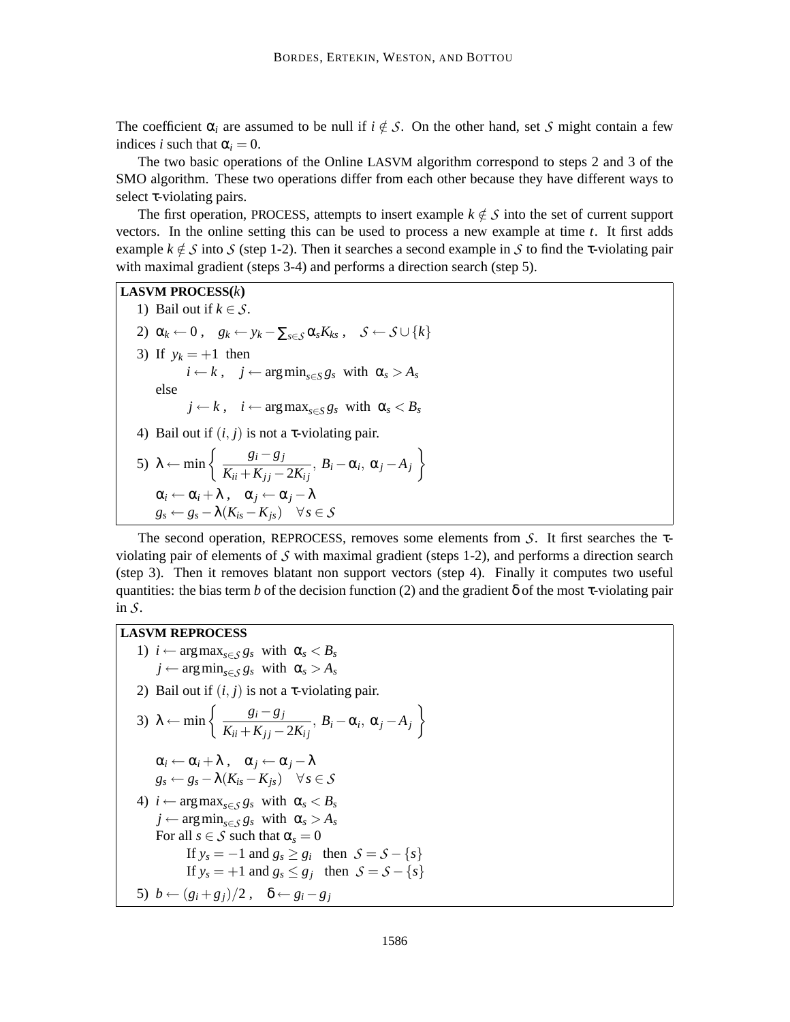The coefficient  $\alpha_i$  are assumed to be null if  $i \notin S$ . On the other hand, set S might contain a few indices *i* such that  $\alpha_i = 0$ .

The two basic operations of the Online LASVM algorithm correspond to steps 2 and 3 of the SMO algorithm. These two operations differ from each other because they have different ways to select τ-violating pairs.

The first operation, PROCESS, attempts to insert example  $k \notin S$  into the set of current support vectors. In the online setting this can be used to process a new example at time *t*. It first adds example  $k \notin S$  into S (step 1-2). Then it searches a second example in S to find the  $\tau$ -violating pair with maximal gradient (steps 3-4) and performs a direction search (step 5).

# **LASVM PROCESS(***k***)**

1) Bail out if  $k \in S$ . 2)  $\alpha_k \leftarrow 0$ ,  $g_k \leftarrow y_k - \sum_{s \in S} \alpha_s K_{ks}$ ,  $S \leftarrow S \cup \{k\}$ 3) If  $y_k = +1$  then  $i \leftarrow k$ ,  $j \leftarrow \arg \min_{s \in S} g_s$  with  $\alpha_s > A_s$ else  $j \leftarrow k$ ,  $i \leftarrow \arg \max_{s \in S} g_s$  with  $\alpha_s < B_s$ 4) Bail out if  $(i, j)$  is not a  $\tau$ -violating pair. 5)  $\lambda \leftarrow \min \left\{ \frac{g_i - g_j}{K_i + K_i} \right\}$  $\left\{\frac{g_i-g_j}{K_{ii}+K_{jj}-2K_{ij}}, B_i-\alpha_i, \alpha_j-A_j\right\}$  $\alpha_i \leftarrow \alpha_i + \lambda$ ,  $\alpha_j \leftarrow \alpha_j - \lambda$  $g_s \leftarrow g_s - \lambda (K_{is} - K_{is}) \quad \forall s \in S$ 

The second operation, REPROCESS, removes some elements from  $S$ . It first searches the  $\tau$ violating pair of elements of  $S$  with maximal gradient (steps 1-2), and performs a direction search (step 3). Then it removes blatant non support vectors (step 4). Finally it computes two useful quantities: the bias term *b* of the decision function (2) and the gradient  $\delta$  of the most  $\tau$ -violating pair in S.

## **LASVM REPROCESS**

1)  $i \leftarrow \arg \max_{s \in S} g_s$  with  $\alpha_s < B_s$  $j \leftarrow \arg \min_{s \in S} g_s$  with  $\alpha_s > A_s$ 2) Bail out if  $(i, j)$  is not a  $\tau$ -violating pair. 3)  $\lambda \leftarrow \min \left\{ \frac{g_i - g_j}{K_i + K_i} \right\}$  $\left\{\frac{g_i - g_j}{K_{ii} + K_{jj} - 2K_{ij}}, B_i - \alpha_i, \alpha_j - A_j\right\}$  $\alpha_i \leftarrow \alpha_i + \lambda$ ,  $\alpha_i \leftarrow \alpha_i - \lambda$  $g_s \leftarrow g_s - \lambda (K_{is} - K_{is}) \quad \forall s \in S$ 4)  $i \leftarrow \arg \max_{s \in S} g_s$  with  $\alpha_s < B_s$  $j \leftarrow \arg \min_{s \in S} g_s$  with  $\alpha_s > A_s$ For all  $s \in S$  such that  $\alpha_s = 0$ If  $y_s = -1$  and  $g_s \ge g_i$  then  $S = S - \{s\}$ If  $y_s = +1$  and  $g_s \leq g_j$  then  $S = S - \{s\}$ 5)  $b \leftarrow (g_i + g_j)/2$ ,  $\delta \leftarrow g_i - g_j$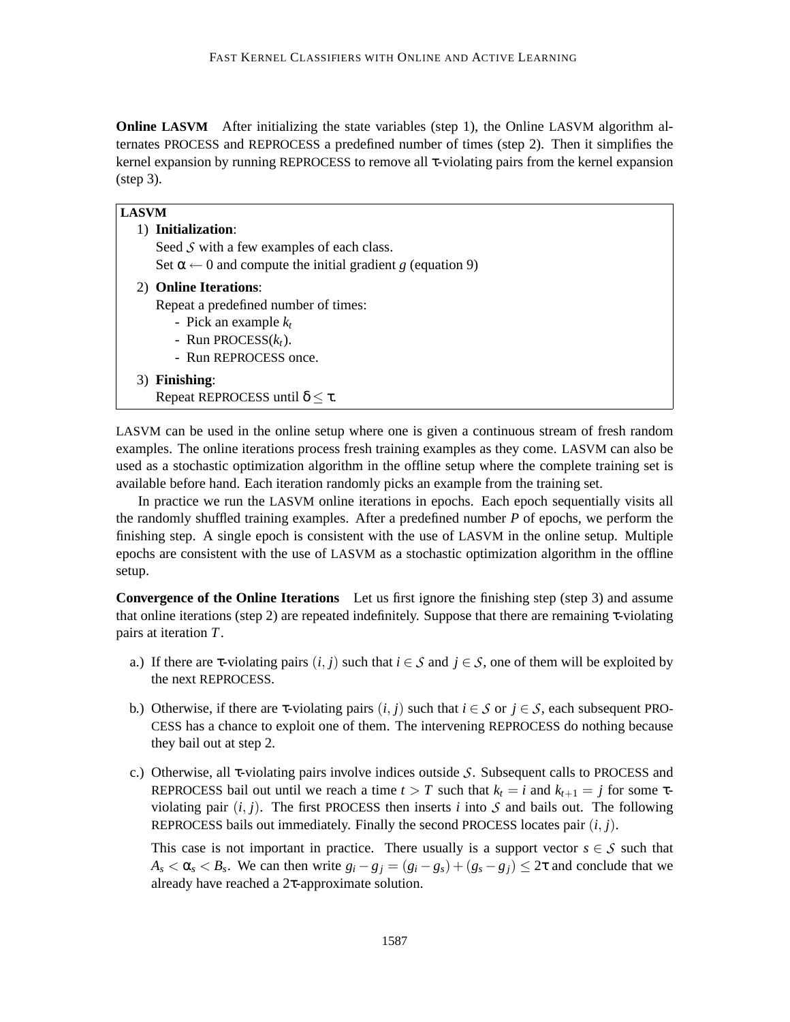**Online LASVM** After initializing the state variables (step 1), the Online LASVM algorithm alternates PROCESS and REPROCESS a predefined number of times (step 2). Then it simplifies the kernel expansion by running REPROCESS to remove all τ-violating pairs from the kernel expansion (step 3).

| <b>LASVM</b>                                                              |
|---------------------------------------------------------------------------|
| Initialization:<br>1)                                                     |
| Seed $S$ with a few examples of each class.                               |
| Set $\alpha \leftarrow 0$ and compute the initial gradient g (equation 9) |
| 2) Online Iterations:                                                     |
| Repeat a predefined number of times:                                      |
| - Pick an example $k_t$                                                   |
| - Run PROCESS $(k_t)$ .                                                   |
| - Run REPROCESS once.                                                     |
| 3) <b>Finishing</b> :                                                     |
| Repeat REPROCESS until $\delta \leq \tau$ .                               |
|                                                                           |

LASVM can be used in the online setup where one is given a continuous stream of fresh random examples. The online iterations process fresh training examples as they come. LASVM can also be used as a stochastic optimization algorithm in the offline setup where the complete training set is available before hand. Each iteration randomly picks an example from the training set.

In practice we run the LASVM online iterations in epochs. Each epoch sequentially visits all the randomly shuffled training examples. After a predefined number *P* of epochs, we perform the finishing step. A single epoch is consistent with the use of LASVM in the online setup. Multiple epochs are consistent with the use of LASVM as a stochastic optimization algorithm in the offline setup.

**Convergence of the Online Iterations** Let us first ignore the finishing step (step 3) and assume that online iterations (step 2) are repeated indefinitely. Suppose that there are remaining τ-violating pairs at iteration *T*.

- a.) If there are  $\tau$ -violating pairs  $(i, j)$  such that  $i \in S$  and  $j \in S$ , one of them will be exploited by the next REPROCESS.
- b.) Otherwise, if there are  $\tau$ -violating pairs  $(i, j)$  such that  $i \in S$  or  $j \in S$ , each subsequent PRO-CESS has a chance to exploit one of them. The intervening REPROCESS do nothing because they bail out at step 2.
- c.) Otherwise, all  $\tau$ -violating pairs involve indices outside S. Subsequent calls to PROCESS and REPROCESS bail out until we reach a time  $t > T$  such that  $k_t = i$  and  $k_{t+1} = j$  for some  $\tau$ violating pair  $(i, j)$ . The first PROCESS then inserts *i* into S and bails out. The following REPROCESS bails out immediately. Finally the second PROCESS locates pair (*i*, *j*).

This case is not important in practice. There usually is a support vector  $s \in S$  such that  $A_s < \alpha_s < B_s$ . We can then write  $g_i - g_j = (g_i - g_s) + (g_s - g_j) \leq 2\tau$  and conclude that we already have reached a 2τ-approximate solution.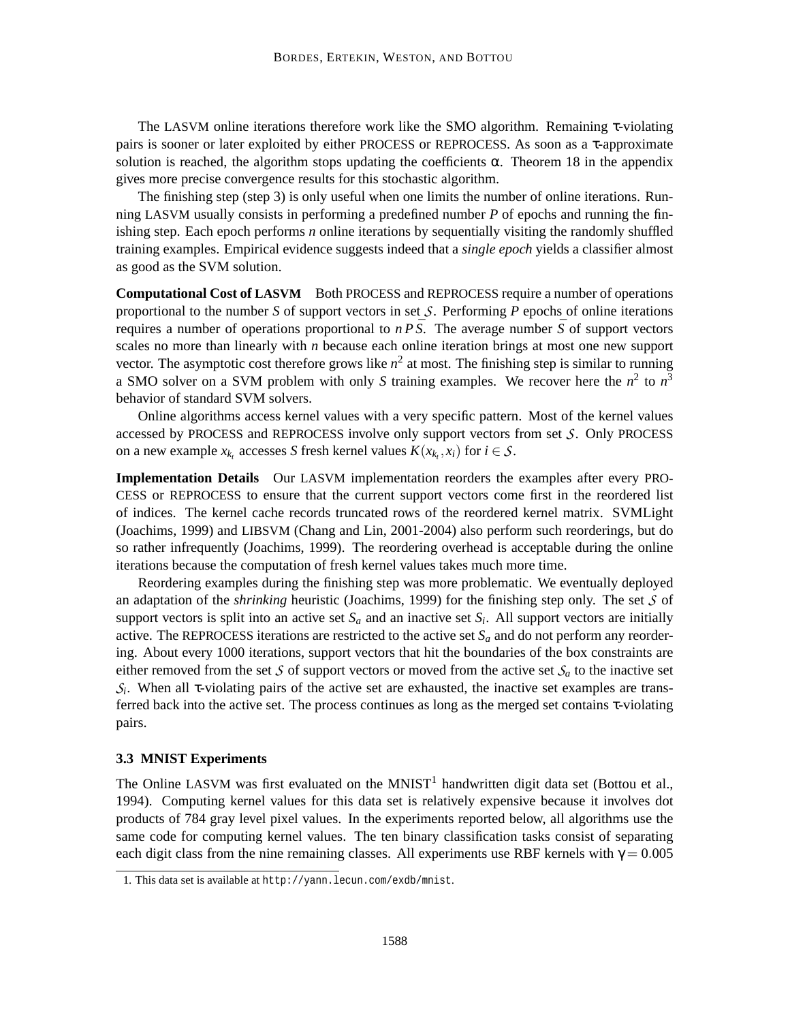The LASVM online iterations therefore work like the SMO algorithm. Remaining  $\tau$ -violating pairs is sooner or later exploited by either PROCESS or REPROCESS. As soon as a τ-approximate solution is reached, the algorithm stops updating the coefficients  $\alpha$ . Theorem 18 in the appendix gives more precise convergence results for this stochastic algorithm.

The finishing step (step 3) is only useful when one limits the number of online iterations. Running LASVM usually consists in performing a predefined number *P* of epochs and running the finishing step. Each epoch performs *n* online iterations by sequentially visiting the randomly shuffled training examples. Empirical evidence suggests indeed that a *single epoch* yields a classifier almost as good as the SVM solution.

**Computational Cost of LASVM** Both PROCESS and REPROCESS require a number of operations proportional to the number *S* of support vectors in set S. Performing *P* epochs of online iterations requires a number of operations proportional to  $n P \overline{S}$ . The average number  $\overline{S}$  of support vectors scales no more than linearly with *n* because each online iteration brings at most one new support vector. The asymptotic cost therefore grows like  $n^2$  at most. The finishing step is similar to running a SMO solver on a SVM problem with only *S* training examples. We recover here the  $n^2$  to  $n^3$ behavior of standard SVM solvers.

Online algorithms access kernel values with a very specific pattern. Most of the kernel values accessed by PROCESS and REPROCESS involve only support vectors from set  $S$ . Only PROCESS on a new example  $x_{k_t}$  accesses *S* fresh kernel values  $K(x_{k_t}, x_i)$  for  $i \in S$ .

**Implementation Details** Our LASVM implementation reorders the examples after every PRO-CESS or REPROCESS to ensure that the current support vectors come first in the reordered list of indices. The kernel cache records truncated rows of the reordered kernel matrix. SVMLight (Joachims, 1999) and LIBSVM (Chang and Lin, 2001-2004) also perform such reorderings, but do so rather infrequently (Joachims, 1999). The reordering overhead is acceptable during the online iterations because the computation of fresh kernel values takes much more time.

Reordering examples during the finishing step was more problematic. We eventually deployed an adaptation of the *shrinking* heuristic (Joachims, 1999) for the finishing step only. The set  $S$  of support vectors is split into an active set  $S_a$  and an inactive set  $S_i$ . All support vectors are initially active. The REPROCESS iterations are restricted to the active set  $S_a$  and do not perform any reordering. About every 1000 iterations, support vectors that hit the boundaries of the box constraints are either removed from the set S of support vectors or moved from the active set  $S_a$  to the inactive set  $S_i$ . When all  $\tau$ -violating pairs of the active set are exhausted, the inactive set examples are transferred back into the active set. The process continues as long as the merged set contains τ-violating pairs.

## **3.3 MNIST Experiments**

The Online LASVM was first evaluated on the MNIST<sup>1</sup> handwritten digit data set (Bottou et al., 1994). Computing kernel values for this data set is relatively expensive because it involves dot products of 784 gray level pixel values. In the experiments reported below, all algorithms use the same code for computing kernel values. The ten binary classification tasks consist of separating each digit class from the nine remaining classes. All experiments use RBF kernels with  $\gamma = 0.005$ 

<sup>1.</sup> This data set is available at http://yann.lecun.com/exdb/mnist.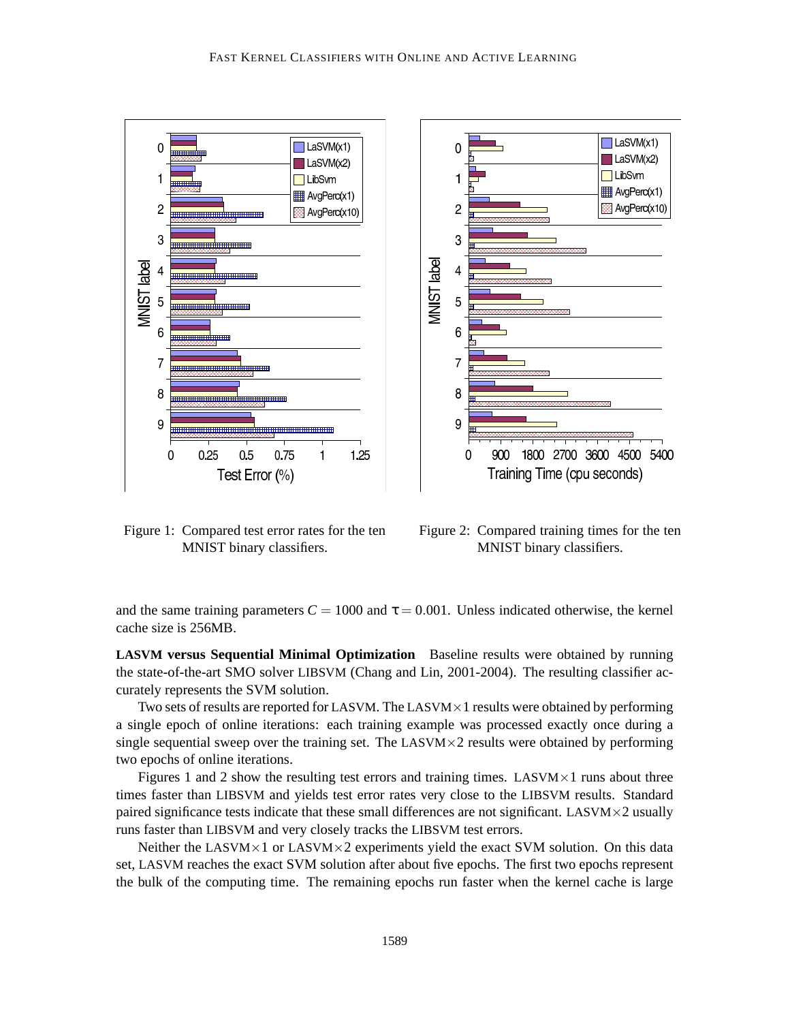

Figure 1: Compared test error rates for the ten MNIST binary classifiers.



Figure 2: Compared training times for the ten MNIST binary classifiers.

and the same training parameters  $C = 1000$  and  $\tau = 0.001$ . Unless indicated otherwise, the kernel cache size is 256MB.

**LASVM versus Sequential Minimal Optimization** Baseline results were obtained by running the state-of-the-art SMO solver LIBSVM (Chang and Lin, 2001-2004). The resulting classifier accurately represents the SVM solution.

Two sets of results are reported for LASVM. The LASVM×1 results were obtained by performing a single epoch of online iterations: each training example was processed exactly once during a single sequential sweep over the training set. The LASVM $\times$ 2 results were obtained by performing two epochs of online iterations.

Figures 1 and 2 show the resulting test errors and training times. LASVM $\times$ 1 runs about three times faster than LIBSVM and yields test error rates very close to the LIBSVM results. Standard paired significance tests indicate that these small differences are not significant. LASVM $\times$ 2 usually runs faster than LIBSVM and very closely tracks the LIBSVM test errors.

Neither the LASVM $\times$ 1 or LASVM $\times$ 2 experiments yield the exact SVM solution. On this data set, LASVM reaches the exact SVM solution after about five epochs. The first two epochs represent the bulk of the computing time. The remaining epochs run faster when the kernel cache is large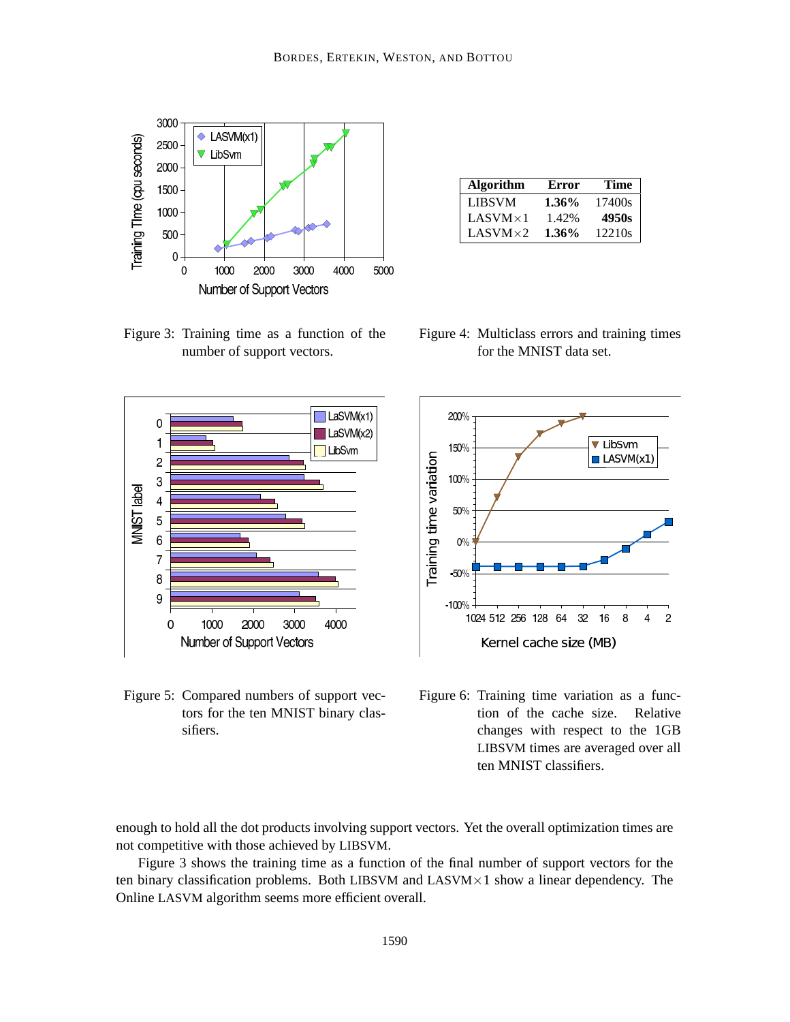

**Algorithm Error Time** LIBSVM **1.36%** 17400s LASVM×1 1.42% **4950s** LASVM×2 **1.36%** 12210s

Figure 3: Training time as a function of the number of support vectors.



Figure 5: Compared numbers of support vectors for the ten MNIST binary classifiers.

Figure 4: Multiclass errors and training times for the MNIST data set.



Figure 6: Training time variation as a function of the cache size. Relative changes with respect to the 1GB LIBSVM times are averaged over all ten MNIST classifiers.

enough to hold all the dot products involving support vectors. Yet the overall optimization times are not competitive with those achieved by LIBSVM.

Figure 3 shows the training time as a function of the final number of support vectors for the ten binary classification problems. Both LIBSVM and LASVM×1 show a linear dependency. The Online LASVM algorithm seems more efficient overall.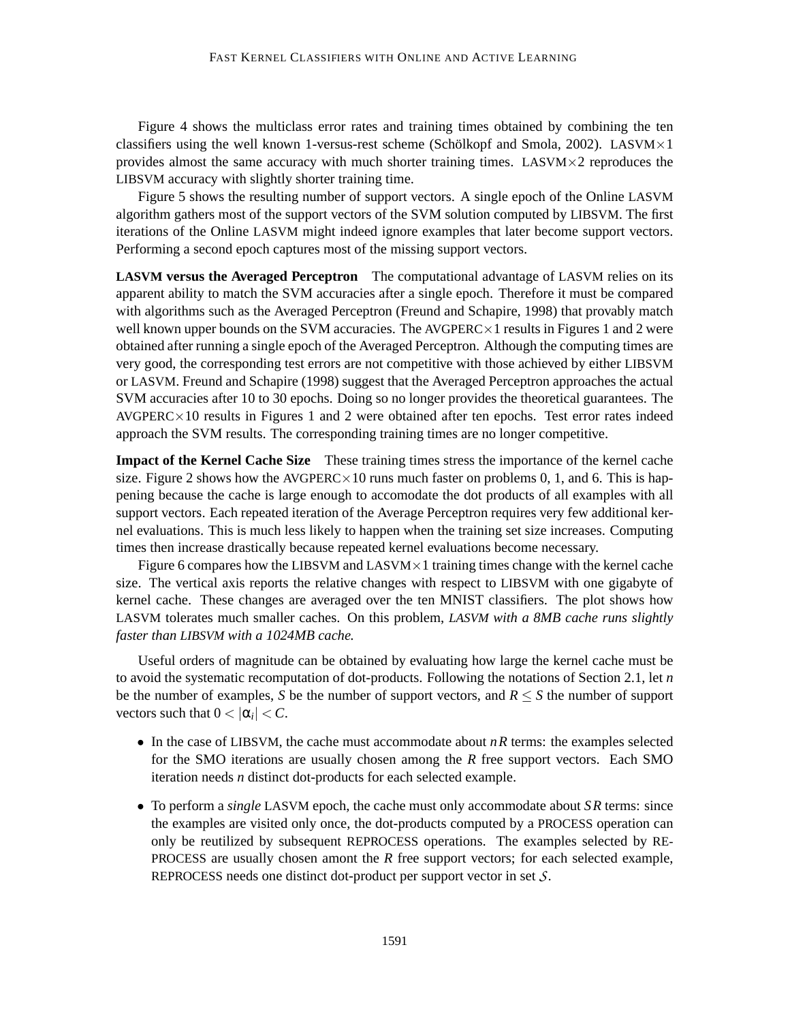Figure 4 shows the multiclass error rates and training times obtained by combining the ten classifiers using the well known 1-versus-rest scheme (Schölkopf and Smola, 2002). LASVM $\times 1$ provides almost the same accuracy with much shorter training times. LASVM $\times$ 2 reproduces the LIBSVM accuracy with slightly shorter training time.

Figure 5 shows the resulting number of support vectors. A single epoch of the Online LASVM algorithm gathers most of the support vectors of the SVM solution computed by LIBSVM. The first iterations of the Online LASVM might indeed ignore examples that later become support vectors. Performing a second epoch captures most of the missing support vectors.

**LASVM versus the Averaged Perceptron** The computational advantage of LASVM relies on its apparent ability to match the SVM accuracies after a single epoch. Therefore it must be compared with algorithms such as the Averaged Perceptron (Freund and Schapire, 1998) that provably match well known upper bounds on the SVM accuracies. The AVGPERC $\times$ 1 results in Figures 1 and 2 were obtained after running a single epoch of the Averaged Perceptron. Although the computing times are very good, the corresponding test errors are not competitive with those achieved by either LIBSVM or LASVM. Freund and Schapire (1998) suggest that the Averaged Perceptron approaches the actual SVM accuracies after 10 to 30 epochs. Doing so no longer provides the theoretical guarantees. The  $AVGPERC \times 10$  results in Figures 1 and 2 were obtained after ten epochs. Test error rates indeed approach the SVM results. The corresponding training times are no longer competitive.

**Impact of the Kernel Cache Size** These training times stress the importance of the kernel cache size. Figure 2 shows how the AVGPERC $\times$ 10 runs much faster on problems 0, 1, and 6. This is happening because the cache is large enough to accomodate the dot products of all examples with all support vectors. Each repeated iteration of the Average Perceptron requires very few additional kernel evaluations. This is much less likely to happen when the training set size increases. Computing times then increase drastically because repeated kernel evaluations become necessary.

Figure 6 compares how the LIBSVM and LASVM $\times$ 1 training times change with the kernel cache size. The vertical axis reports the relative changes with respect to LIBSVM with one gigabyte of kernel cache. These changes are averaged over the ten MNIST classifiers. The plot shows how LASVM tolerates much smaller caches. On this problem, *LASVM with a 8MB cache runs slightly faster than LIBSVM with a 1024MB cache.*

Useful orders of magnitude can be obtained by evaluating how large the kernel cache must be to avoid the systematic recomputation of dot-products. Following the notations of Section 2.1, let *n* be the number of examples, *S* be the number of support vectors, and  $R \leq S$  the number of support vectors such that  $0 < |\alpha_i| < C$ .

- In the case of LIBSVM, the cache must accommodate about *nR* terms: the examples selected for the SMO iterations are usually chosen among the *R* free support vectors. Each SMO iteration needs *n* distinct dot-products for each selected example.
- To perform a *single* LASVM epoch, the cache must only accommodate about *SR* terms: since the examples are visited only once, the dot-products computed by a PROCESS operation can only be reutilized by subsequent REPROCESS operations. The examples selected by RE-PROCESS are usually chosen amont the *R* free support vectors; for each selected example, REPROCESS needs one distinct dot-product per support vector in set S.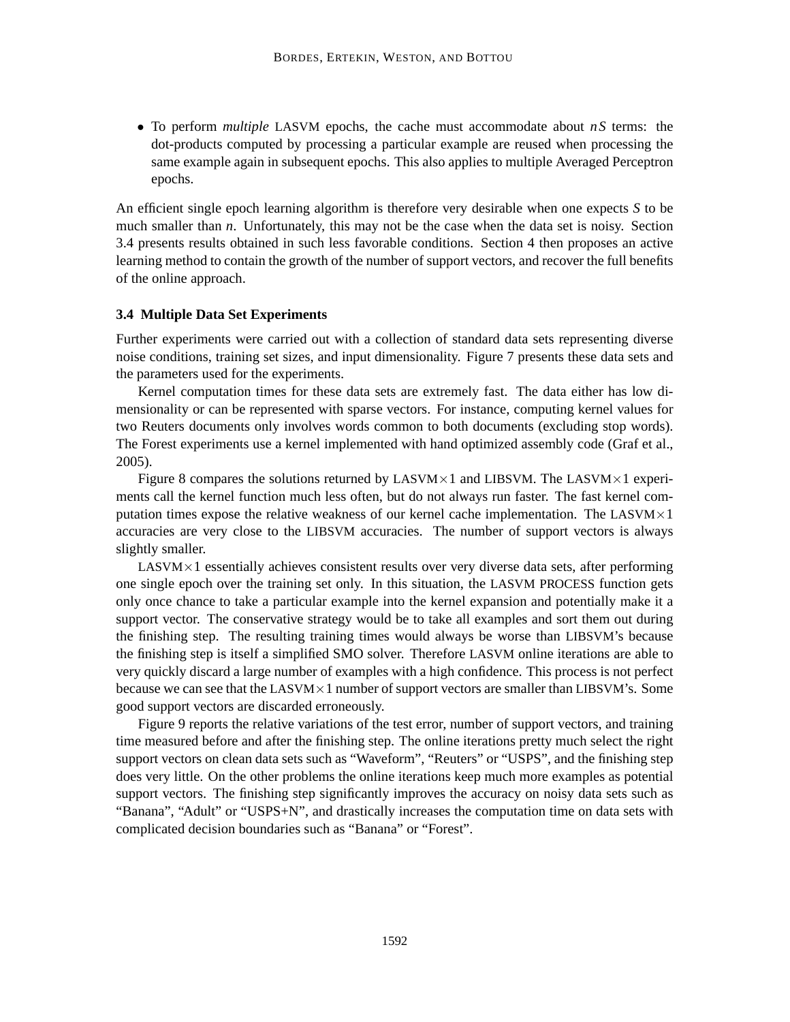• To perform *multiple* LASVM epochs, the cache must accommodate about *nS* terms: the dot-products computed by processing a particular example are reused when processing the same example again in subsequent epochs. This also applies to multiple Averaged Perceptron epochs.

An efficient single epoch learning algorithm is therefore very desirable when one expects *S* to be much smaller than *n*. Unfortunately, this may not be the case when the data set is noisy. Section 3.4 presents results obtained in such less favorable conditions. Section 4 then proposes an active learning method to contain the growth of the number of support vectors, and recover the full benefits of the online approach.

#### **3.4 Multiple Data Set Experiments**

Further experiments were carried out with a collection of standard data sets representing diverse noise conditions, training set sizes, and input dimensionality. Figure 7 presents these data sets and the parameters used for the experiments.

Kernel computation times for these data sets are extremely fast. The data either has low dimensionality or can be represented with sparse vectors. For instance, computing kernel values for two Reuters documents only involves words common to both documents (excluding stop words). The Forest experiments use a kernel implemented with hand optimized assembly code (Graf et al., 2005).

Figure 8 compares the solutions returned by  $LASVM \times 1$  and  $LIBSVM$ . The  $LASVM \times 1$  experiments call the kernel function much less often, but do not always run faster. The fast kernel computation times expose the relative weakness of our kernel cache implementation. The LASVM $\times$ 1 accuracies are very close to the LIBSVM accuracies. The number of support vectors is always slightly smaller.

 $LASVM \times 1$  essentially achieves consistent results over very diverse data sets, after performing one single epoch over the training set only. In this situation, the LASVM PROCESS function gets only once chance to take a particular example into the kernel expansion and potentially make it a support vector. The conservative strategy would be to take all examples and sort them out during the finishing step. The resulting training times would always be worse than LIBSVM's because the finishing step is itself a simplified SMO solver. Therefore LASVM online iterations are able to very quickly discard a large number of examples with a high confidence. This process is not perfect because we can see that the LASVM×1 number of support vectors are smaller than LIBSVM's. Some good support vectors are discarded erroneously.

Figure 9 reports the relative variations of the test error, number of support vectors, and training time measured before and after the finishing step. The online iterations pretty much select the right support vectors on clean data sets such as "Waveform", "Reuters" or "USPS", and the finishing step does very little. On the other problems the online iterations keep much more examples as potential support vectors. The finishing step significantly improves the accuracy on noisy data sets such as "Banana", "Adult" or "USPS+N", and drastically increases the computation time on data sets with complicated decision boundaries such as "Banana" or "Forest".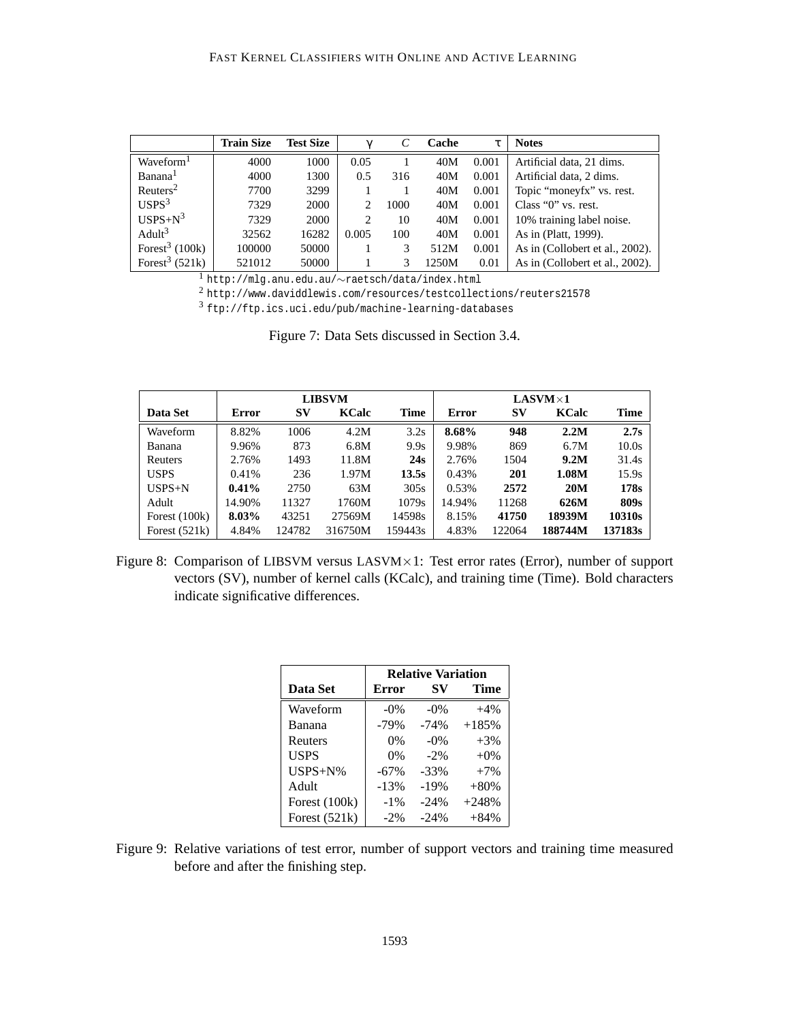|                            | <b>Train Size</b> | <b>Test Size</b> | $\sim$         |      | Cache | τ     | <b>Notes</b>                    |
|----------------------------|-------------------|------------------|----------------|------|-------|-------|---------------------------------|
| Waveform <sup>1</sup>      | 4000              | 1000             | 0.05           |      | 40M   | 0.001 | Artificial data, 21 dims.       |
| Banana <sup>1</sup>        | 4000              | 1300             | 0.5            | 316  | 40M   | 0.001 | Artificial data, 2 dims.        |
| Reuters <sup>2</sup>       | 7700              | 3299             |                |      | 40M   | 0.001 | Topic "moneyfx" vs. rest.       |
| $USPS3$                    | 7329              | 2000             | 2              | 1000 | 40M   | 0.001 | Class "0" vs. rest.             |
| $USPS+N^3$                 | 7329              | 2000             | $\mathfrak{D}$ | 10   | 40M   | 0.001 | 10% training label noise.       |
| $A \text{dult}^3$          | 32562             | 16282            | 0.005          | 100  | 40M   | 0.001 | As in (Platt, 1999).            |
| Forest <sup>3</sup> (100k) | 100000            | 50000            |                | 3    | 512M  | 0.001 | As in (Collobert et al., 2002). |
| Forest <sup>3</sup> (521k) | 521012            | 50000            |                |      | 1250M | 0.01  | As in (Collobert et al., 2002). |

<sup>1</sup> http://mlg.anu.edu.au/∼raetsch/data/index.html

 $^2$  http://www.daviddlewis.com/resources/testcollections/reuters21578

 $3$  ftp://ftp.ics.uci.edu/pub/machine-learning-databases

Figure 7: Data Sets discussed in Section 3.4.

|                 | <b>LIBSVM</b> |         |              |                   | $LASVM\times1$ |         |              |                    |
|-----------------|---------------|---------|--------------|-------------------|----------------|---------|--------------|--------------------|
| Data Set        | Error         | $S_{V}$ | <b>KCalc</b> | Time              | Error          | $S_{V}$ | <b>KCalc</b> | <b>Time</b>        |
| Waveform        | 8.82%         | 1006    | 4.2M         | 3.2s              | 8.68%          | 948     | 2.2M         | 2.7s               |
| Banana          | 9.96%         | 873     | 6.8M         | 9.9s              | 9.98%          | 869     | 6.7M         | 10.0s              |
| Reuters         | 2.76%         | 1493    | 11.8M        | 24s               | 2.76%          | 1504    | 9.2M         | 31.4s              |
| <b>USPS</b>     | 0.41%         | 236     | 1.97M        | 13.5s             | 0.43%          | 201     | 1.08M        | 15.9s              |
| $USPS+N$        | 0.41%         | 2750    | 63M          | 305s              | 0.53%          | 2572    | 20M          | 178s               |
| Adult           | 14.90%        | 11327   | 1760M        | 1079 <sub>s</sub> | 14.94%         | 11268   | 626M         | 809s               |
| Forest $(100k)$ | 8.03%         | 43251   | 27569M       | 14598s            | 8.15%          | 41750   | 18939M       | 10310 <sub>s</sub> |
| Forest $(521k)$ | 4.84%         | 124782  | 316750M      | 159443s           | 4.83%          | 122064  | 188744M      | 137183s            |

Figure 8: Comparison of LIBSVM versus LASVM×1: Test error rates (Error), number of support vectors (SV), number of kernel calls (KCalc), and training time (Time). Bold characters indicate significative differences.

|               | <b>Relative Variation</b> |        |         |  |  |  |
|---------------|---------------------------|--------|---------|--|--|--|
| Data Set      | Error                     | SV     | Time    |  |  |  |
| Waveform      | $-0\%$                    | $-0\%$ | $+4%$   |  |  |  |
| Banana        | $-79%$                    | $-74%$ | $+185%$ |  |  |  |
| Reuters       | $0\%$                     | $-0\%$ | $+3\%$  |  |  |  |
| <b>USPS</b>   | 0%                        | $-2\%$ | $+0\%$  |  |  |  |
| USPS+N%       | $-67%$                    | $-33%$ | $+7%$   |  |  |  |
| Adult         | $-13%$                    | $-19%$ | $+80%$  |  |  |  |
| Forest (100k) | $-1\%$                    | $-24%$ | $+248%$ |  |  |  |
| Forest (521k) | $-2\%$                    | $-24%$ | $+84%$  |  |  |  |

Figure 9: Relative variations of test error, number of support vectors and training time measured before and after the finishing step.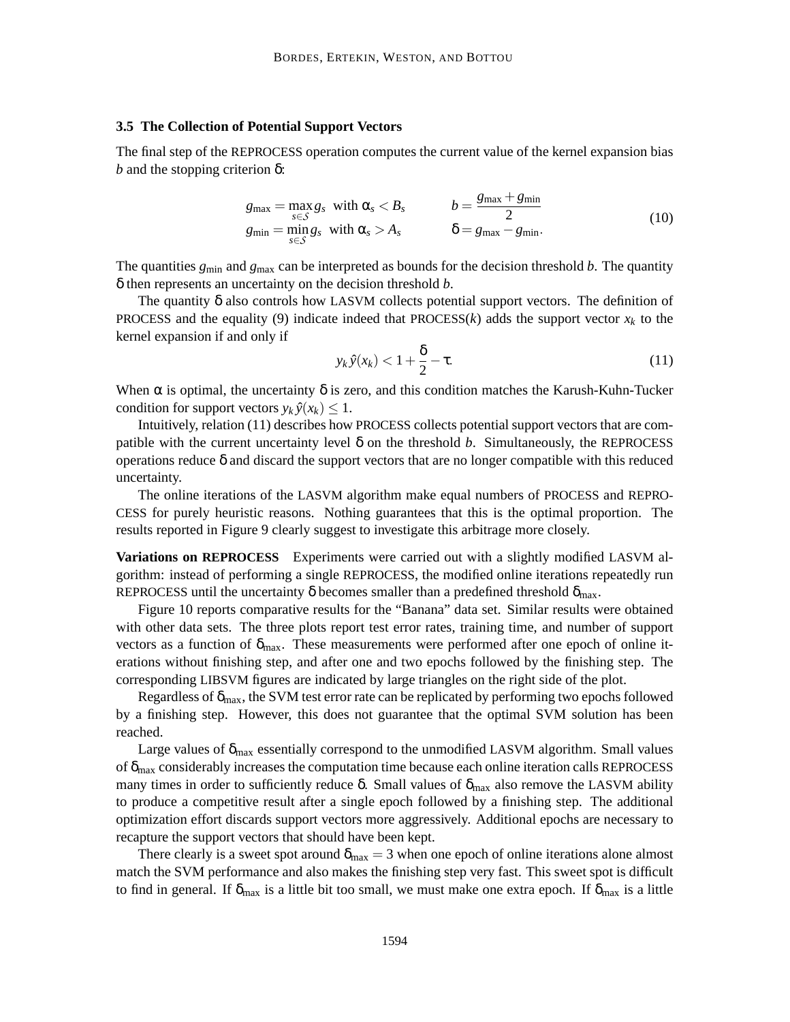#### **3.5 The Collection of Potential Support Vectors**

The final step of the REPROCESS operation computes the current value of the kernel expansion bias *b* and the stopping criterion δ:

$$
g_{\max} = \max_{s \in S} g_s \text{ with } \alpha_s < B_s \qquad b = \frac{g_{\max} + g_{\min}}{2}
$$
\n
$$
g_{\min} = \min_{s \in S} g_s \text{ with } \alpha_s > A_s \qquad \delta = g_{\max} - g_{\min}. \tag{10}
$$

The quantities *g*min and *g*max can be interpreted as bounds for the decision threshold *b*. The quantity δ then represents an uncertainty on the decision threshold *b*.

The quantity δ also controls how LASVM collects potential support vectors. The definition of PROCESS and the equality (9) indicate indeed that  $PROCESS(k)$  adds the support vector  $x_k$  to the kernel expansion if and only if

$$
y_k \hat{y}(x_k) < 1 + \frac{\delta}{2} - \tau. \tag{11}
$$

When  $\alpha$  is optimal, the uncertainty  $\delta$  is zero, and this condition matches the Karush-Kuhn-Tucker condition for support vectors  $y_k \hat{y}(x_k) \leq 1$ .

Intuitively, relation (11) describes how PROCESS collects potential support vectors that are compatible with the current uncertainty level  $\delta$  on the threshold *b*. Simultaneously, the REPROCESS operations reduce δ and discard the support vectors that are no longer compatible with this reduced uncertainty.

The online iterations of the LASVM algorithm make equal numbers of PROCESS and REPRO-CESS for purely heuristic reasons. Nothing guarantees that this is the optimal proportion. The results reported in Figure 9 clearly suggest to investigate this arbitrage more closely.

**Variations on REPROCESS** Experiments were carried out with a slightly modified LASVM algorithm: instead of performing a single REPROCESS, the modified online iterations repeatedly run REPROCESS until the uncertainty  $\delta$  becomes smaller than a predefined threshold  $\delta_{\text{max}}$ .

Figure 10 reports comparative results for the "Banana" data set. Similar results were obtained with other data sets. The three plots report test error rates, training time, and number of support vectors as a function of  $\delta_{\text{max}}$ . These measurements were performed after one epoch of online iterations without finishing step, and after one and two epochs followed by the finishing step. The corresponding LIBSVM figures are indicated by large triangles on the right side of the plot.

Regardless of  $\delta_{\text{max}}$ , the SVM test error rate can be replicated by performing two epochs followed by a finishing step. However, this does not guarantee that the optimal SVM solution has been reached.

Large values of  $\delta_{\text{max}}$  essentially correspond to the unmodified LASVM algorithm. Small values of  $\delta_{\text{max}}$  considerably increases the computation time because each online iteration calls REPROCESS many times in order to sufficiently reduce  $\delta$ . Small values of  $\delta_{\text{max}}$  also remove the LASVM ability to produce a competitive result after a single epoch followed by a finishing step. The additional optimization effort discards support vectors more aggressively. Additional epochs are necessary to recapture the support vectors that should have been kept.

There clearly is a sweet spot around  $\delta_{\text{max}} = 3$  when one epoch of online iterations alone almost match the SVM performance and also makes the finishing step very fast. This sweet spot is difficult to find in general. If  $\delta_{\text{max}}$  is a little bit too small, we must make one extra epoch. If  $\delta_{\text{max}}$  is a little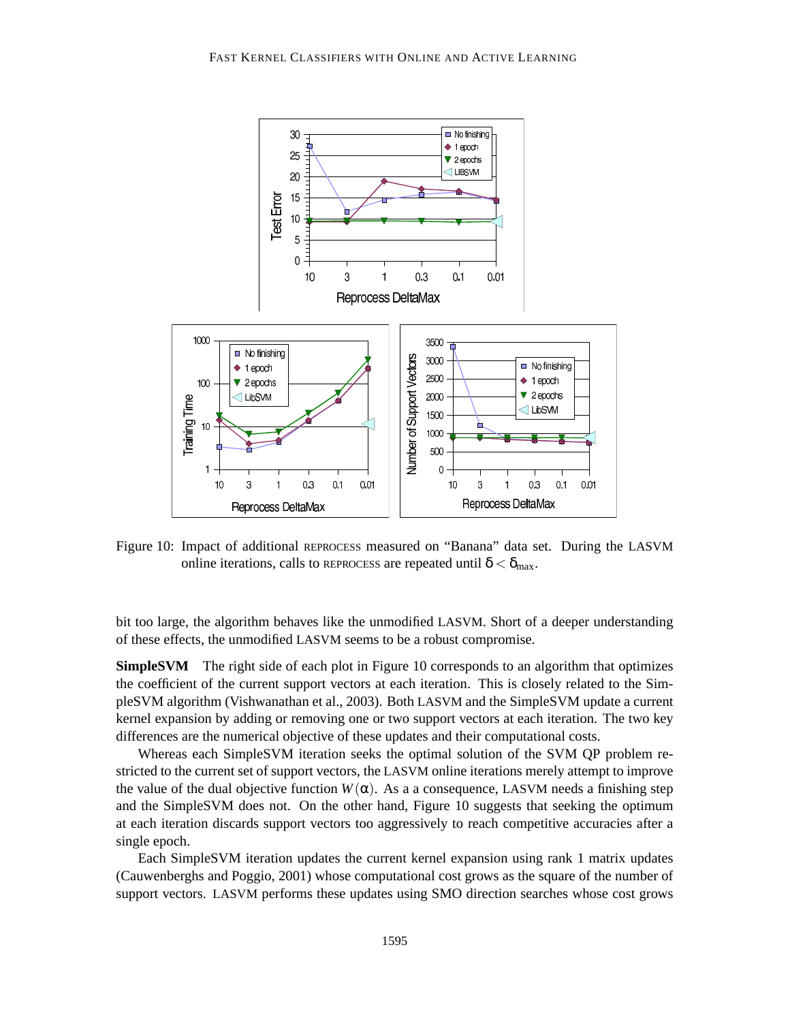

Figure 10: Impact of additional REPROCESS measured on "Banana" data set. During the LASVM online iterations, calls to REPROCESS are repeated until  $\delta < \delta_{\text{max}}$ .

bit too large, the algorithm behaves like the unmodified LASVM. Short of a deeper understanding of these effects, the unmodified LASVM seems to be a robust compromise.

**SimpleSVM** The right side of each plot in Figure 10 corresponds to an algorithm that optimizes the coefficient of the current support vectors at each iteration. This is closely related to the SimpleSVM algorithm (Vishwanathan et al., 2003). Both LASVM and the SimpleSVM update a current kernel expansion by adding or removing one or two support vectors at each iteration. The two key differences are the numerical objective of these updates and their computational costs.

Whereas each SimpleSVM iteration seeks the optimal solution of the SVM QP problem restricted to the current set of support vectors, the LASVM online iterations merely attempt to improve the value of the dual objective function  $W(\alpha)$ . As a a consequence, LASVM needs a finishing step and the SimpleSVM does not. On the other hand, Figure 10 suggests that seeking the optimum at each iteration discards support vectors too aggressively to reach competitive accuracies after a single epoch.

Each SimpleSVM iteration updates the current kernel expansion using rank 1 matrix updates (Cauwenberghs and Poggio, 2001) whose computational cost grows as the square of the number of support vectors. LASVM performs these updates using SMO direction searches whose cost grows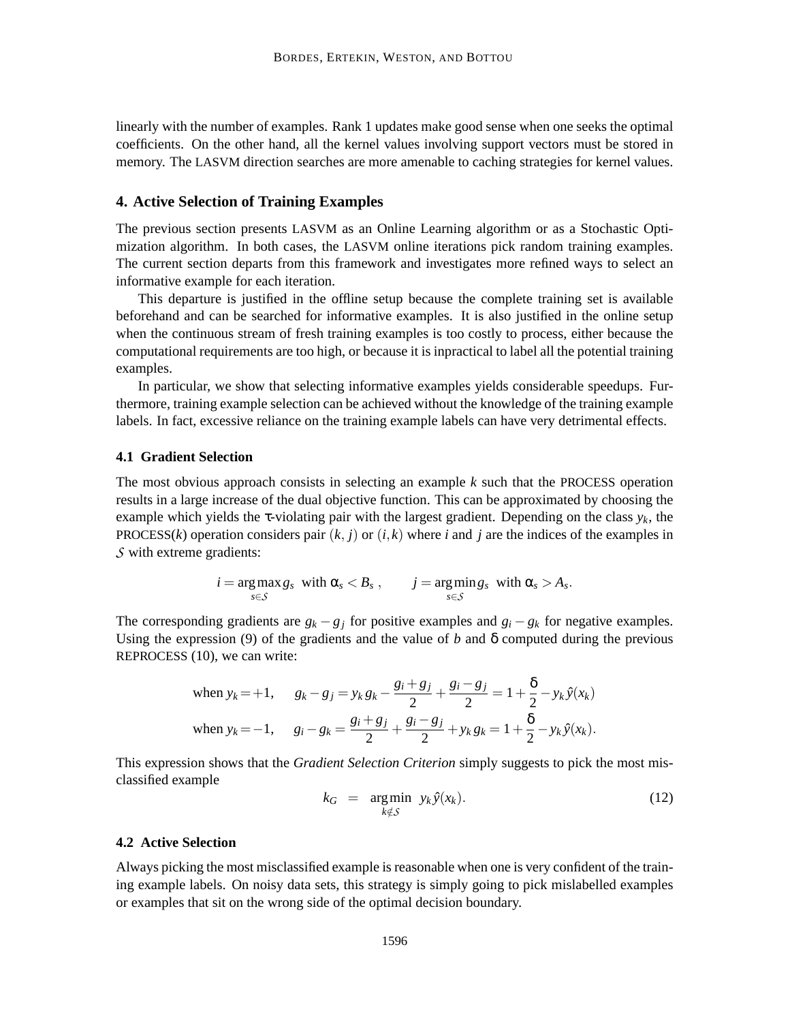linearly with the number of examples. Rank 1 updates make good sense when one seeks the optimal coefficients. On the other hand, all the kernel values involving support vectors must be stored in memory. The LASVM direction searches are more amenable to caching strategies for kernel values.

# **4. Active Selection of Training Examples**

The previous section presents LASVM as an Online Learning algorithm or as a Stochastic Optimization algorithm. In both cases, the LASVM online iterations pick random training examples. The current section departs from this framework and investigates more refined ways to select an informative example for each iteration.

This departure is justified in the offline setup because the complete training set is available beforehand and can be searched for informative examples. It is also justified in the online setup when the continuous stream of fresh training examples is too costly to process, either because the computational requirements are too high, or because it is inpractical to label all the potential training examples.

In particular, we show that selecting informative examples yields considerable speedups. Furthermore, training example selection can be achieved without the knowledge of the training example labels. In fact, excessive reliance on the training example labels can have very detrimental effects.

## **4.1 Gradient Selection**

The most obvious approach consists in selecting an example *k* such that the PROCESS operation results in a large increase of the dual objective function. This can be approximated by choosing the example which yields the  $\tau$ -violating pair with the largest gradient. Depending on the class  $y_k$ , the PROCESS( $k$ ) operation considers pair  $(k, j)$  or  $(i, k)$  where *i* and *j* are the indices of the examples in  $S$  with extreme gradients:

$$
i = \argmax_{s \in S} g_s \text{ with } \alpha_s < B_s , \qquad j = \argmin_{s \in S} g_s \text{ with } \alpha_s > A_s.
$$

The corresponding gradients are  $g_k - g_j$  for positive examples and  $g_i - g_k$  for negative examples. Using the expression (9) of the gradients and the value of  $b$  and  $\delta$  computed during the previous REPROCESS (10), we can write:

when 
$$
y_k = +1
$$
,  $g_k - g_j = y_k g_k - \frac{g_i + g_j}{2} + \frac{g_i - g_j}{2} = 1 + \frac{\delta}{2} - y_k \hat{y}(x_k)$   
when  $y_k = -1$ ,  $g_i - g_k = \frac{g_i + g_j}{2} + \frac{g_i - g_j}{2} + y_k g_k = 1 + \frac{\delta}{2} - y_k \hat{y}(x_k)$ .

This expression shows that the *Gradient Selection Criterion* simply suggests to pick the most misclassified example

$$
k_G = \underset{k \notin \mathcal{S}}{\arg \min} \ \ y_k \, \hat{y}(x_k). \tag{12}
$$

#### **4.2 Active Selection**

Always picking the most misclassified example is reasonable when one is very confident of the training example labels. On noisy data sets, this strategy is simply going to pick mislabelled examples or examples that sit on the wrong side of the optimal decision boundary.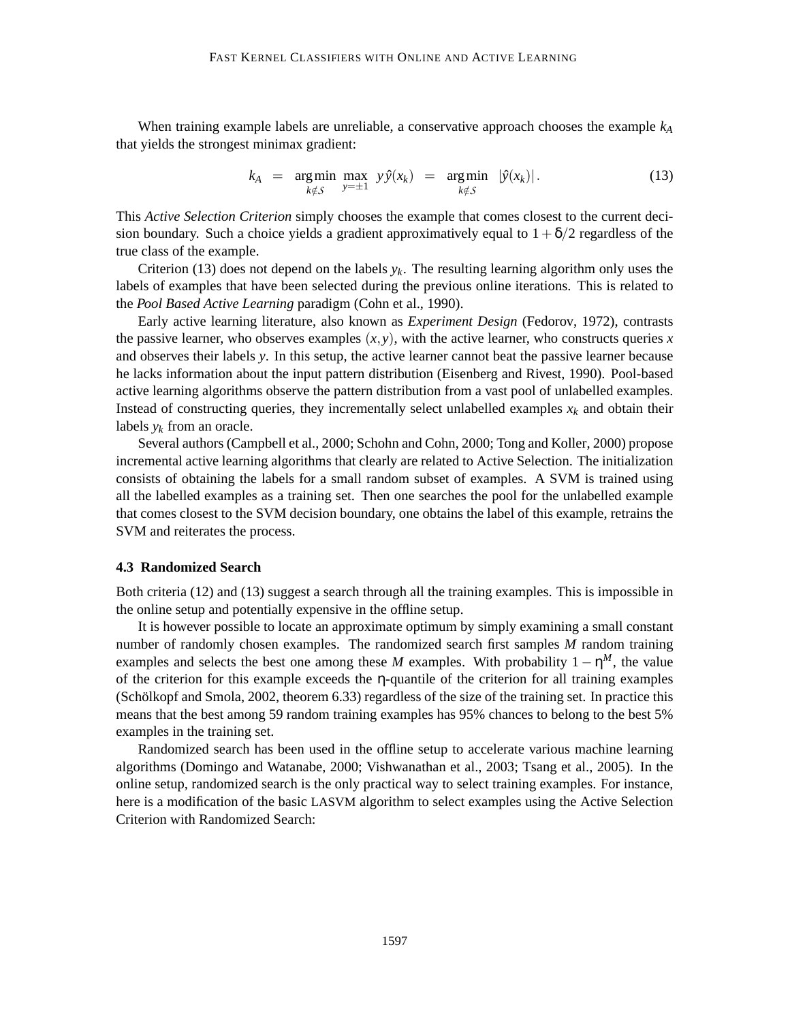When training example labels are unreliable, a conservative approach chooses the example *k<sup>A</sup>* that yields the strongest minimax gradient:

$$
k_A = \underset{k \notin S}{\arg \min} \max_{y = \pm 1} y \hat{y}(x_k) = \underset{k \notin S}{\arg \min} |\hat{y}(x_k)|. \tag{13}
$$

This *Active Selection Criterion* simply chooses the example that comes closest to the current decision boundary. Such a choice yields a gradient approximatively equal to  $1+\delta/2$  regardless of the true class of the example.

Criterion (13) does not depend on the labels  $y_k$ . The resulting learning algorithm only uses the labels of examples that have been selected during the previous online iterations. This is related to the *Pool Based Active Learning* paradigm (Cohn et al., 1990).

Early active learning literature, also known as *Experiment Design* (Fedorov, 1972), contrasts the passive learner, who observes examples  $(x, y)$ , with the active learner, who constructs queries  $x$ and observes their labels *y*. In this setup, the active learner cannot beat the passive learner because he lacks information about the input pattern distribution (Eisenberg and Rivest, 1990). Pool-based active learning algorithms observe the pattern distribution from a vast pool of unlabelled examples. Instead of constructing queries, they incrementally select unlabelled examples  $x_k$  and obtain their labels  $y_k$  from an oracle.

Several authors (Campbell et al., 2000; Schohn and Cohn, 2000; Tong and Koller, 2000) propose incremental active learning algorithms that clearly are related to Active Selection. The initialization consists of obtaining the labels for a small random subset of examples. A SVM is trained using all the labelled examples as a training set. Then one searches the pool for the unlabelled example that comes closest to the SVM decision boundary, one obtains the label of this example, retrains the SVM and reiterates the process.

#### **4.3 Randomized Search**

Both criteria (12) and (13) suggest a search through all the training examples. This is impossible in the online setup and potentially expensive in the offline setup.

It is however possible to locate an approximate optimum by simply examining a small constant number of randomly chosen examples. The randomized search first samples *M* random training examples and selects the best one among these *M* examples. With probability  $1 - \eta^M$ , the value of the criterion for this example exceeds the η-quantile of the criterion for all training examples  $(Schölkopf and Smola, 2002, theorem 6.33) regardless of the size of the training set. In practice this$ means that the best among 59 random training examples has 95% chances to belong to the best 5% examples in the training set.

Randomized search has been used in the offline setup to accelerate various machine learning algorithms (Domingo and Watanabe, 2000; Vishwanathan et al., 2003; Tsang et al., 2005). In the online setup, randomized search is the only practical way to select training examples. For instance, here is a modification of the basic LASVM algorithm to select examples using the Active Selection Criterion with Randomized Search: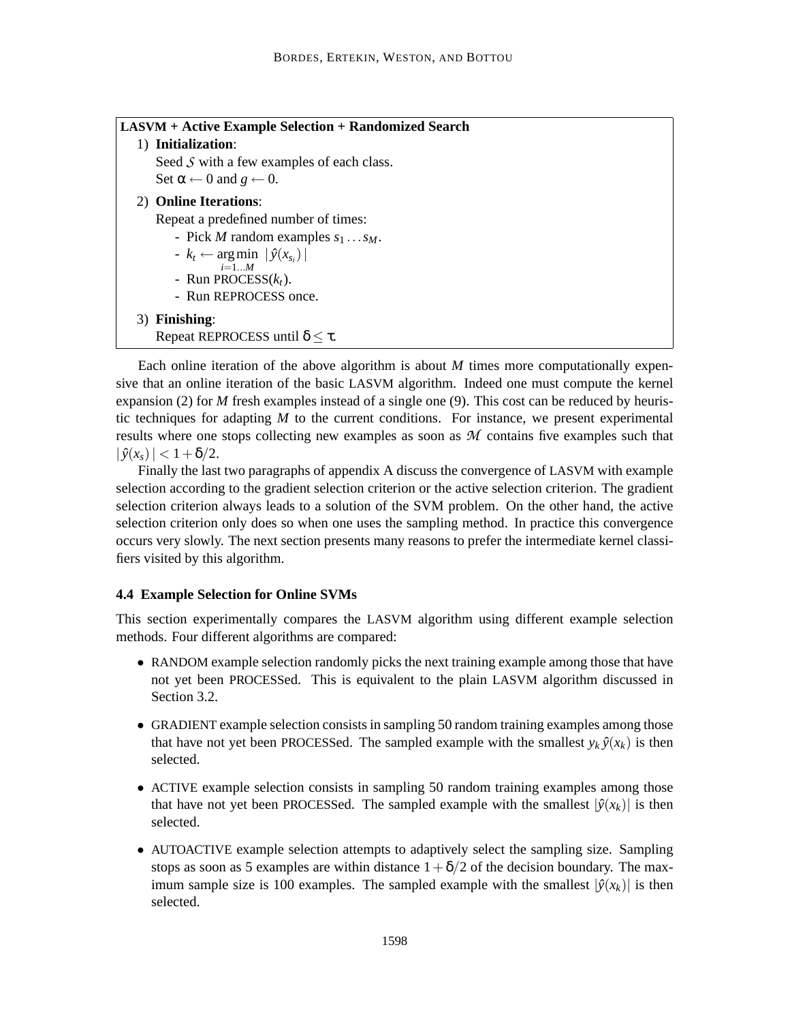| <b>LASVM + Active Example Selection + Randomized Search</b> |
|-------------------------------------------------------------|
| 1) Initialization:                                          |
| Seed $S$ with a few examples of each class.                 |
| Set $\alpha \leftarrow 0$ and $g \leftarrow 0$ .            |
| 2) Online Iterations:                                       |
| Repeat a predefined number of times:                        |
| - Pick <i>M</i> random examples $s_1 \dots s_M$ .           |
| $-k_t \leftarrow \arg\min \left  \hat{y}(x_{s_i}) \right $  |
| $i=1M$<br>- Run PROCESS $(k_t)$ .                           |
| - Run REPROCESS once.                                       |
|                                                             |
| 3) Finishing:                                               |
| Repeat REPROCESS until $\delta \leq \tau$ .                 |

Each online iteration of the above algorithm is about *M* times more computationally expensive that an online iteration of the basic LASVM algorithm. Indeed one must compute the kernel expansion (2) for *M* fresh examples instead of a single one (9). This cost can be reduced by heuristic techniques for adapting  $M$  to the current conditions. For instance, we present experimental results where one stops collecting new examples as soon as  $M$  contains five examples such that  $|\hat{y}(x_s)| < 1+\delta/2.$ 

Finally the last two paragraphs of appendix A discuss the convergence of LASVM with example selection according to the gradient selection criterion or the active selection criterion. The gradient selection criterion always leads to a solution of the SVM problem. On the other hand, the active selection criterion only does so when one uses the sampling method. In practice this convergence occurs very slowly. The next section presents many reasons to prefer the intermediate kernel classifiers visited by this algorithm.

## **4.4 Example Selection for Online SVMs**

This section experimentally compares the LASVM algorithm using different example selection methods. Four different algorithms are compared:

- RANDOM example selection randomly picks the next training example among those that have not yet been PROCESSed. This is equivalent to the plain LASVM algorithm discussed in Section 3.2.
- GRADIENT example selection consists in sampling 50 random training examples among those that have not yet been PROCESSed. The sampled example with the smallest  $y_k \hat{y}(x_k)$  is then selected.
- ACTIVE example selection consists in sampling 50 random training examples among those that have not yet been PROCESSed. The sampled example with the smallest  $|\hat{y}(x_k)|$  is then selected.
- AUTOACTIVE example selection attempts to adaptively select the sampling size. Sampling stops as soon as 5 examples are within distance  $1+\delta/2$  of the decision boundary. The maximum sample size is 100 examples. The sampled example with the smallest  $|\hat{y}(x_k)|$  is then selected.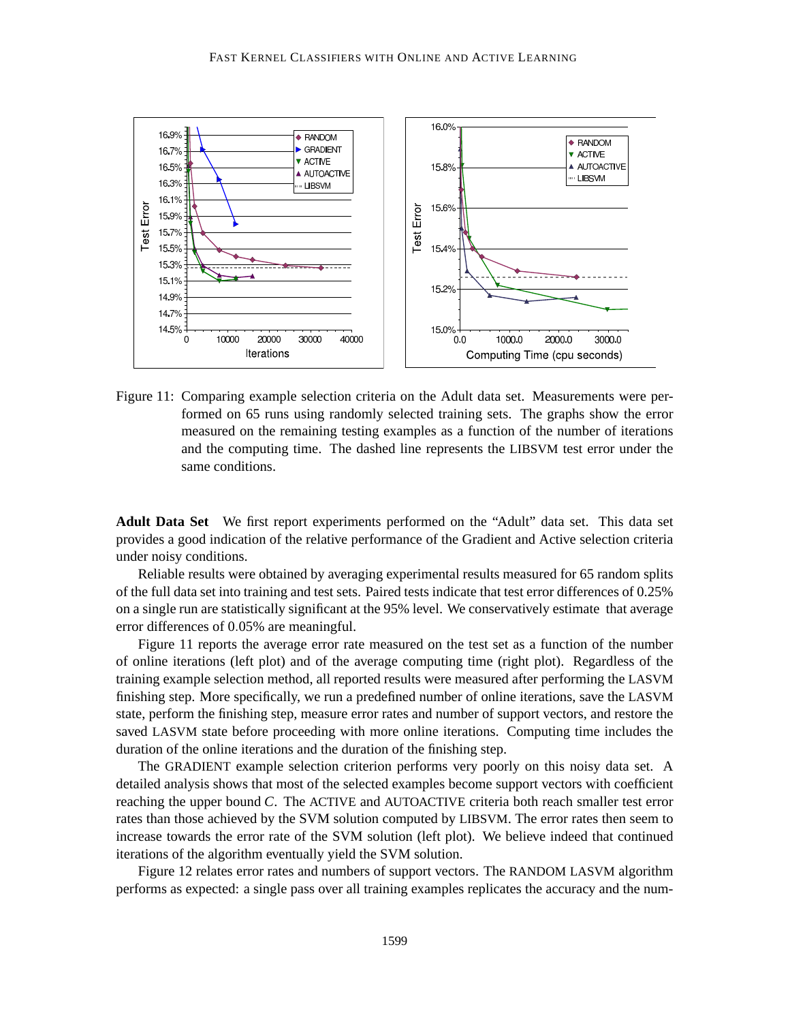

Figure 11: Comparing example selection criteria on the Adult data set. Measurements were performed on 65 runs using randomly selected training sets. The graphs show the error measured on the remaining testing examples as a function of the number of iterations and the computing time. The dashed line represents the LIBSVM test error under the same conditions.

**Adult Data Set** We first report experiments performed on the "Adult" data set. This data set provides a good indication of the relative performance of the Gradient and Active selection criteria under noisy conditions.

Reliable results were obtained by averaging experimental results measured for 65 random splits of the full data set into training and test sets. Paired tests indicate that test error differences of 0.25% on a single run are statistically significant at the 95% level. We conservatively estimate that average error differences of 0.05% are meaningful.

Figure 11 reports the average error rate measured on the test set as a function of the number of online iterations (left plot) and of the average computing time (right plot). Regardless of the training example selection method, all reported results were measured after performing the LASVM finishing step. More specifically, we run a predefined number of online iterations, save the LASVM state, perform the finishing step, measure error rates and number of support vectors, and restore the saved LASVM state before proceeding with more online iterations. Computing time includes the duration of the online iterations and the duration of the finishing step.

The GRADIENT example selection criterion performs very poorly on this noisy data set. A detailed analysis shows that most of the selected examples become support vectors with coefficient reaching the upper bound *C*. The ACTIVE and AUTOACTIVE criteria both reach smaller test error rates than those achieved by the SVM solution computed by LIBSVM. The error rates then seem to increase towards the error rate of the SVM solution (left plot). We believe indeed that continued iterations of the algorithm eventually yield the SVM solution.

Figure 12 relates error rates and numbers of support vectors. The RANDOM LASVM algorithm performs as expected: a single pass over all training examples replicates the accuracy and the num-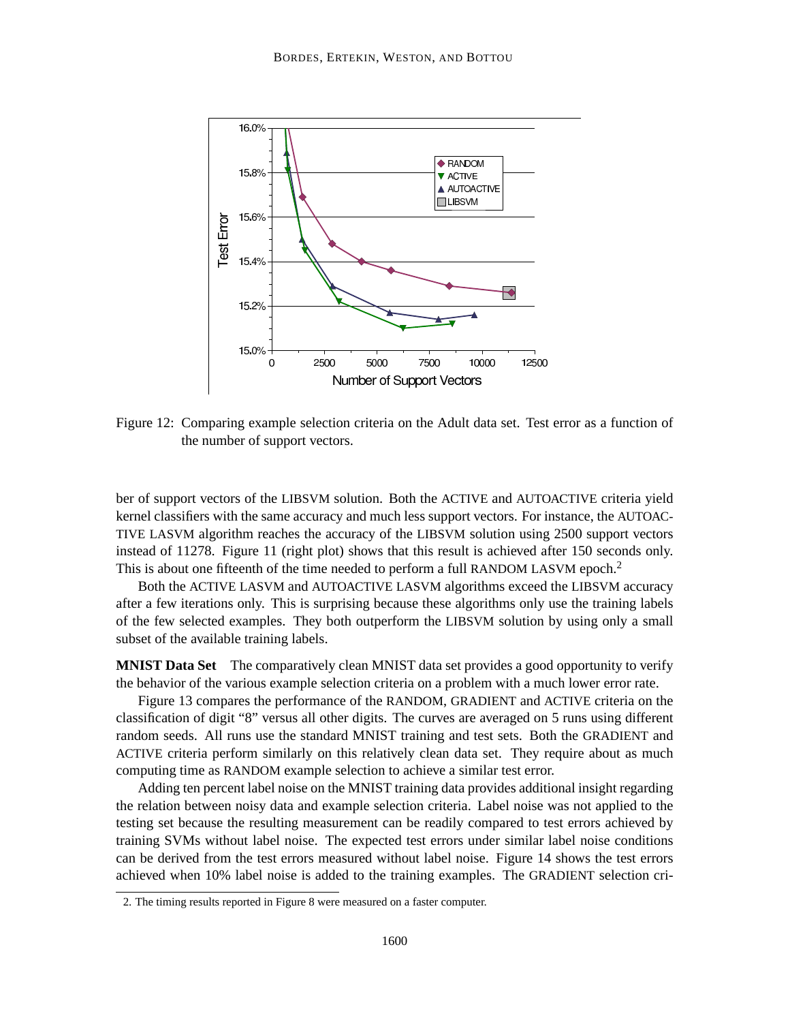

Figure 12: Comparing example selection criteria on the Adult data set. Test error as a function of the number of support vectors.

ber of support vectors of the LIBSVM solution. Both the ACTIVE and AUTOACTIVE criteria yield kernel classifiers with the same accuracy and much less support vectors. For instance, the AUTOAC-TIVE LASVM algorithm reaches the accuracy of the LIBSVM solution using 2500 support vectors instead of 11278. Figure 11 (right plot) shows that this result is achieved after 150 seconds only. This is about one fifteenth of the time needed to perform a full RANDOM LASVM epoch.<sup>2</sup>

Both the ACTIVE LASVM and AUTOACTIVE LASVM algorithms exceed the LIBSVM accuracy after a few iterations only. This is surprising because these algorithms only use the training labels of the few selected examples. They both outperform the LIBSVM solution by using only a small subset of the available training labels.

**MNIST Data Set** The comparatively clean MNIST data set provides a good opportunity to verify the behavior of the various example selection criteria on a problem with a much lower error rate.

Figure 13 compares the performance of the RANDOM, GRADIENT and ACTIVE criteria on the classification of digit "8" versus all other digits. The curves are averaged on 5 runs using different random seeds. All runs use the standard MNIST training and test sets. Both the GRADIENT and ACTIVE criteria perform similarly on this relatively clean data set. They require about as much computing time as RANDOM example selection to achieve a similar test error.

Adding ten percent label noise on the MNIST training data provides additional insight regarding the relation between noisy data and example selection criteria. Label noise was not applied to the testing set because the resulting measurement can be readily compared to test errors achieved by training SVMs without label noise. The expected test errors under similar label noise conditions can be derived from the test errors measured without label noise. Figure 14 shows the test errors achieved when 10% label noise is added to the training examples. The GRADIENT selection cri-

<sup>2.</sup> The timing results reported in Figure 8 were measured on a faster computer.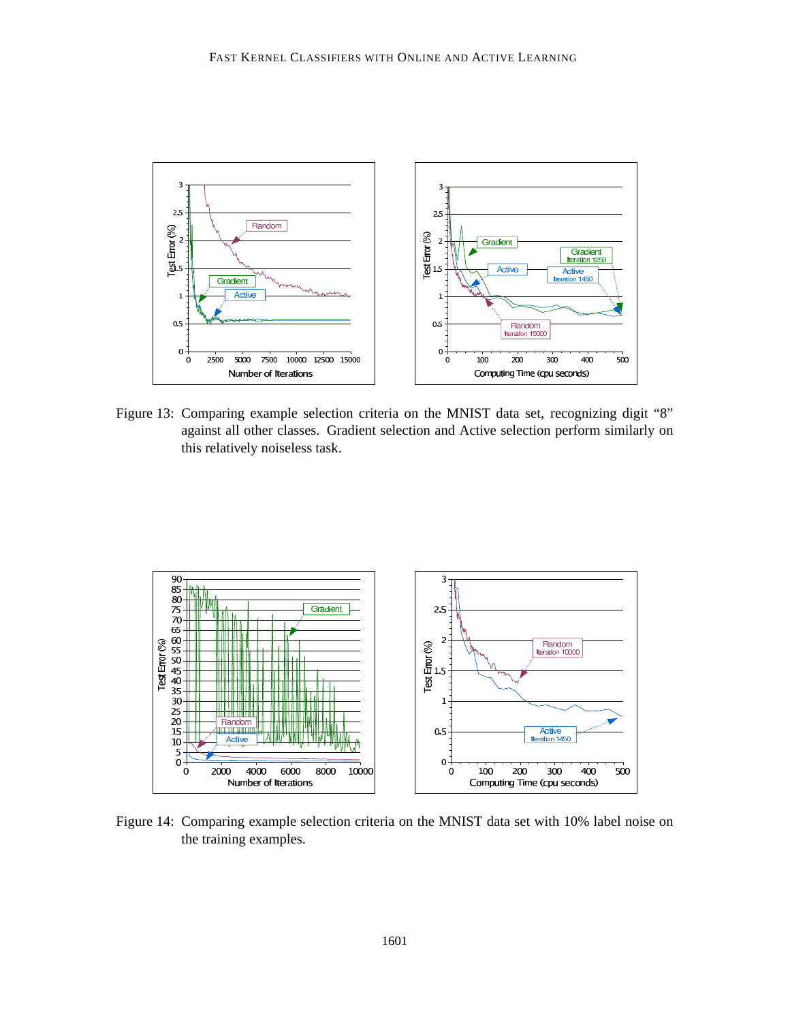

Figure 13: Comparing example selection criteria on the MNIST data set, recognizing digit "8" against all other classes. Gradient selection and Active selection perform similarly on this relatively noiseless task.



Figure 14: Comparing example selection criteria on the MNIST data set with 10% label noise on the training examples.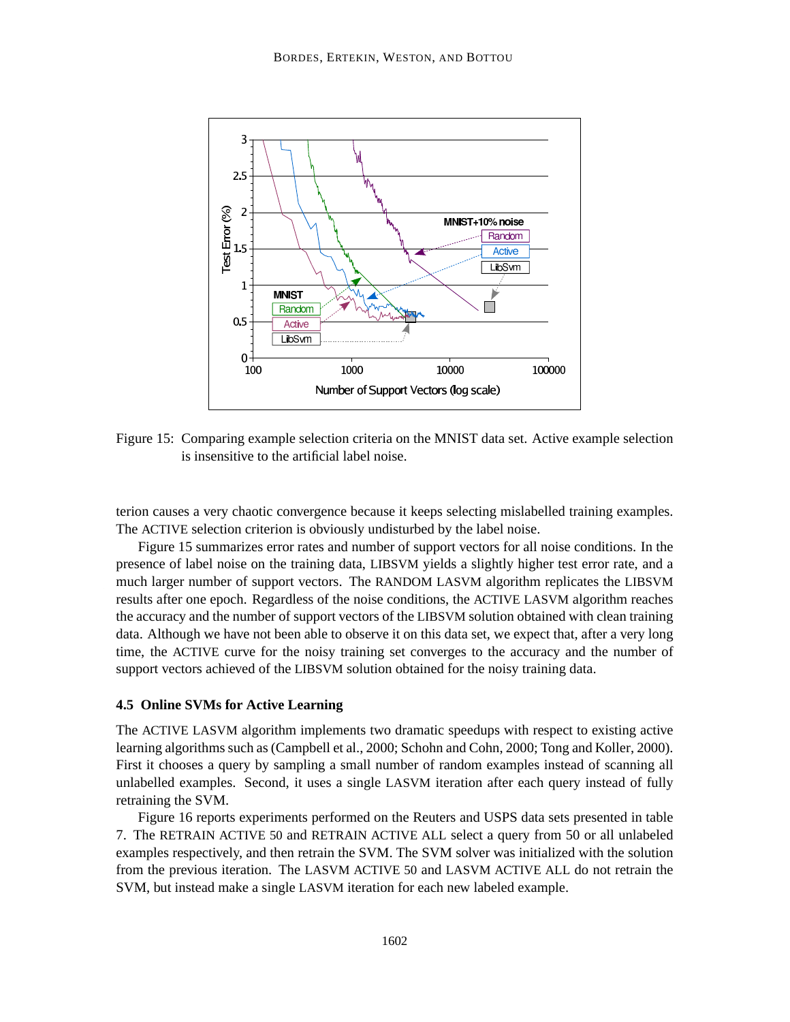

Figure 15: Comparing example selection criteria on the MNIST data set. Active example selection is insensitive to the artificial label noise.

terion causes a very chaotic convergence because it keeps selecting mislabelled training examples. The ACTIVE selection criterion is obviously undisturbed by the label noise.

Figure 15 summarizes error rates and number of support vectors for all noise conditions. In the presence of label noise on the training data, LIBSVM yields a slightly higher test error rate, and a much larger number of support vectors. The RANDOM LASVM algorithm replicates the LIBSVM results after one epoch. Regardless of the noise conditions, the ACTIVE LASVM algorithm reaches the accuracy and the number of support vectors of the LIBSVM solution obtained with clean training data. Although we have not been able to observe it on this data set, we expect that, after a very long time, the ACTIVE curve for the noisy training set converges to the accuracy and the number of support vectors achieved of the LIBSVM solution obtained for the noisy training data.

#### **4.5 Online SVMs for Active Learning**

The ACTIVE LASVM algorithm implements two dramatic speedups with respect to existing active learning algorithms such as (Campbell et al., 2000; Schohn and Cohn, 2000; Tong and Koller, 2000). First it chooses a query by sampling a small number of random examples instead of scanning all unlabelled examples. Second, it uses a single LASVM iteration after each query instead of fully retraining the SVM.

Figure 16 reports experiments performed on the Reuters and USPS data sets presented in table 7. The RETRAIN ACTIVE 50 and RETRAIN ACTIVE ALL select a query from 50 or all unlabeled examples respectively, and then retrain the SVM. The SVM solver was initialized with the solution from the previous iteration. The LASVM ACTIVE 50 and LASVM ACTIVE ALL do not retrain the SVM, but instead make a single LASVM iteration for each new labeled example.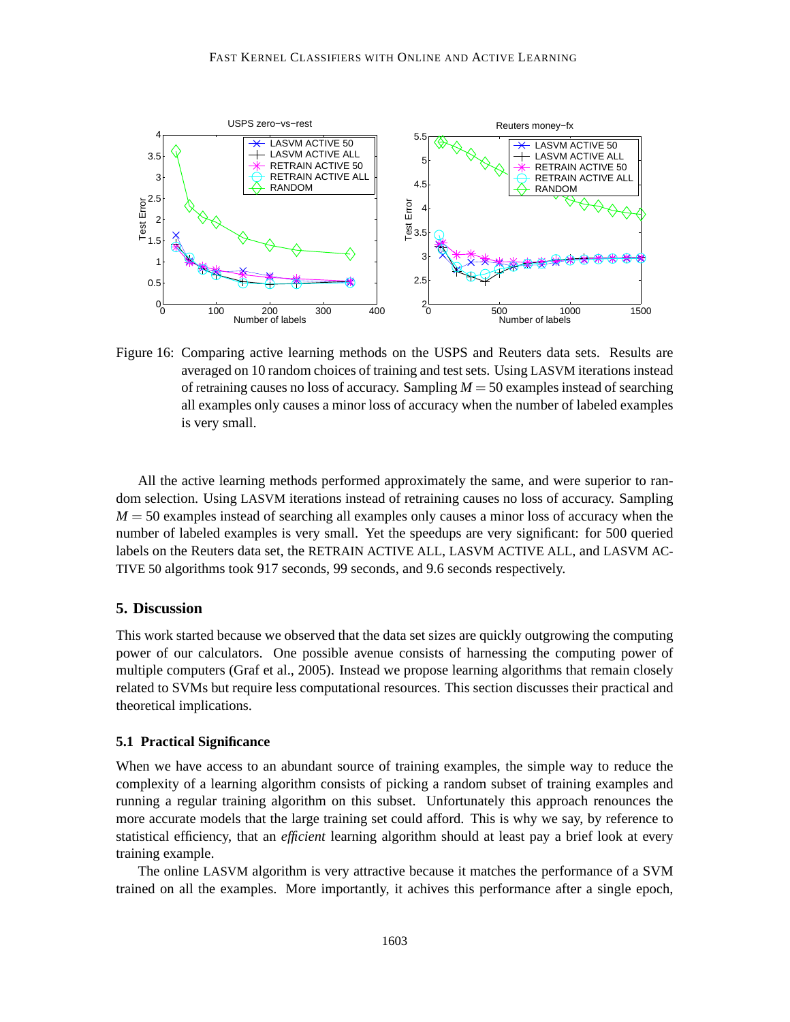

Figure 16: Comparing active learning methods on the USPS and Reuters data sets. Results are averaged on 10 random choices of training and test sets. Using LASVM iterations instead of retraining causes no loss of accuracy. Sampling  $M = 50$  examples instead of searching all examples only causes a minor loss of accuracy when the number of labeled examples is very small.

All the active learning methods performed approximately the same, and were superior to random selection. Using LASVM iterations instead of retraining causes no loss of accuracy. Sampling  $M = 50$  examples instead of searching all examples only causes a minor loss of accuracy when the number of labeled examples is very small. Yet the speedups are very significant: for 500 queried labels on the Reuters data set, the RETRAIN ACTIVE ALL, LASVM ACTIVE ALL, and LASVM AC-TIVE 50 algorithms took 917 seconds, 99 seconds, and 9.6 seconds respectively.

## **5. Discussion**

This work started because we observed that the data set sizes are quickly outgrowing the computing power of our calculators. One possible avenue consists of harnessing the computing power of multiple computers (Graf et al., 2005). Instead we propose learning algorithms that remain closely related to SVMs but require less computational resources. This section discusses their practical and theoretical implications.

#### **5.1 Practical Significance**

When we have access to an abundant source of training examples, the simple way to reduce the complexity of a learning algorithm consists of picking a random subset of training examples and running a regular training algorithm on this subset. Unfortunately this approach renounces the more accurate models that the large training set could afford. This is why we say, by reference to statistical efficiency, that an *efficient* learning algorithm should at least pay a brief look at every training example.

The online LASVM algorithm is very attractive because it matches the performance of a SVM trained on all the examples. More importantly, it achives this performance after a single epoch,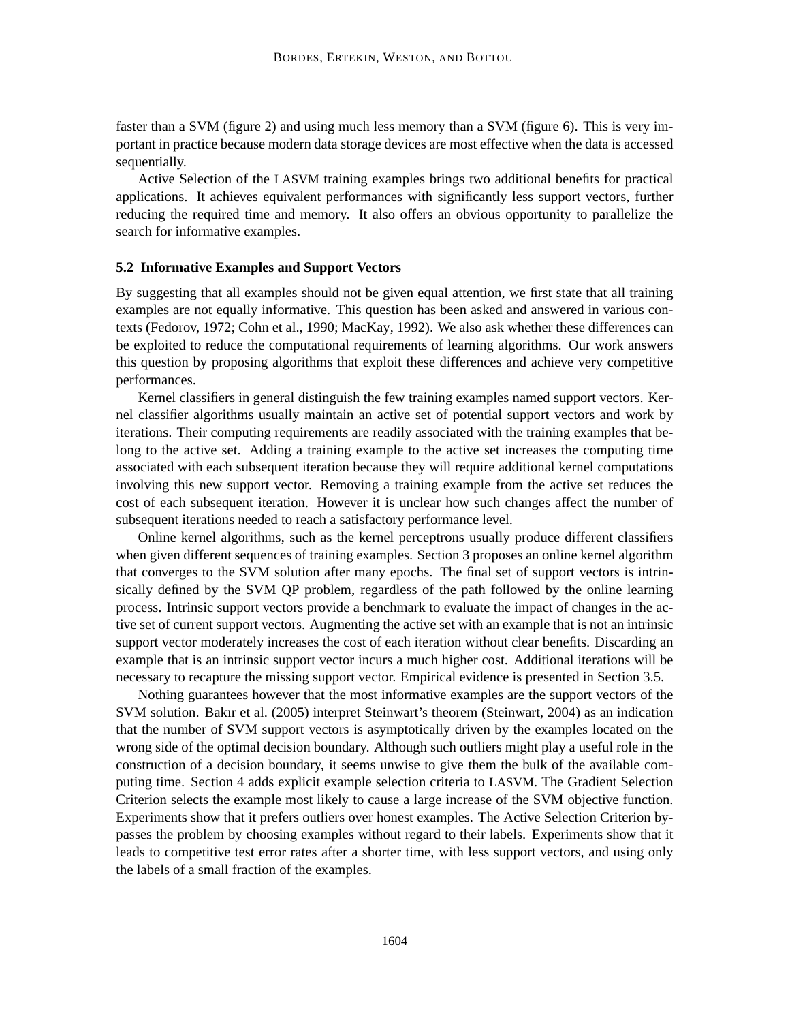faster than a SVM (figure 2) and using much less memory than a SVM (figure 6). This is very important in practice because modern data storage devices are most effective when the data is accessed sequentially.

Active Selection of the LASVM training examples brings two additional benefits for practical applications. It achieves equivalent performances with significantly less support vectors, further reducing the required time and memory. It also offers an obvious opportunity to parallelize the search for informative examples.

#### **5.2 Informative Examples and Support Vectors**

By suggesting that all examples should not be given equal attention, we first state that all training examples are not equally informative. This question has been asked and answered in various contexts (Fedorov, 1972; Cohn et al., 1990; MacKay, 1992). We also ask whether these differences can be exploited to reduce the computational requirements of learning algorithms. Our work answers this question by proposing algorithms that exploit these differences and achieve very competitive performances.

Kernel classifiers in general distinguish the few training examples named support vectors. Kernel classifier algorithms usually maintain an active set of potential support vectors and work by iterations. Their computing requirements are readily associated with the training examples that belong to the active set. Adding a training example to the active set increases the computing time associated with each subsequent iteration because they will require additional kernel computations involving this new support vector. Removing a training example from the active set reduces the cost of each subsequent iteration. However it is unclear how such changes affect the number of subsequent iterations needed to reach a satisfactory performance level.

Online kernel algorithms, such as the kernel perceptrons usually produce different classifiers when given different sequences of training examples. Section 3 proposes an online kernel algorithm that converges to the SVM solution after many epochs. The final set of support vectors is intrinsically defined by the SVM QP problem, regardless of the path followed by the online learning process. Intrinsic support vectors provide a benchmark to evaluate the impact of changes in the active set of current support vectors. Augmenting the active set with an example that is not an intrinsic support vector moderately increases the cost of each iteration without clear benefits. Discarding an example that is an intrinsic support vector incurs a much higher cost. Additional iterations will be necessary to recapture the missing support vector. Empirical evidence is presented in Section 3.5.

Nothing guarantees however that the most informative examples are the support vectors of the SVM solution. Bakır et al. (2005) interpret Steinwart's theorem (Steinwart, 2004) as an indication that the number of SVM support vectors is asymptotically driven by the examples located on the wrong side of the optimal decision boundary. Although such outliers might play a useful role in the construction of a decision boundary, it seems unwise to give them the bulk of the available computing time. Section 4 adds explicit example selection criteria to LASVM. The Gradient Selection Criterion selects the example most likely to cause a large increase of the SVM objective function. Experiments show that it prefers outliers over honest examples. The Active Selection Criterion bypasses the problem by choosing examples without regard to their labels. Experiments show that it leads to competitive test error rates after a shorter time, with less support vectors, and using only the labels of a small fraction of the examples.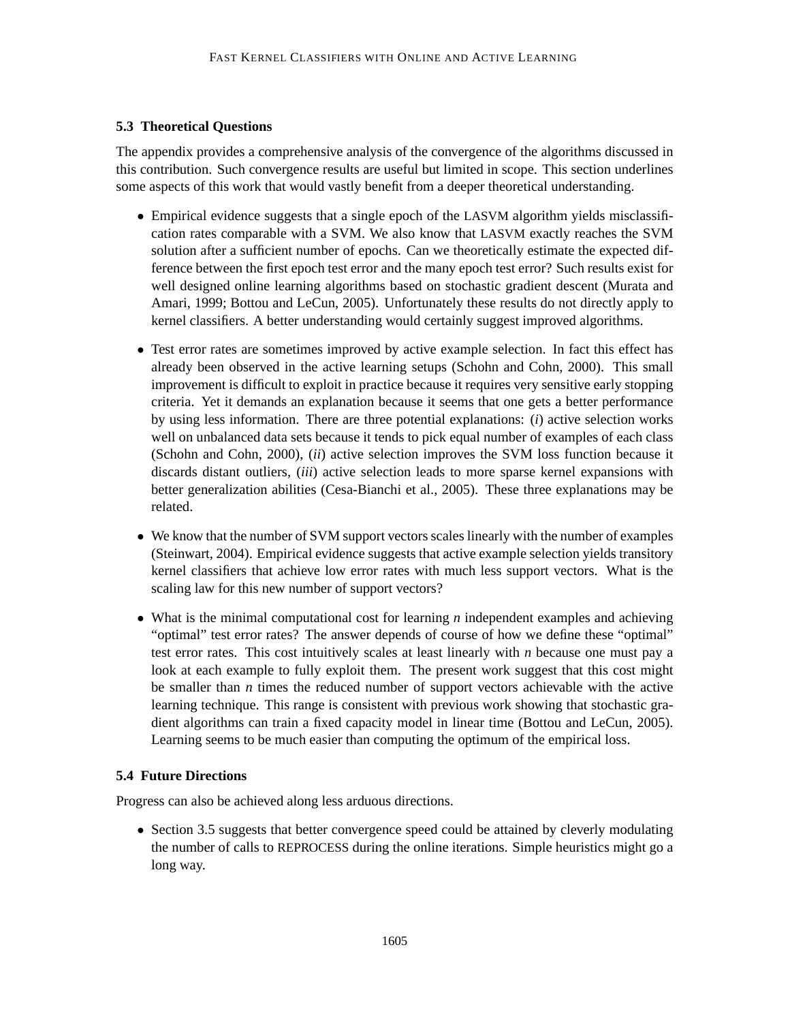## **5.3 Theoretical Questions**

The appendix provides a comprehensive analysis of the convergence of the algorithms discussed in this contribution. Such convergence results are useful but limited in scope. This section underlines some aspects of this work that would vastly benefit from a deeper theoretical understanding.

- Empirical evidence suggests that a single epoch of the LASVM algorithm yields misclassification rates comparable with a SVM. We also know that LASVM exactly reaches the SVM solution after a sufficient number of epochs. Can we theoretically estimate the expected difference between the first epoch test error and the many epoch test error? Such results exist for well designed online learning algorithms based on stochastic gradient descent (Murata and Amari, 1999; Bottou and LeCun, 2005). Unfortunately these results do not directly apply to kernel classifiers. A better understanding would certainly suggest improved algorithms.
- Test error rates are sometimes improved by active example selection. In fact this effect has already been observed in the active learning setups (Schohn and Cohn, 2000). This small improvement is difficult to exploit in practice because it requires very sensitive early stopping criteria. Yet it demands an explanation because it seems that one gets a better performance by using less information. There are three potential explanations: (*i*) active selection works well on unbalanced data sets because it tends to pick equal number of examples of each class (Schohn and Cohn, 2000), (*ii*) active selection improves the SVM loss function because it discards distant outliers, (*iii*) active selection leads to more sparse kernel expansions with better generalization abilities (Cesa-Bianchi et al., 2005). These three explanations may be related.
- We know that the number of SVM support vectors scales linearly with the number of examples (Steinwart, 2004). Empirical evidence suggests that active example selection yields transitory kernel classifiers that achieve low error rates with much less support vectors. What is the scaling law for this new number of support vectors?
- What is the minimal computational cost for learning *n* independent examples and achieving "optimal" test error rates? The answer depends of course of how we define these "optimal" test error rates. This cost intuitively scales at least linearly with *n* because one must pay a look at each example to fully exploit them. The present work suggest that this cost might be smaller than *n* times the reduced number of support vectors achievable with the active learning technique. This range is consistent with previous work showing that stochastic gradient algorithms can train a fixed capacity model in linear time (Bottou and LeCun, 2005). Learning seems to be much easier than computing the optimum of the empirical loss.

## **5.4 Future Directions**

Progress can also be achieved along less arduous directions.

• Section 3.5 suggests that better convergence speed could be attained by cleverly modulating the number of calls to REPROCESS during the online iterations. Simple heuristics might go a long way.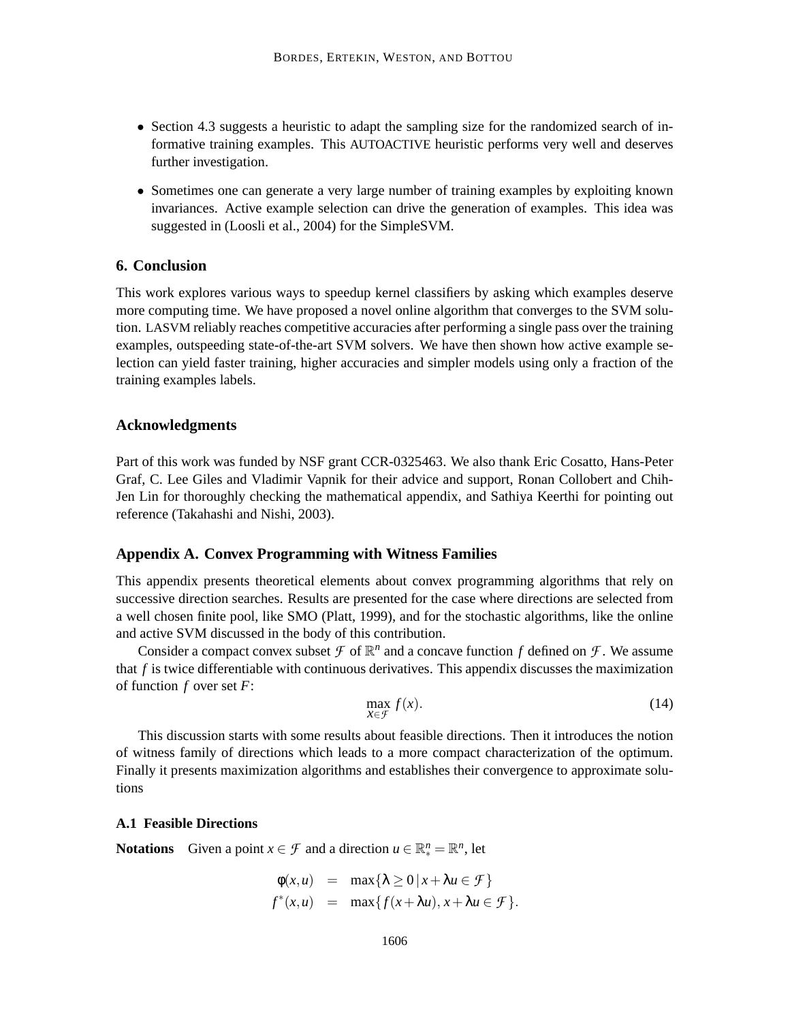- Section 4.3 suggests a heuristic to adapt the sampling size for the randomized search of informative training examples. This AUTOACTIVE heuristic performs very well and deserves further investigation.
- Sometimes one can generate a very large number of training examples by exploiting known invariances. Active example selection can drive the generation of examples. This idea was suggested in (Loosli et al., 2004) for the SimpleSVM.

## **6. Conclusion**

This work explores various ways to speedup kernel classifiers by asking which examples deserve more computing time. We have proposed a novel online algorithm that converges to the SVM solution. LASVM reliably reaches competitive accuracies after performing a single pass over the training examples, outspeeding state-of-the-art SVM solvers. We have then shown how active example selection can yield faster training, higher accuracies and simpler models using only a fraction of the training examples labels.

## **Acknowledgments**

Part of this work was funded by NSF grant CCR-0325463. We also thank Eric Cosatto, Hans-Peter Graf, C. Lee Giles and Vladimir Vapnik for their advice and support, Ronan Collobert and Chih-Jen Lin for thoroughly checking the mathematical appendix, and Sathiya Keerthi for pointing out reference (Takahashi and Nishi, 2003).

#### **Appendix A. Convex Programming with Witness Families**

This appendix presents theoretical elements about convex programming algorithms that rely on successive direction searches. Results are presented for the case where directions are selected from a well chosen finite pool, like SMO (Platt, 1999), and for the stochastic algorithms, like the online and active SVM discussed in the body of this contribution.

Consider a compact convex subset  $\mathcal F$  of  $\mathbb R^n$  and a concave function  $f$  defined on  $\mathcal F$ . We assume that  $f$  is twice differentiable with continuous derivatives. This appendix discusses the maximization of function *f* over set *F*:

$$
\max_{x \in \mathcal{F}} f(x). \tag{14}
$$

This discussion starts with some results about feasible directions. Then it introduces the notion of witness family of directions which leads to a more compact characterization of the optimum. Finally it presents maximization algorithms and establishes their convergence to approximate solutions

#### **A.1 Feasible Directions**

**Notations** Given a point  $x \in \mathcal{F}$  and a direction  $u \in \mathbb{R}_*^n = \mathbb{R}^n$ , let

$$
\begin{array}{rcl}\n\phi(x,u) & = & \max\{\lambda \ge 0 \, | \, x + \lambda u \in \mathcal{F}\} \\
f^*(x,u) & = & \max\{f(x + \lambda u), x + \lambda u \in \mathcal{F}\}.\n\end{array}
$$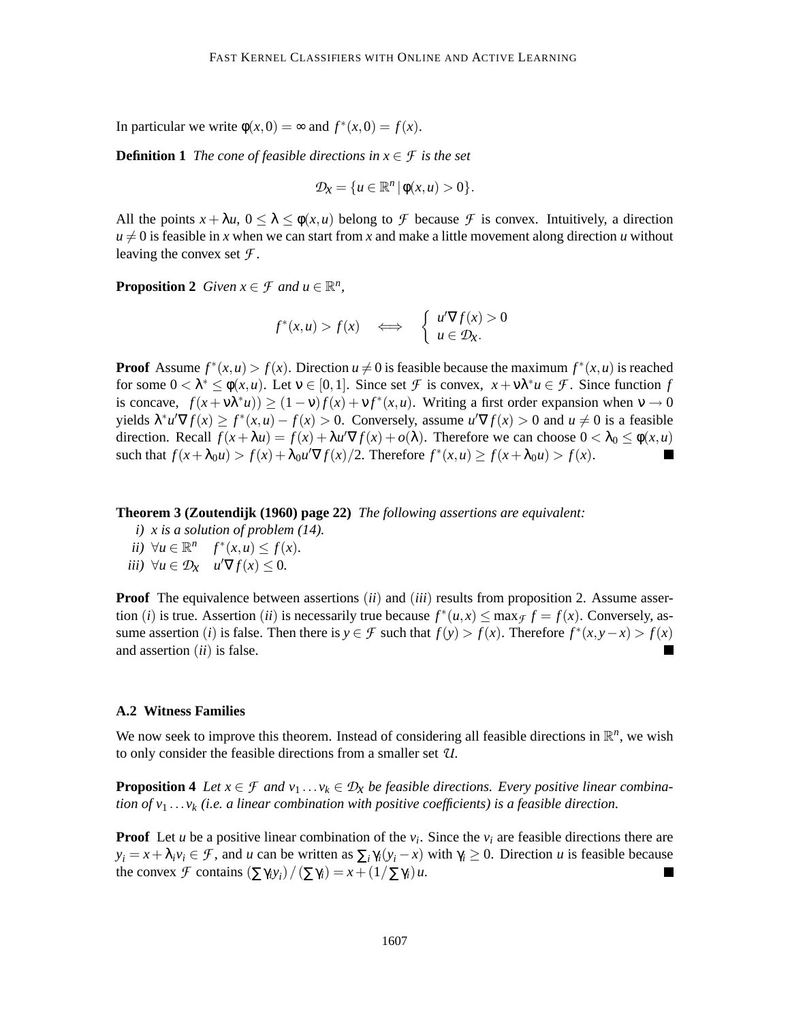In particular we write  $\phi(x,0) = \infty$  and  $f^*(x,0) = f(x)$ .

**Definition 1** *The cone of feasible directions in*  $x \in \mathcal{F}$  *is the set* 

$$
\mathcal{D}_X = \{u \in \mathbb{R}^n \,|\, \phi(x, u) > 0\}.
$$

All the points  $x + \lambda u$ ,  $0 \le \lambda \le \phi(x, u)$  belong to F because F is convex. Intuitively, a direction  $u \neq 0$  is feasible in *x* when we can start from *x* and make a little movement along direction *u* without leaving the convex set  $\mathcal{F}$ .

**Proposition 2** *Given*  $x \in \mathcal{F}$  *and*  $u \in \mathbb{R}^n$ *,* 

$$
f^*(x, u) > f(x) \quad \Longleftrightarrow \quad \left\{ \begin{array}{l} u' \nabla f(x) > 0 \\ u \in \mathcal{D}_X. \end{array} \right.
$$

**Proof** Assume  $f^*(x, u) > f(x)$ . Direction  $u \neq 0$  is feasible because the maximum  $f^*(x, u)$  is reached for some  $0 < \lambda^* \leq \phi(x, u)$ . Let  $v \in [0, 1]$ . Since set  $\mathcal{F}$  is convex,  $x + v\lambda^* u \in \mathcal{F}$ . Since function *f* is concave,  $f(x + v\lambda^* u) \ge (1 - v)f(x) + v f^*(x, u)$ . Writing a first order expansion when  $v \to 0$ yields  $\lambda^* u' \nabla f(x) \ge f^*(x, u) - f(x) > 0$ . Conversely, assume  $u' \nabla f(x) > 0$  and  $u \ne 0$  is a feasible direction. Recall  $f(x + \lambda u) = f(x) + \lambda u' \nabla f(x) + o(\lambda)$ . Therefore we can choose  $0 < \lambda_0 \le \phi(x, u)$ such that  $f(x + \lambda_0 u) > f(x) + \lambda_0 u' \nabla f(x)/2$ . Therefore  $f^*(x, u) \ge f(x + \lambda_0 u) > f(x)$ .  $\blacksquare$ 

**Theorem 3 (Zoutendijk (1960) page 22)** *The following assertions are equivalent:*

*i) x is a solution of problem (14).*

*ii*) ∀*u* ∈  $\mathbb{R}^n$  *f*<sup>\*</sup>(*x*,*u*) ≤ *f*(*x*)*.* 

*iii*)  $\forall u \in \mathcal{D}_{\mathcal{X}} \quad u' \nabla f(x) \leq 0.$ 

**Proof** The equivalence between assertions *(ii)* and *(iii)* results from proposition 2. Assume assertion (*i*) is true. Assertion (*ii*) is necessarily true because  $f^*(u,x) \le \max_{f} f = f(x)$ . Conversely, assume assertion (*i*) is false. Then there is  $y \in \mathcal{F}$  such that  $f(y) > f(x)$ . Therefore  $f^*(x, y - x) > f(x)$ and assertion (*ii*) is false.

#### **A.2 Witness Families**

We now seek to improve this theorem. Instead of considering all feasible directions in  $\mathbb{R}^n$ , we wish to only consider the feasible directions from a smaller set U.

**Proposition 4** *Let*  $x \in \mathcal{F}$  *and*  $v_1 \dots v_k \in \mathcal{D}_x$  *be feasible directions. Every positive linear combination of*  $v_1 \ldots v_k$  *(i.e. a linear combination with positive coefficients) is a feasible direction.* 

**Proof** Let *u* be a positive linear combination of the  $v_i$ . Since the  $v_i$  are feasible directions there are  $y_i = x + \lambda_i v_i \in \mathcal{F}$ , and *u* can be written as  $\sum_i \gamma_i (y_i - x)$  with  $\gamma_i \ge 0$ . Direction *u* is feasible because the convex  $\mathcal{F}$  contains  $(\sum \gamma_i y_i) / (\sum \gamma_i) = x + (1/\sum \gamma_i) u$ . П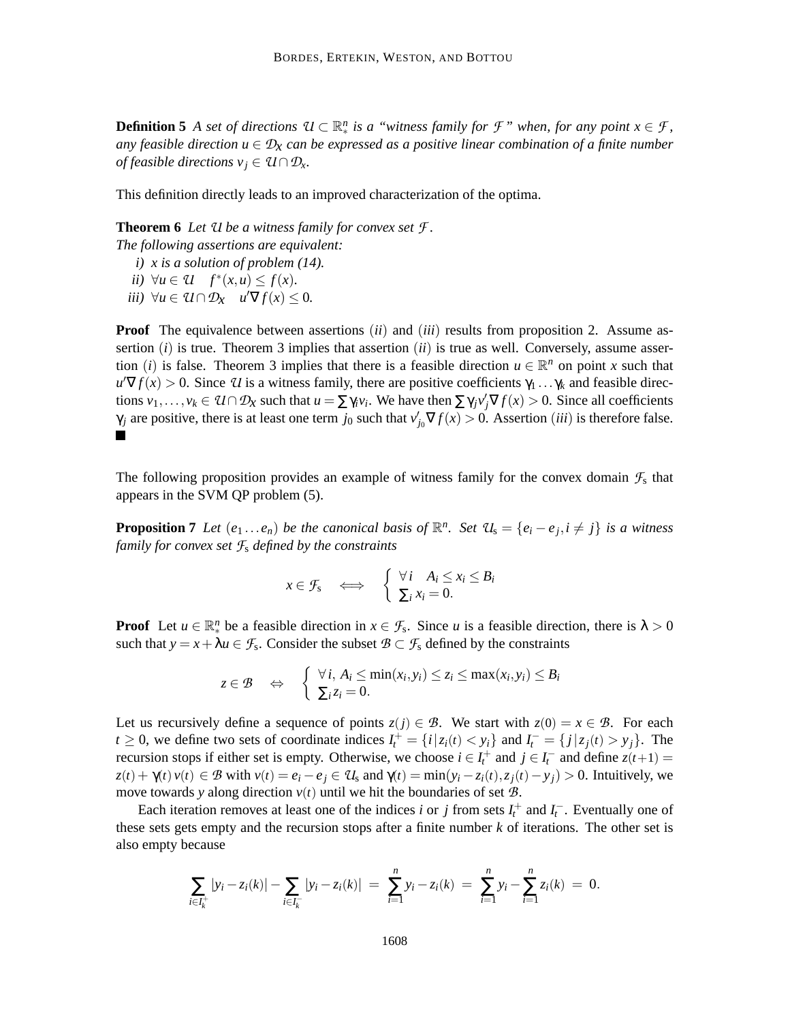**Definition 5** *A set of directions*  $U \subset \mathbb{R}^n$  *is a "witness family for*  $\mathcal{F}$ " when, for any point  $x \in \mathcal{F}$ , *any feasible direction*  $u \in \mathcal{D}_x$  *can be expressed as a positive linear combination of a finite number of feasible directions*  $v_j \in U \cap \mathcal{D}_x$ .

This definition directly leads to an improved characterization of the optima.

**Theorem 6** *Let*  $\mathcal U$  *be a witness family for convex set*  $\mathcal F$ *. The following assertions are equivalent:*

- *i) x is a solution of problem (14).*
- *ii*)  $∀u ∈ U$   $f^*(x, u) ≤ f(x)$ *.*
- *iii*)  $\forall u \in \mathcal{U} \cap \mathcal{D}_{\mathcal{X}} \quad u' \nabla f(x) \leq 0.$

**Proof** The equivalence between assertions *(ii)* and *(iii)* results from proposition 2. Assume assertion (*i*) is true. Theorem 3 implies that assertion (*ii*) is true as well. Conversely, assume assertion (*i*) is false. Theorem 3 implies that there is a feasible direction  $u \in \mathbb{R}^n$  on point *x* such that  $u'\nabla f(x) > 0$ . Since U is a witness family, there are positive coefficients  $\gamma_1 \dots \gamma_k$  and feasible directions  $v_1, \ldots, v_k \in \mathcal{U} \cap \mathcal{D}_X$  such that  $u = \sum \gamma_i v_i$ . We have then  $\sum \gamma_j v'_j \nabla f(x) > 0$ . Since all coefficients  $\gamma_j$  are positive, there is at least one term  $j_0$  such that  $v'_{j_0} \nabla f(x) > 0$ . Assertion *(iii)* is therefore false.  $\blacksquare$ 

The following proposition provides an example of witness family for the convex domain  $\mathcal{F}_s$  that appears in the SVM QP problem (5).

**Proposition 7** Let  $(e_1 \ldots e_n)$  be the canonical basis of  $\mathbb{R}^n$ . Set  $\mathcal{U}_s = \{e_i - e_j, i \neq j\}$  is a witness *family for convex set* F<sup>s</sup> *defined by the constraints*

$$
x \in \mathcal{F}_s \quad \Longleftrightarrow \quad \left\{ \begin{array}{l} \forall i \quad A_i \leq x_i \leq B_i \\ \sum_i x_i = 0. \end{array} \right.
$$

**Proof** Let  $u \in \mathbb{R}^n_*$  be a feasible direction in  $x \in \mathcal{F}_s$ . Since *u* is a feasible direction, there is  $\lambda > 0$ such that  $y = x + \lambda u \in \mathcal{F}_s$ . Consider the subset  $\mathcal{B} \subset \mathcal{F}_s$  defined by the constraints

$$
z \in \mathcal{B} \quad \Leftrightarrow \quad \left\{ \begin{array}{l} \forall i, A_i \leq \min(x_i, y_i) \leq z_i \leq \max(x_i, y_i) \leq B_i \\ \sum_i z_i = 0. \end{array} \right.
$$

Let us recursively define a sequence of points  $z(j) \in \mathcal{B}$ . We start with  $z(0) = x \in \mathcal{B}$ . For each *t* ≥ 0, we define two sets of coordinate indices  $I_t^+ = \{i | z_i(t) < y_i\}$  and  $I_t^- = \{j | z_j(t) > y_j\}$ . The recursion stops if either set is empty. Otherwise, we choose  $i \in I_t^+$  and  $j \in I_t^-$  and define  $z(t+1) =$  $z(t) + \gamma(t) v(t) \in \mathcal{B}$  with  $v(t) = e_i - e_j \in \mathcal{U}_s$  and  $\gamma(t) = \min(y_i - z_i(t), z_i(t) - y_i) > 0$ . Intuitively, we move towards *y* along direction  $v(t)$  until we hit the boundaries of set  $B$ .

Each iteration removes at least one of the indices *i* or *j* from sets  $I_t^+$  and  $I_t^-$ . Eventually one of these sets gets empty and the recursion stops after a finite number *k* of iterations. The other set is also empty because

$$
\sum_{i\in I_k^+}|y_i-z_i(k)|-\sum_{i\in I_k^-}|y_i-z_i(k)| = \sum_{i=1}^n y_i-z_i(k) = \sum_{i=1}^n y_i-\sum_{i=1}^n z_i(k) = 0.
$$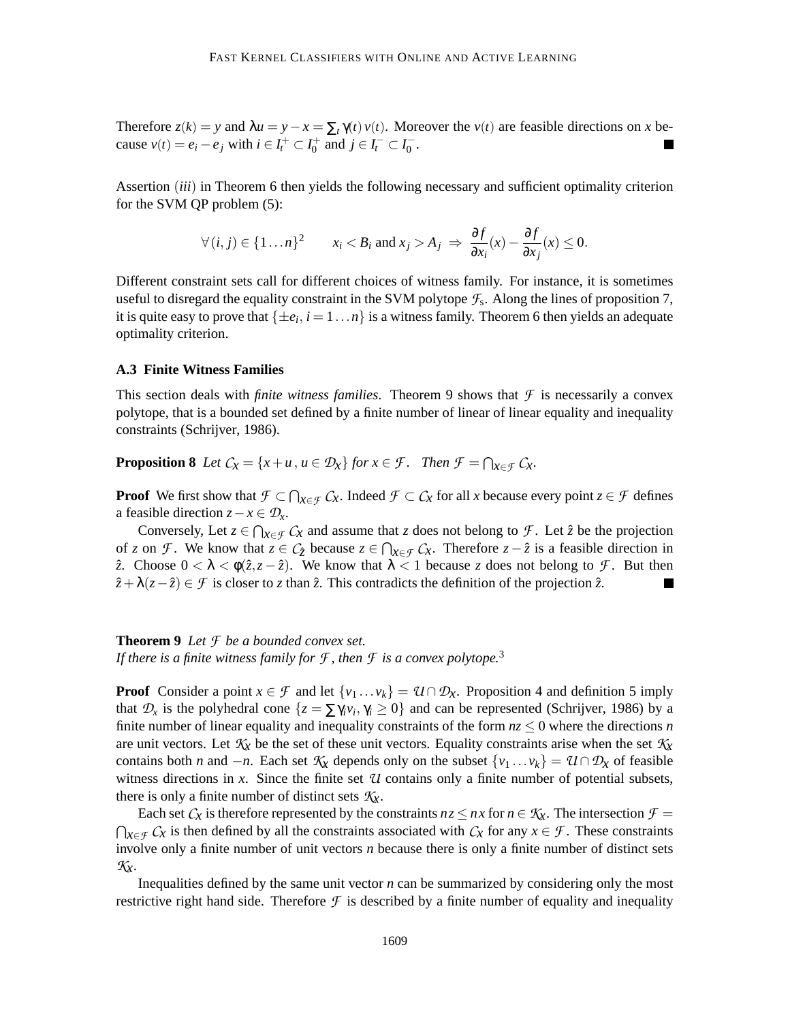Therefore  $z(k) = y$  and  $\lambda u = y - x = \sum_t \gamma(t) v(t)$ . Moreover the  $v(t)$  are feasible directions on *x* because  $v(t) = e_i - e_j$  with  $i \in I_t^+ \subset I_0^+$  and  $j \in I_t^- \subset I_0^-$ .

Assertion (*iii*) in Theorem 6 then yields the following necessary and sufficient optimality criterion for the SVM QP problem (5):

$$
\forall (i,j) \in \{1 \dots n\}^2 \qquad x_i < B_i \text{ and } x_j > A_j \Rightarrow \frac{\partial f}{\partial x_i}(x) - \frac{\partial f}{\partial x_j}(x) \le 0.
$$

Different constraint sets call for different choices of witness family. For instance, it is sometimes useful to disregard the equality constraint in the SVM polytope  $\mathcal{F}_s$ . Along the lines of proposition 7, it is quite easy to prove that  $\{\pm e_i, i = 1 \dots n\}$  is a witness family. Theorem 6 then yields an adequate optimality criterion.

## **A.3 Finite Witness Families**

This section deals with *finite witness families*. Theorem 9 shows that  $\mathcal F$  is necessarily a convex polytope, that is a bounded set defined by a finite number of linear of linear equality and inequality constraints (Schrijver, 1986).

**Proposition 8** *Let*  $C_x = \{x + u, u \in D_x\}$  *for*  $x \in \mathcal{F}$ *. Then*  $\mathcal{F} = \bigcap_{x \in \mathcal{F}} C_x$ *.* 

**Proof** We first show that  $\mathcal{F} \subset \bigcap_{\mathcal{X} \in \mathcal{F}} C_{\mathcal{X}}$ . Indeed  $\mathcal{F} \subset C_{\mathcal{X}}$  for all *x* because every point  $z \in \mathcal{F}$  defines a feasible direction  $z − x ∈ D_x$ .

Conversely, Let  $z \in \bigcap_{x \in \mathcal{F}} C_x$  and assume that *z* does not belong to  $\mathcal{F}$ . Let  $\hat{z}$  be the projection of *z* on *F*. We know that  $z \in C_{\hat{z}}$  because  $z \in \bigcap_{x \in \mathcal{F}} C_x$ . Therefore  $z - \hat{z}$  is a feasible direction in  $\hat{z}$ . Choose 0 < λ < φ( $\hat{z}$ ,*z* −  $\hat{z}$ ). We know that λ < 1 because *z* does not belong to *F*. But then  $\hat{z} + \lambda(z - \hat{z}) \in \mathcal{F}$  is closer to *z* than  $\hat{z}$ . This contradicts the definition of the projection  $\hat{z}$ .

**Theorem 9** *Let* F *be a bounded convex set. If there is a finite witness family for*  $\mathcal{F}$ *, then*  $\mathcal{F}$  *is a convex polytope.*<sup>3</sup>

**Proof** Consider a point  $x \in \mathcal{F}$  and let  $\{v_1 \dots v_k\} = \mathcal{U} \cap \mathcal{D}_x$ . Proposition 4 and definition 5 imply that  $\mathcal{D}_x$  is the polyhedral cone  $\{z = \sum \gamma_i v_i, \gamma_i \ge 0\}$  and can be represented (Schrijver, 1986) by a finite number of linear equality and inequality constraints of the form  $nz \leq 0$  where the directions *n* are unit vectors. Let  $\mathcal{K}_x$  be the set of these unit vectors. Equality constraints arise when the set  $\mathcal{K}_x$ contains both *n* and −*n*. Each set  $\mathcal{K}_x$  depends only on the subset  $\{v_1 \dots v_k\} = \mathcal{U} \cap \mathcal{D}_x$  of feasible witness directions in *x*. Since the finite set  $U$  contains only a finite number of potential subsets, there is only a finite number of distinct sets  $K<sub>x</sub>$ .

Each set  $C_x$  is therefore represented by the constraints  $nz \le nx$  for  $n \in \mathcal{K}_x$ . The intersection  $\mathcal{F} =$  $\bigcap_{x \in \mathcal{F}} C_x$  is then defined by all the constraints associated with  $C_x$  for any  $x \in \mathcal{F}$ . These constraints involve only a finite number of unit vectors *n* because there is only a finite number of distinct sets K*x*.

Inequalities defined by the same unit vector *n* can be summarized by considering only the most restrictive right hand side. Therefore  $\mathcal F$  is described by a finite number of equality and inequality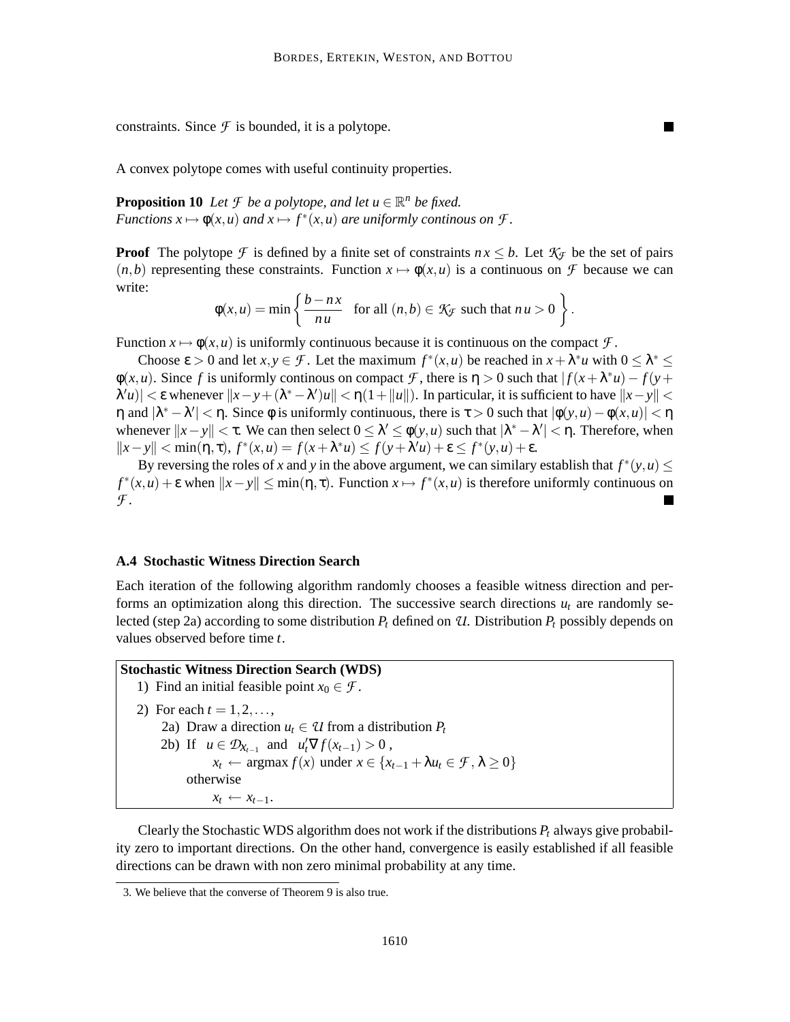constraints. Since  $\mathcal F$  is bounded, it is a polytope.

A convex polytope comes with useful continuity properties.

**Proposition 10** *Let*  $\mathcal{F}$  *be a polytope, and let*  $u \in \mathbb{R}^n$  *be fixed. Functions*  $x \mapsto \phi(x, u)$  *and*  $x \mapsto f^*(x, u)$  *are uniformly continous on*  $\mathcal{F}$ *.* 

**Proof** The polytope F is defined by a finite set of constraints  $n \times \leq b$ . Let  $\mathcal{K}_{\mathcal{F}}$  be the set of pairs  $(n, b)$  representing these constraints. Function  $x \mapsto \phi(x, u)$  is a continuous on F because we can write:

$$
\phi(x, u) = \min \left\{ \frac{b - nx}{nu} \quad \text{for all } (n, b) \in \mathcal{K}_{\mathcal{F}} \text{ such that } nu > 0 \right\}.
$$

Function  $x \mapsto \phi(x, u)$  is uniformly continuous because it is continuous on the compact  $\mathcal{F}$ .

Choose  $\varepsilon > 0$  and let  $x, y \in \mathcal{F}$ . Let the maximum  $f^*(x, u)$  be reached in  $x + \lambda^* u$  with  $0 \le \lambda^* \le$  $\phi(x, u)$ . Since *f* is uniformly continous on compact *F*, there is  $\eta > 0$  such that  $|f(x + \lambda^* u) - f(y + \lambda^* u)|$  $\lambda' u$ )| < ε whenever  $||x - y + (\lambda^* - \lambda') u|| < η(1 + ||u||)$ . In particular, it is sufficient to have  $||x - y||$  <  $η$  and  $|λ^* – λ'| < η$ . Since  $φ$  is uniformly continuous, there is  $τ > 0$  such that  $|φ(y, u) – φ(x, u)| < η$ whenever  $||x-y|| < \tau$ . We can then select  $0 \leq \lambda' \leq \phi(y, u)$  such that  $|\lambda^* - \lambda'| < \eta$ . Therefore, when  $||x - y|| < \min(\eta, \tau), f^*(x, u) = f(x + \lambda^* u) \leq f(y + \lambda' u) + \varepsilon \leq f^*(y, u) + \varepsilon.$ 

By reversing the roles of *x* and *y* in the above argument, we can similary establish that  $f^*(y, u) \leq$  $f^*(x, u) + \varepsilon$  when  $||x - y|| \le \min(\eta, \tau)$ . Function  $x \mapsto f^*(x, u)$  is therefore uniformly continuous on  ${\mathcal F}$ .

## **A.4 Stochastic Witness Direction Search**

Each iteration of the following algorithm randomly chooses a feasible witness direction and performs an optimization along this direction. The successive search directions  $u_t$  are randomly selected (step 2a) according to some distribution  $P_t$  defined on U. Distribution  $P_t$  possibly depends on values observed before time *t*.

# **Stochastic Witness Direction Search (WDS)**

1) Find an initial feasible point  $x_0 \in \mathcal{F}$ . 2) For each  $t = 1, 2, ...,$ 2a) Draw a direction  $u_t \in \mathcal{U}$  from a distribution  $P_t$ 2b) If  $u \in \mathcal{D}_{X_{t-1}}$  and  $u'_t \nabla f(x_{t-1}) > 0$ ,  $x_t \leftarrow \argmax f(x) \text{ under } x \in \{x_{t-1} + \lambda u_t \in \mathcal{F}, \lambda \geq 0\}$ otherwise  $x_t \leftarrow x_{t-1}.$ 

Clearly the Stochastic WDS algorithm does not work if the distributions  $P_t$  always give probability zero to important directions. On the other hand, convergence is easily established if all feasible directions can be drawn with non zero minimal probability at any time.

<sup>3.</sup> We believe that the converse of Theorem 9 is also true.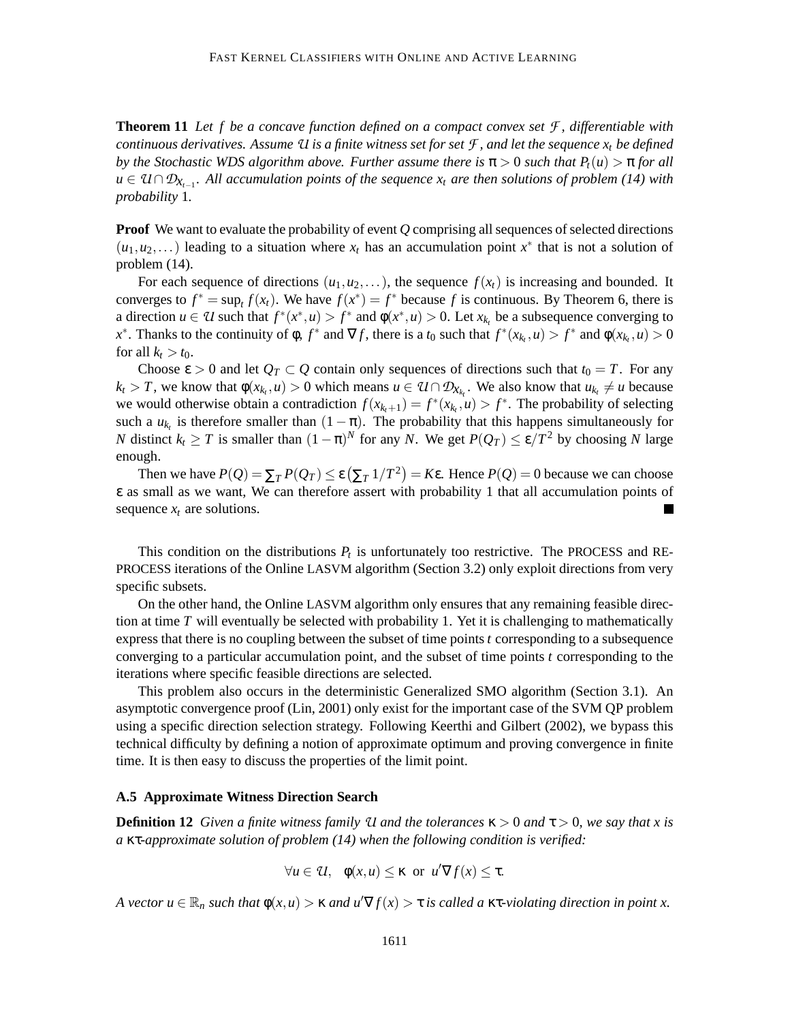**Theorem 11** Let f be a concave function defined on a compact convex set  $\mathcal{F}$ , differentiable with *continuous derivatives. Assume* U *is a finite witness set for set*  $\mathcal{F}$ *, and let the sequence*  $x_t$  *be defined by the Stochastic WDS algorithm above. Further assume there is*  $\pi > 0$  *such that*  $P_t(u) > \pi$  *for all u* ∈  $\mathcal{U} \cap \mathcal{D}_{X_{t-1}}$ . All accumulation points of the sequence  $x_t$  are then solutions of problem (14) with *probability* 1*.*

**Proof** We want to evaluate the probability of event *Q* comprising all sequences of selected directions  $(u_1, u_2,...)$  leading to a situation where  $x_t$  has an accumulation point  $x^*$  that is not a solution of problem (14).

For each sequence of directions  $(u_1, u_2, \ldots)$ , the sequence  $f(x_t)$  is increasing and bounded. It converges to  $f^* = \sup_t f(x_t)$ . We have  $f(x^*) = f^*$  because f is continuous. By Theorem 6, there is a direction  $u \in \mathcal{U}$  such that  $f^*(x^*, u) > f^*$  and  $\phi(x^*, u) > 0$ . Let  $x_{k_t}$  be a subsequence converging to  $x^*$ . Thanks to the continuity of  $\phi$ ,  $f^*$  and  $\nabla f$ , there is a  $t_0$  such that  $f^*(x_{k_t}, u) > f^*$  and  $\phi(x_{k_t}, u) > 0$ for all  $k_t > t_0$ .

Choose  $\varepsilon > 0$  and let  $Q_T \subset Q$  contain only sequences of directions such that  $t_0 = T$ . For any  $k_t > T$ , we know that  $\phi(x_{k_t}, u) > 0$  which means  $u \in U \cap \mathcal{D}_{X_{k_t}}$ . We also know that  $u_{k_t} \neq u$  because we would otherwise obtain a contradiction  $f(x_{k_t+1}) = f^*(x_k, u) > f^*$ . The probability of selecting such a  $u_{k_t}$  is therefore smaller than  $(1 - \pi)$ . The probability that this happens simultaneously for *N* distinct  $k_t \geq T$  is smaller than  $(1 - \pi)^N$  for any *N*. We get  $P(Q_T) \leq \varepsilon/T^2$  by choosing *N* large enough.

Then we have  $P(Q) = \sum_{T} P(Q_T) \le \varepsilon (\sum_{T} 1/T^2) = K\varepsilon$ . Hence  $P(Q) = 0$  because we can choose ε as small as we want, We can therefore assert with probability 1 that all accumulation points of sequence  $x_t$  are solutions. L.

This condition on the distributions  $P_t$  is unfortunately too restrictive. The PROCESS and RE-PROCESS iterations of the Online LASVM algorithm (Section 3.2) only exploit directions from very specific subsets.

On the other hand, the Online LASVM algorithm only ensures that any remaining feasible direction at time *T* will eventually be selected with probability 1. Yet it is challenging to mathematically express that there is no coupling between the subset of time points *t* corresponding to a subsequence converging to a particular accumulation point, and the subset of time points *t* corresponding to the iterations where specific feasible directions are selected.

This problem also occurs in the deterministic Generalized SMO algorithm (Section 3.1). An asymptotic convergence proof (Lin, 2001) only exist for the important case of the SVM QP problem using a specific direction selection strategy. Following Keerthi and Gilbert (2002), we bypass this technical difficulty by defining a notion of approximate optimum and proving convergence in finite time. It is then easy to discuss the properties of the limit point.

#### **A.5 Approximate Witness Direction Search**

**Definition 12** *Given a finite witness family* U *and the tolerances*  $\kappa > 0$  *and*  $\tau > 0$ *, we say that x is a* κτ*-approximate solution of problem (14) when the following condition is verified:*

$$
\forall u \in \mathcal{U}, \quad \phi(x, u) \leq \kappa \quad \text{or} \quad u' \nabla f(x) \leq \tau.
$$

*A vector*  $u \in \mathbb{R}_n$  *such that*  $\phi(x, u) > \kappa$  *and*  $u \nabla f(x) > \tau$  *is called a*  $\kappa \tau$ *-violating direction in point x.*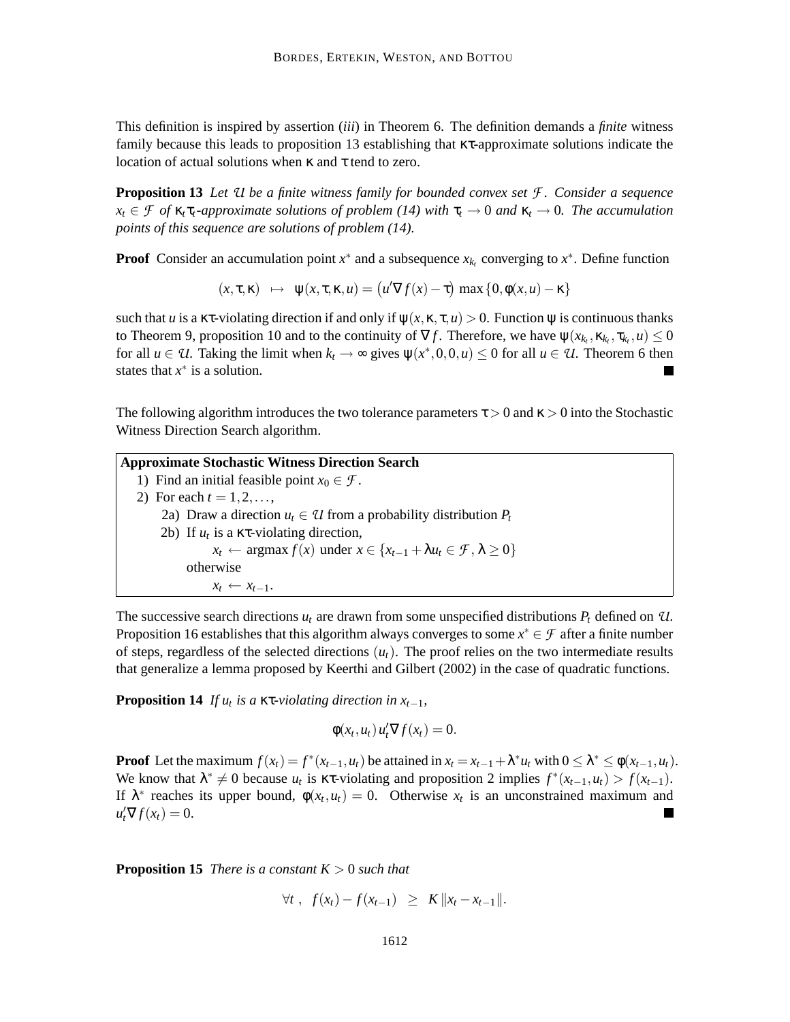This definition is inspired by assertion (*iii*) in Theorem 6. The definition demands a *finite* witness family because this leads to proposition 13 establishing that κτ-approximate solutions indicate the location of actual solutions when κ and τ tend to zero.

**Proposition 13** Let U be a finite witness family for bounded convex set  $\mathcal{F}$ . Consider a sequence  $x_t \in \mathcal{F}$  *of*  $\kappa_t \tau_t$ -approximate solutions of problem (14) with  $\tau_t \to 0$  and  $\kappa_t \to 0$ . The accumulation *points of this sequence are solutions of problem (14).*

**Proof** Consider an accumulation point  $x^*$  and a subsequence  $x_{k_t}$  converging to  $x^*$ . Define function

$$
(x, \tau, \kappa) \mapsto \psi(x, \tau, \kappa, u) = (u' \nabla f(x) - \tau) \max \{0, \phi(x, u) - \kappa\}
$$

such that *u* is a κτ-violating direction if and only if  $\psi(x, \kappa, \tau, u) > 0$ . Function  $\psi$  is continuous thanks to Theorem 9, proposition 10 and to the continuity of  $\nabla f$ . Therefore, we have  $\psi(x_{k_t}, \kappa_{k_t}, \tau_{k_t}, u) \le 0$ for all  $u \in \mathcal{U}$ . Taking the limit when  $k_t \to \infty$  gives  $\psi(x^*, 0, 0, u) \leq 0$  for all  $u \in \mathcal{U}$ . Theorem 6 then states that  $x^*$  is a solution.

The following algorithm introduces the two tolerance parameters  $\tau > 0$  and  $\kappa > 0$  into the Stochastic Witness Direction Search algorithm.

**Approximate Stochastic Witness Direction Search** 1) Find an initial feasible point  $x_0 \in \mathcal{F}$ . 2) For each  $t = 1, 2, ...$ , 2a) Draw a direction  $u_t \in \mathcal{U}$  from a probability distribution  $P_t$ 2b) If  $u_t$  is a  $\kappa\tau$ -violating direction,  $x_t \leftarrow \argmax f(x)$  under  $x \in \{x_{t-1} + \lambda u_t \in \mathcal{F}, \lambda \geq 0\}$ otherwise  $x_t \leftarrow x_{t-1}.$ 

The successive search directions  $u_t$  are drawn from some unspecified distributions  $P_t$  defined on  $U$ . Proposition 16 establishes that this algorithm always converges to some  $x^* \in \mathcal{F}$  after a finite number of steps, regardless of the selected directions  $(u_t)$ . The proof relies on the two intermediate results that generalize a lemma proposed by Keerthi and Gilbert (2002) in the case of quadratic functions.

**Proposition 14** *If*  $u_t$  *is a*  $\kappa \tau$ *-violating direction in*  $x_{t-1}$ *,* 

$$
\phi(x_t, u_t) u'_t \nabla f(x_t) = 0.
$$

**Proof** Let the maximum  $f(x_t) = f^*(x_{t-1}, u_t)$  be attained in  $x_t = x_{t-1} + \lambda^* u_t$  with  $0 \le \lambda^* \le \phi(x_{t-1}, u_t)$ . We know that  $\lambda^* \neq 0$  because  $u_t$  is  $\kappa \tau$ -violating and proposition 2 implies  $f^*(x_{t-1}, u_t) > f(x_{t-1})$ . If  $\lambda^*$  reaches its upper bound,  $\phi(x_t, u_t) = 0$ . Otherwise  $x_t$  is an unconstrained maximum and  $u'_t \nabla f(x_t) = 0.$ 

**Proposition 15** *There is a constant*  $K > 0$  *such that* 

$$
\forall t \; , \; f(x_t) - f(x_{t-1}) \; \geq \; K \, \|x_t - x_{t-1}\|.
$$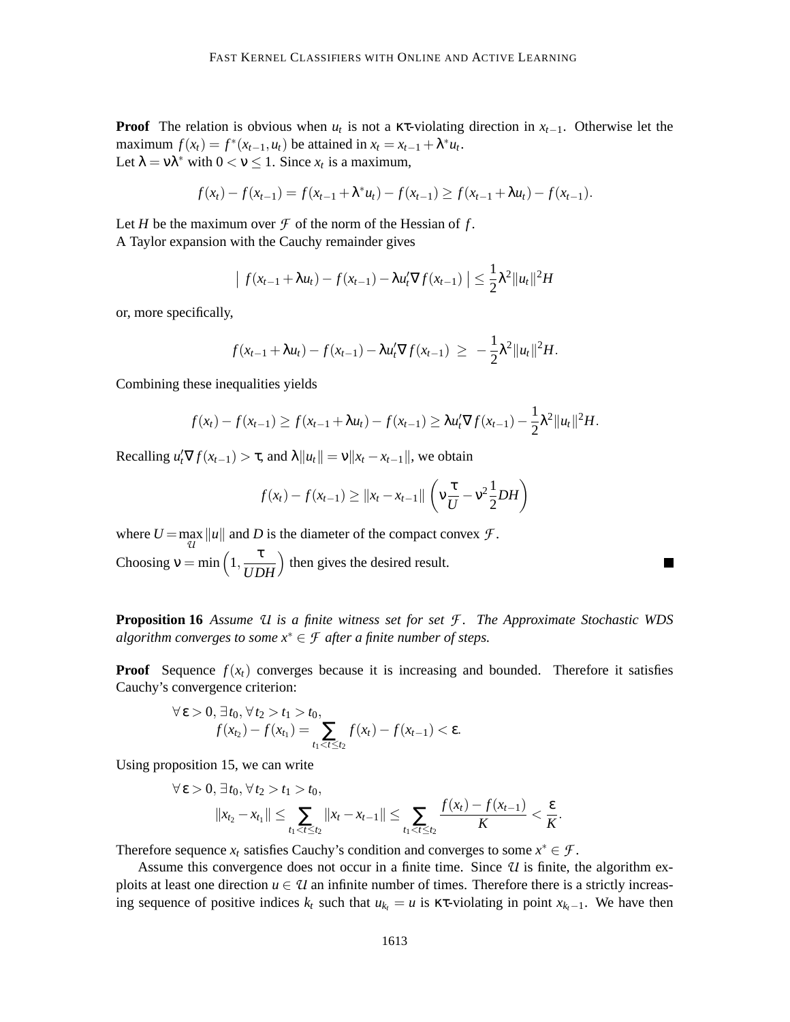**Proof** The relation is obvious when  $u_t$  is not a  $\kappa \tau$ -violating direction in  $x_{t-1}$ . Otherwise let the maximum  $f(x_t) = f^*(x_{t-1}, u_t)$  be attained in  $x_t = x_{t-1} + \lambda^* u_t$ . Let  $\lambda = v\lambda^*$  with  $0 < v \le 1$ . Since  $x_t$  is a maximum,

$$
f(x_t) - f(x_{t-1}) = f(x_{t-1} + \lambda^* u_t) - f(x_{t-1}) \ge f(x_{t-1} + \lambda u_t) - f(x_{t-1}).
$$

Let *H* be the maximum over  $\mathcal F$  of the norm of the Hessian of  $f$ . A Taylor expansion with the Cauchy remainder gives

$$
\left| f(x_{t-1} + \lambda u_t) - f(x_{t-1}) - \lambda u_t' \nabla f(x_{t-1}) \right| \leq \frac{1}{2} \lambda^2 \|u_t\|^2 H
$$

or, more specifically,

$$
f(x_{t-1} + \lambda u_t) - f(x_{t-1}) - \lambda u_t' \nabla f(x_{t-1}) \geq -\frac{1}{2} \lambda^2 \|u_t\|^2 H.
$$

Combining these inequalities yields

$$
f(x_t) - f(x_{t-1}) \ge f(x_{t-1} + \lambda u_t) - f(x_{t-1}) \ge \lambda u_t' \nabla f(x_{t-1}) - \frac{1}{2} \lambda^2 \|u_t\|^2 H.
$$

Recalling  $u_t^{\prime} \nabla f(x_{t-1}) > \tau$ , and  $\lambda \|u_t\| = v \|x_t - x_{t-1}\|$ , we obtain

$$
f(x_t) - f(x_{t-1}) \ge ||x_t - x_{t-1}|| \left( v \frac{\tau}{U} - v^2 \frac{1}{2} DH \right)
$$

where  $U = \max_{U} ||u||$  and *D* is the diameter of the compact convex  $\mathcal{F}$ . Choosing  $v = min(1, \frac{\tau}{\sqrt{LC}})$ *UDH* ) then gives the desired result.

**Proposition 16** *Assume* U *is a finite witness set for set* F *. The Approximate Stochastic WDS algorithm converges to some x*<sup>∗</sup> ∈ F *after a finite number of steps.*

 $\blacksquare$ 

**Proof** Sequence  $f(x_t)$  converges because it is increasing and bounded. Therefore it satisfies Cauchy's convergence criterion:

$$
\forall \epsilon > 0, \exists t_0, \forall t_2 > t_1 > t_0, f(x_{t_2}) - f(x_{t_1}) = \sum_{t_1 < t \le t_2} f(x_t) - f(x_{t-1}) < \epsilon.
$$

Using proposition 15, we can write

$$
\forall \epsilon > 0, \exists t_0, \forall t_2 > t_1 > t_0, \|x_{t_2} - x_{t_1}\| \leq \sum_{t_1 < t \leq t_2} \|x_t - x_{t-1}\| \leq \sum_{t_1 < t \leq t_2} \frac{f(x_t) - f(x_{t-1})}{K} < \frac{\epsilon}{K}.
$$

Therefore sequence  $x_t$  satisfies Cauchy's condition and converges to some  $x^* \in \mathcal{F}$ .

Assume this convergence does not occur in a finite time. Since  $U$  is finite, the algorithm exploits at least one direction  $u \in \mathcal{U}$  an infinite number of times. Therefore there is a strictly increasing sequence of positive indices  $k_t$  such that  $u_{k_t} = u$  is  $\kappa \tau$ -violating in point  $x_{k_t-1}$ . We have then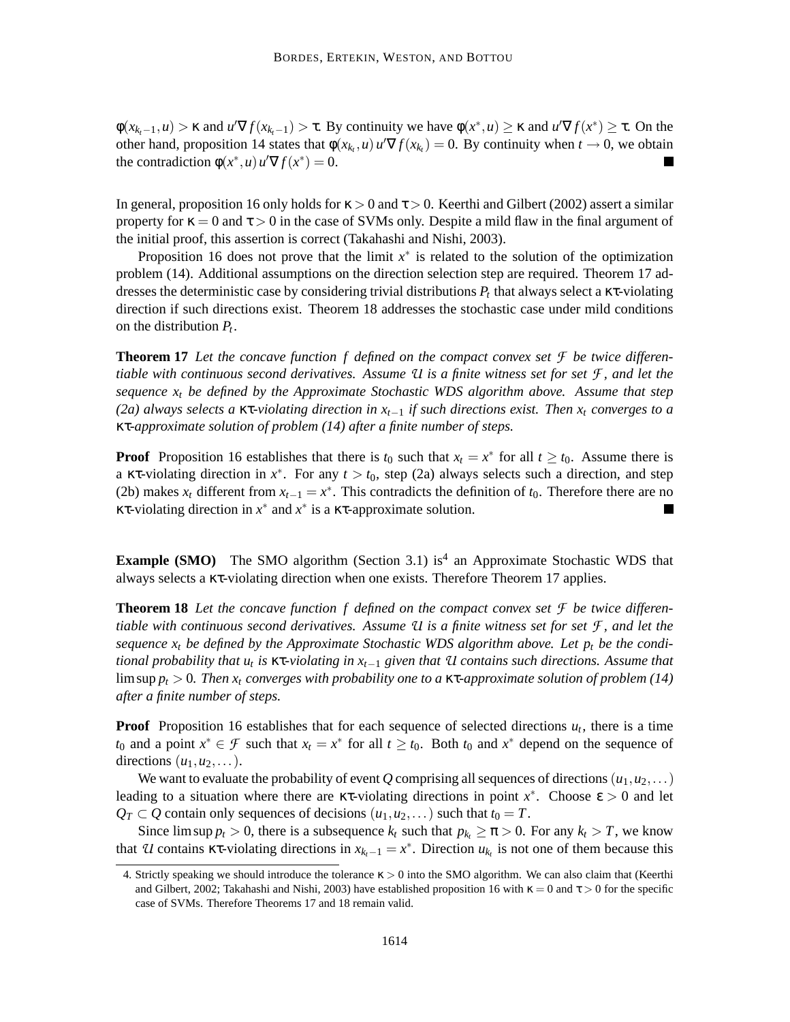$\phi(x_{k_t-1}, u) > \kappa$  and  $u' \nabla f(x_{k_t-1}) > \tau$ . By continuity we have  $\phi(x^*, u) \ge \kappa$  and  $u' \nabla f(x^*) \ge \tau$ . On the other hand, proposition 14 states that  $\phi(x_k, u) u' \nabla f(x_k) = 0$ . By continuity when  $t \to 0$ , we obtain the contradiction  $\phi(x^*, u) u' \nabla f(x^*) = 0$ . M

In general, proposition 16 only holds for  $\kappa > 0$  and  $\tau > 0$ . Keerthi and Gilbert (2002) assert a similar property for  $\kappa = 0$  and  $\tau > 0$  in the case of SVMs only. Despite a mild flaw in the final argument of the initial proof, this assertion is correct (Takahashi and Nishi, 2003).

Proposition 16 does not prove that the limit  $x^*$  is related to the solution of the optimization problem (14). Additional assumptions on the direction selection step are required. Theorem 17 addresses the deterministic case by considering trivial distributions  $P_t$  that always select a  $\kappa\tau$ -violating direction if such directions exist. Theorem 18 addresses the stochastic case under mild conditions on the distribution *P<sup>t</sup>* .

**Theorem 17** *Let the concave function f defined on the compact convex set* F *be twice differentiable with continuous second derivatives. Assume* U *is a finite witness set for set* F *, and let the sequence x<sup>t</sup> be defined by the Approximate Stochastic WDS algorithm above. Assume that step (2a) always selects a* κτ*-violating direction in xt*−<sup>1</sup> *if such directions exist. Then x<sup>t</sup> converges to a* κτ*-approximate solution of problem (14) after a finite number of steps.*

**Proof** Proposition 16 establishes that there is  $t_0$  such that  $x_t = x^*$  for all  $t \ge t_0$ . Assume there is a  $\kappa\tau$ -violating direction in  $x^*$ . For any  $t > t_0$ , step (2a) always selects such a direction, and step (2b) makes  $x_t$  different from  $x_{t-1} = x^*$ . This contradicts the definition of  $t_0$ . Therefore there are no κτ-violating direction in *x* ∗ and *x* ∗ is a κτ-approximate solution. L.

**Example (SMO)** The SMO algorithm (Section 3.1) is<sup>4</sup> an Approximate Stochastic WDS that always selects a κτ-violating direction when one exists. Therefore Theorem 17 applies.

**Theorem 18** *Let the concave function f defined on the compact convex set* F *be twice differentiable with continuous second derivatives. Assume* U *is a finite witness set for set* F *, and let the* sequence  $x_t$  be defined by the Approximate Stochastic WDS algorithm above. Let  $p_t$  be the condi*tional probability that u<sup>t</sup> is* κτ*-violating in xt*−<sup>1</sup> *given that* U *contains such directions. Assume that* limsup  $p_t > 0$ . Then  $x_t$  converges with probability one to a  $\kappa\tau$ -approximate solution of problem (14) *after a finite number of steps.*

**Proof** Proposition 16 establishes that for each sequence of selected directions  $u_t$ , there is a time *t*<sub>0</sub> and a point  $x^* \in \mathcal{F}$  such that  $x_t = x^*$  for all  $t \ge t_0$ . Both  $t_0$  and  $x^*$  depend on the sequence of directions  $(u_1, u_2, \dots)$ .

We want to evaluate the probability of event *Q* comprising all sequences of directions  $(u_1, u_2, \dots)$ leading to a situation where there are  $\kappa\tau$ -violating directions in point  $x^*$ . Choose  $\varepsilon > 0$  and let  $Q_T \subset Q$  contain only sequences of decisions  $(u_1, u_2, \dots)$  such that  $t_0 = T$ .

Since limsup  $p_t > 0$ , there is a subsequence  $k_t$  such that  $p_{k_t} \geq \pi > 0$ . For any  $k_t > T$ , we know that U contains  $\kappa\tau$ -violating directions in  $x_{k_t-1} = x^*$ . Direction  $u_{k_t}$  is not one of them because this

<sup>4.</sup> Strictly speaking we should introduce the tolerance  $\kappa > 0$  into the SMO algorithm. We can also claim that (Keerthi and Gilbert, 2002; Takahashi and Nishi, 2003) have established proposition 16 with  $\kappa = 0$  and  $\tau > 0$  for the specific case of SVMs. Therefore Theorems 17 and 18 remain valid.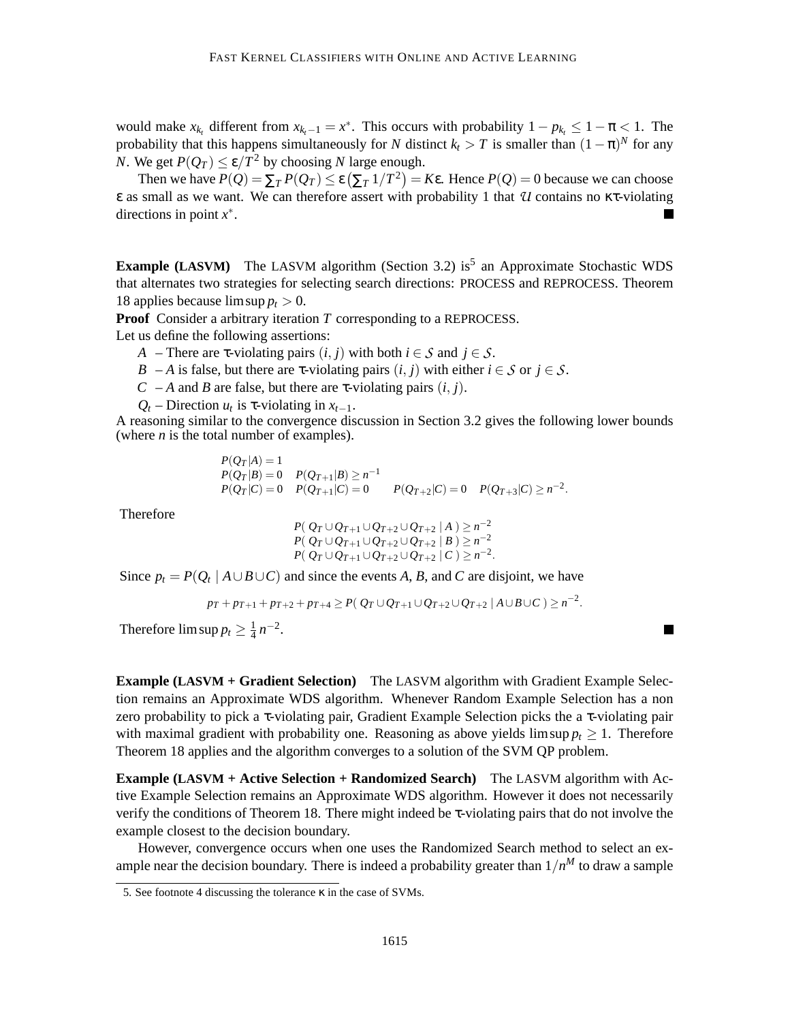would make  $x_{k_t}$  different from  $x_{k_t-1} = x^*$ . This occurs with probability  $1 - p_{k_t} \leq 1 - \pi < 1$ . The probability that this happens simultaneously for *N* distinct  $k_t > T$  is smaller than  $(1 - \pi)^N$  for any *N*. We get  $P(Q_T) \le \varepsilon/T^2$  by choosing *N* large enough.

Then we have  $P(Q) = \sum_{T} P(Q_T) \le \varepsilon (\sum_{T} 1/T^2) = K\varepsilon$ . Hence  $P(Q) = 0$  because we can choose ε as small as we want. We can therefore assert with probability 1 that  $U$  contains no κτ-violating directions in point *x* ∗ . П

**Example (LASVM)** The LASVM algorithm (Section 3.2) is<sup>5</sup> an Approximate Stochastic WDS that alternates two strategies for selecting search directions: PROCESS and REPROCESS. Theorem 18 applies because  $\limsup p_t > 0$ .

**Proof** Consider a arbitrary iteration *T* corresponding to a REPROCESS.

Let us define the following assertions:

- *A* There are  $\tau$ -violating pairs  $(i, j)$  with both  $i \in S$  and  $j \in S$ .
- *B A* is false, but there are  $\tau$ -violating pairs  $(i, j)$  with either  $i \in S$  or  $j \in S$ .
- $C A$  and *B* are false, but there are  $\tau$ -violating pairs  $(i, j)$ .
- $Q_t$  Direction  $u_t$  is  $\tau$ -violating in  $x_{t-1}$ .

A reasoning similar to the convergence discussion in Section 3.2 gives the following lower bounds (where *n* is the total number of examples).

$$
P(Q_T|A) = 1
$$
  
\n
$$
P(Q_T|B) = 0 \t P(Q_{T+1}|B) \ge n^{-1}
$$
  
\n
$$
P(Q_T|C) = 0 \t P(Q_{T+1}|C) = 0 \t P(Q_{T+2}|C) = 0 \t P(Q_{T+3}|C) \ge n^{-2}.
$$

Therefore

$$
P(Q_T \cup Q_{T+1} \cup Q_{T+2} \cup Q_{T+2} | A) \ge n^{-2}
$$
  
\n
$$
P(Q_T \cup Q_{T+1} \cup Q_{T+2} \cup Q_{T+2} | B) \ge n^{-2}
$$
  
\n
$$
P(Q_T \cup Q_{T+1} \cup Q_{T+2} \cup Q_{T+2} | C) \ge n^{-2}.
$$

Since  $p_t = P(Q_t | A \cup B \cup C)$  and since the events *A*, *B*, and *C* are disjoint, we have

$$
p_T + p_{T+1} + p_{T+2} + p_{T+4} \ge P(Q_T \cup Q_{T+1} \cup Q_{T+2} \cup Q_{T+2} | A \cup B \cup C) \ge n^{-2}.
$$

Б

Therefore  $\limsup p_t \geq \frac{1}{4}$  $\frac{1}{4}n^{-2}$ .

**Example (LASVM + Gradient Selection)** The LASVM algorithm with Gradient Example Selection remains an Approximate WDS algorithm. Whenever Random Example Selection has a non zero probability to pick a τ-violating pair, Gradient Example Selection picks the a τ-violating pair with maximal gradient with probability one. Reasoning as above yields  $\limsup p_t \geq 1$ . Therefore Theorem 18 applies and the algorithm converges to a solution of the SVM QP problem.

**Example (LASVM + Active Selection + Randomized Search)** The LASVM algorithm with Active Example Selection remains an Approximate WDS algorithm. However it does not necessarily verify the conditions of Theorem 18. There might indeed be  $\tau$ -violating pairs that do not involve the example closest to the decision boundary.

However, convergence occurs when one uses the Randomized Search method to select an example near the decision boundary. There is indeed a probability greater than 1/*n <sup>M</sup>* to draw a sample

<sup>5.</sup> See footnote 4 discussing the tolerance  $\kappa$  in the case of SVMs.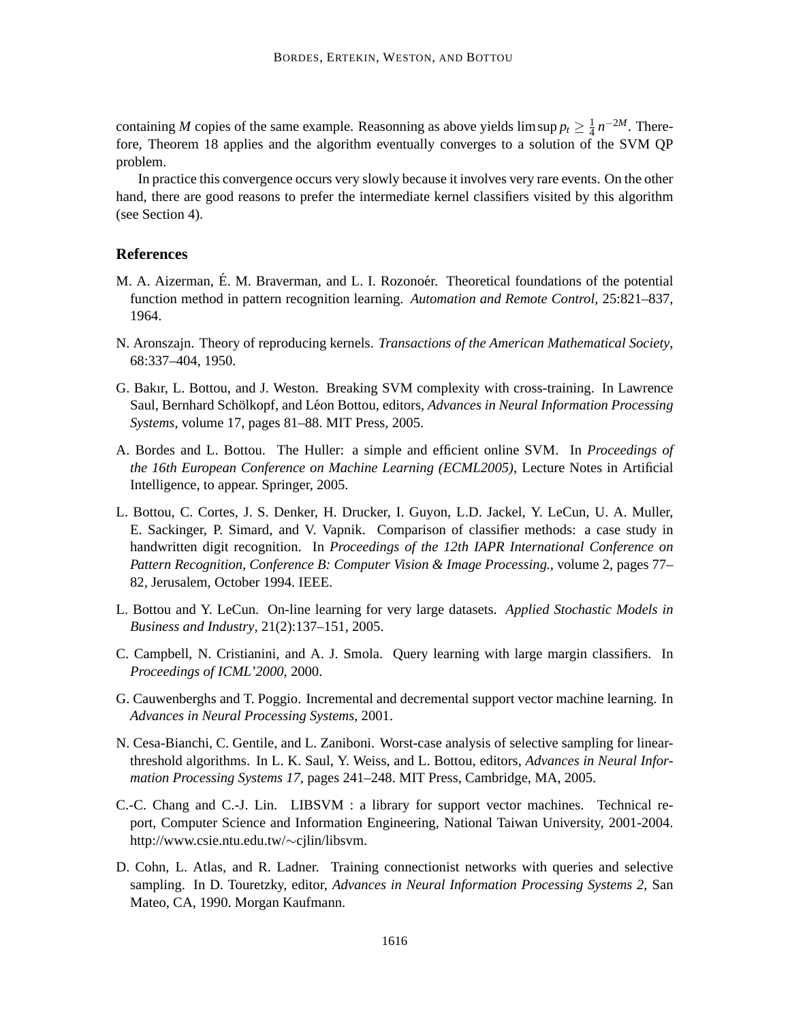containing *M* copies of the same example. Reasonning as above yields  $\limsup p_t \geq \frac{1}{4}$  $\frac{1}{4}n^{-2M}$ . Therefore, Theorem 18 applies and the algorithm eventually converges to a solution of the SVM QP problem.

In practice this convergence occurs very slowly because it involves very rare events. On the other hand, there are good reasons to prefer the intermediate kernel classifiers visited by this algorithm (see Section 4).

# **References**

- M. A. Aizerman, É. M. Braverman, and L. I. Rozonoér. Theoretical foundations of the potential function method in pattern recognition learning. *Automation and Remote Control*, 25:821–837, 1964.
- N. Aronszajn. Theory of reproducing kernels. *Transactions of the American Mathematical Society*, 68:337–404, 1950.
- G. Bakır, L. Bottou, and J. Weston. Breaking SVM complexity with cross-training. In Lawrence Saul, Bernhard Schölkopf, and Léon Bottou, editors, *Advances in Neural Information Processing Systems*, volume 17, pages 81–88. MIT Press, 2005.
- A. Bordes and L. Bottou. The Huller: a simple and efficient online SVM. In *Proceedings of the 16th European Conference on Machine Learning (ECML2005)*, Lecture Notes in Artificial Intelligence, to appear. Springer, 2005.
- L. Bottou, C. Cortes, J. S. Denker, H. Drucker, I. Guyon, L.D. Jackel, Y. LeCun, U. A. Muller, E. Sackinger, P. Simard, and V. Vapnik. Comparison of classifier methods: a case study in handwritten digit recognition. In *Proceedings of the 12th IAPR International Conference on Pattern Recognition, Conference B: Computer Vision & Image Processing.*, volume 2, pages 77– 82, Jerusalem, October 1994. IEEE.
- L. Bottou and Y. LeCun. On-line learning for very large datasets. *Applied Stochastic Models in Business and Industry*, 21(2):137–151, 2005.
- C. Campbell, N. Cristianini, and A. J. Smola. Query learning with large margin classifiers. In *Proceedings of ICML'2000*, 2000.
- G. Cauwenberghs and T. Poggio. Incremental and decremental support vector machine learning. In *Advances in Neural Processing Systems*, 2001.
- N. Cesa-Bianchi, C. Gentile, and L. Zaniboni. Worst-case analysis of selective sampling for linearthreshold algorithms. In L. K. Saul, Y. Weiss, and L. Bottou, editors, *Advances in Neural Information Processing Systems 17*, pages 241–248. MIT Press, Cambridge, MA, 2005.
- C.-C. Chang and C.-J. Lin. LIBSVM : a library for support vector machines. Technical report, Computer Science and Information Engineering, National Taiwan University, 2001-2004. http://www.csie.ntu.edu.tw/∼cjlin/libsvm.
- D. Cohn, L. Atlas, and R. Ladner. Training connectionist networks with queries and selective sampling. In D. Touretzky, editor, *Advances in Neural Information Processing Systems 2*, San Mateo, CA, 1990. Morgan Kaufmann.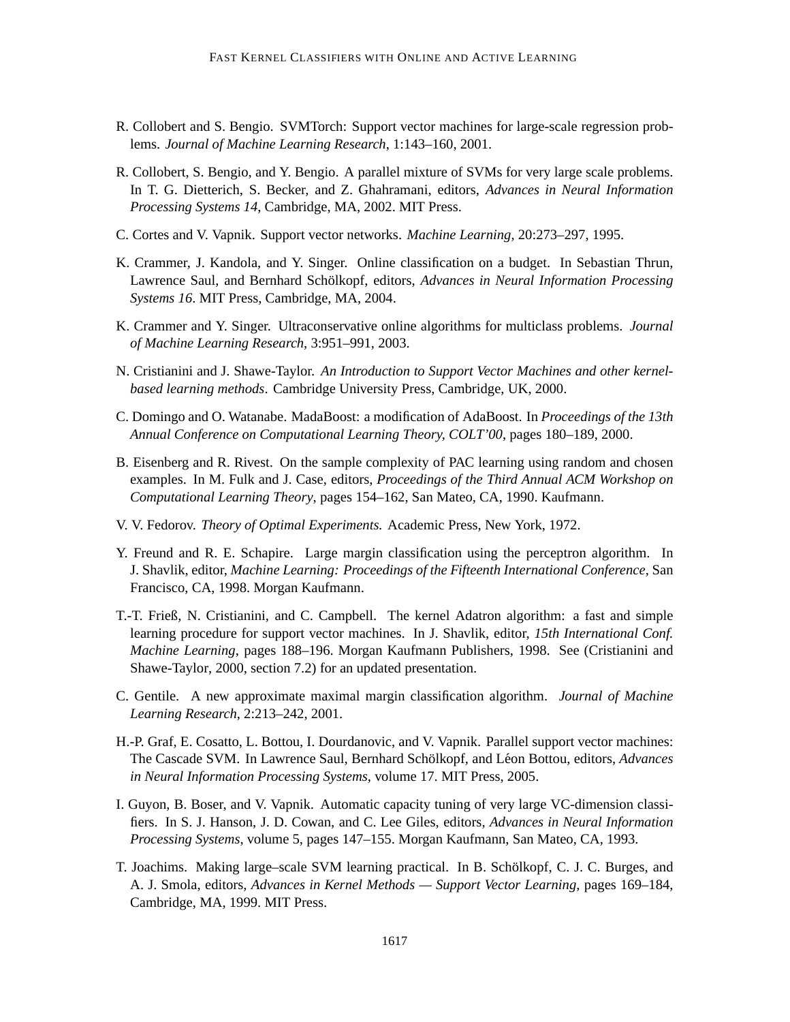- R. Collobert and S. Bengio. SVMTorch: Support vector machines for large-scale regression problems. *Journal of Machine Learning Research*, 1:143–160, 2001.
- R. Collobert, S. Bengio, and Y. Bengio. A parallel mixture of SVMs for very large scale problems. In T. G. Dietterich, S. Becker, and Z. Ghahramani, editors, *Advances in Neural Information Processing Systems 14*, Cambridge, MA, 2002. MIT Press.
- C. Cortes and V. Vapnik. Support vector networks. *Machine Learning*, 20:273–297, 1995.
- K. Crammer, J. Kandola, and Y. Singer. Online classification on a budget. In Sebastian Thrun, Lawrence Saul, and Bernhard Schölkopf, editors, *Advances in Neural Information Processing Systems 16*. MIT Press, Cambridge, MA, 2004.
- K. Crammer and Y. Singer. Ultraconservative online algorithms for multiclass problems. *Journal of Machine Learning Research*, 3:951–991, 2003.
- N. Cristianini and J. Shawe-Taylor. *An Introduction to Support Vector Machines and other kernelbased learning methods*. Cambridge University Press, Cambridge, UK, 2000.
- C. Domingo and O. Watanabe. MadaBoost: a modification of AdaBoost. In *Proceedings of the 13th Annual Conference on Computational Learning Theory, COLT'00*, pages 180–189, 2000.
- B. Eisenberg and R. Rivest. On the sample complexity of PAC learning using random and chosen examples. In M. Fulk and J. Case, editors, *Proceedings of the Third Annual ACM Workshop on Computational Learning Theory*, pages 154–162, San Mateo, CA, 1990. Kaufmann.
- V. V. Fedorov. *Theory of Optimal Experiments.* Academic Press, New York, 1972.
- Y. Freund and R. E. Schapire. Large margin classification using the perceptron algorithm. In J. Shavlik, editor, *Machine Learning: Proceedings of the Fifteenth International Conference*, San Francisco, CA, 1998. Morgan Kaufmann.
- T.-T. Frieß, N. Cristianini, and C. Campbell. The kernel Adatron algorithm: a fast and simple learning procedure for support vector machines. In J. Shavlik, editor, *15th International Conf. Machine Learning*, pages 188–196. Morgan Kaufmann Publishers, 1998. See (Cristianini and Shawe-Taylor, 2000, section 7.2) for an updated presentation.
- C. Gentile. A new approximate maximal margin classification algorithm. *Journal of Machine Learning Research*, 2:213–242, 2001.
- H.-P. Graf, E. Cosatto, L. Bottou, I. Dourdanovic, and V. Vapnik. Parallel support vector machines: The Cascade SVM. In Lawrence Saul, Bernhard Schölkopf, and Léon Bottou, editors, *Advances in Neural Information Processing Systems*, volume 17. MIT Press, 2005.
- I. Guyon, B. Boser, and V. Vapnik. Automatic capacity tuning of very large VC-dimension classifiers. In S. J. Hanson, J. D. Cowan, and C. Lee Giles, editors, *Advances in Neural Information Processing Systems*, volume 5, pages 147–155. Morgan Kaufmann, San Mateo, CA, 1993.
- T. Joachims. Making large–scale SVM learning practical. In B. Scholkopf, C. J. C. Burges, and ¨ A. J. Smola, editors, *Advances in Kernel Methods — Support Vector Learning*, pages 169–184, Cambridge, MA, 1999. MIT Press.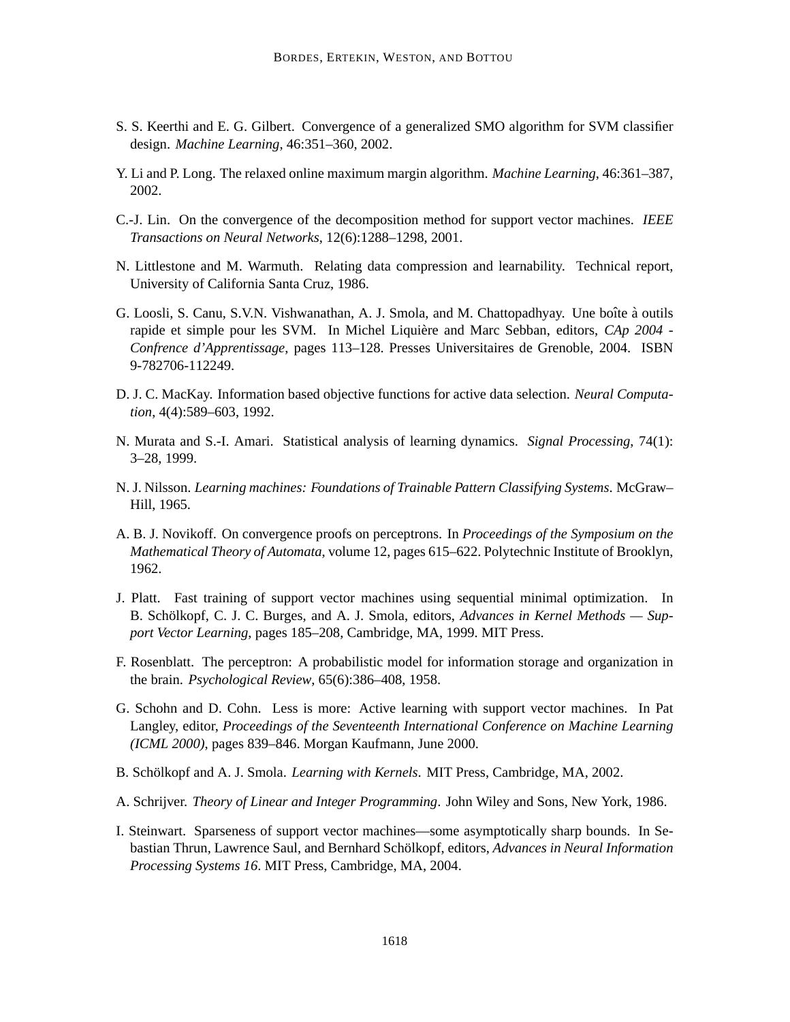- S. S. Keerthi and E. G. Gilbert. Convergence of a generalized SMO algorithm for SVM classifier design. *Machine Learning*, 46:351–360, 2002.
- Y. Li and P. Long. The relaxed online maximum margin algorithm. *Machine Learning*, 46:361–387, 2002.
- C.-J. Lin. On the convergence of the decomposition method for support vector machines. *IEEE Transactions on Neural Networks*, 12(6):1288–1298, 2001.
- N. Littlestone and M. Warmuth. Relating data compression and learnability. Technical report, University of California Santa Cruz, 1986.
- G. Loosli, S. Canu, S.V.N. Vishwanathan, A. J. Smola, and M. Chattopadhyay. Une boîte à outils rapide et simple pour les SVM. In Michel Liquière and Marc Sebban, editors, CAp 2004 -*Confrence d'Apprentissage*, pages 113–128. Presses Universitaires de Grenoble, 2004. ISBN 9-782706-112249.
- D. J. C. MacKay. Information based objective functions for active data selection. *Neural Computation*, 4(4):589–603, 1992.
- N. Murata and S.-I. Amari. Statistical analysis of learning dynamics. *Signal Processing*, 74(1): 3–28, 1999.
- N. J. Nilsson. *Learning machines: Foundations of Trainable Pattern Classifying Systems*. McGraw– Hill, 1965.
- A. B. J. Novikoff. On convergence proofs on perceptrons. In *Proceedings of the Symposium on the Mathematical Theory of Automata*, volume 12, pages 615–622. Polytechnic Institute of Brooklyn, 1962.
- J. Platt. Fast training of support vector machines using sequential minimal optimization. In B. Schölkopf, C. J. C. Burges, and A. J. Smola, editors, *Advances in Kernel Methods* — Sup*port Vector Learning*, pages 185–208, Cambridge, MA, 1999. MIT Press.
- F. Rosenblatt. The perceptron: A probabilistic model for information storage and organization in the brain. *Psychological Review*, 65(6):386–408, 1958.
- G. Schohn and D. Cohn. Less is more: Active learning with support vector machines. In Pat Langley, editor, *Proceedings of the Seventeenth International Conference on Machine Learning (ICML 2000)*, pages 839–846. Morgan Kaufmann, June 2000.
- B. Schölkopf and A. J. Smola. *Learning with Kernels*. MIT Press, Cambridge, MA, 2002.
- A. Schrijver. *Theory of Linear and Integer Programming*. John Wiley and Sons, New York, 1986.
- I. Steinwart. Sparseness of support vector machines—some asymptotically sharp bounds. In Sebastian Thrun, Lawrence Saul, and Bernhard Schölkopf, editors, *Advances in Neural Information Processing Systems 16*. MIT Press, Cambridge, MA, 2004.